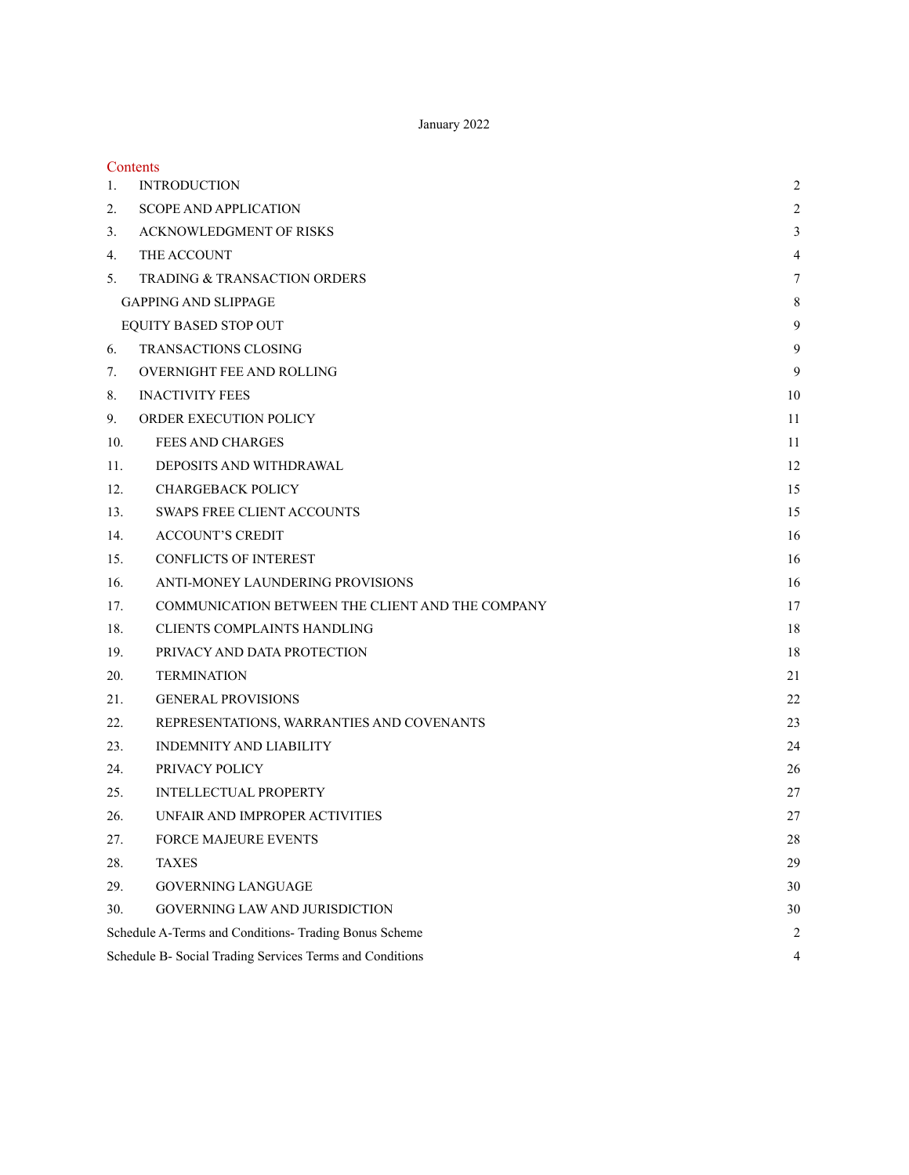January 2022

| Contents                                                 |                  |
|----------------------------------------------------------|------------------|
| <b>INTRODUCTION</b><br>1.                                | 2                |
| 2.<br><b>SCOPE AND APPLICATION</b>                       | $\overline{2}$   |
| <b>ACKNOWLEDGMENT OF RISKS</b><br>3.                     | $\mathfrak{Z}$   |
| THE ACCOUNT<br>4.                                        | $\overline{4}$   |
| 5.<br>TRADING & TRANSACTION ORDERS                       | $\boldsymbol{7}$ |
| <b>GAPPING AND SLIPPAGE</b>                              | 8                |
| EQUITY BASED STOP OUT                                    | 9                |
| <b>TRANSACTIONS CLOSING</b><br>6.                        | 9                |
| <b>OVERNIGHT FEE AND ROLLING</b><br>7.                   | 9                |
| 8.<br><b>INACTIVITY FEES</b>                             | 10               |
| 9.<br>ORDER EXECUTION POLICY                             | 11               |
| 10.<br><b>FEES AND CHARGES</b>                           | 11               |
| DEPOSITS AND WITHDRAWAL<br>11.                           | 12               |
| 12.<br><b>CHARGEBACK POLICY</b>                          | 15               |
| <b>SWAPS FREE CLIENT ACCOUNTS</b><br>13.                 | 15               |
| <b>ACCOUNT'S CREDIT</b><br>14.                           | 16               |
| <b>CONFLICTS OF INTEREST</b><br>15.                      | 16               |
| 16.<br>ANTI-MONEY LAUNDERING PROVISIONS                  | 16               |
| COMMUNICATION BETWEEN THE CLIENT AND THE COMPANY<br>17.  | 17               |
| 18.<br><b>CLIENTS COMPLAINTS HANDLING</b>                | 18               |
| 19.<br>PRIVACY AND DATA PROTECTION                       | 18               |
| 20.<br><b>TERMINATION</b>                                | 21               |
| <b>GENERAL PROVISIONS</b><br>21.                         | 22               |
| 22.<br>REPRESENTATIONS, WARRANTIES AND COVENANTS         | 23               |
| <b>INDEMNITY AND LIABILITY</b><br>23.                    | 24               |
| PRIVACY POLICY<br>24.                                    | 26               |
| <b>INTELLECTUAL PROPERTY</b><br>25.                      | 27               |
| UNFAIR AND IMPROPER ACTIVITIES<br>26.                    | 27               |
| 27.<br>FORCE MAJEURE EVENTS                              | 28               |
| 28.<br><b>TAXES</b>                                      | 29               |
| <b>GOVERNING LANGUAGE</b><br>29.                         | 30               |
| GOVERNING LAW AND JURISDICTION<br>30.                    | 30               |
| Schedule A-Terms and Conditions- Trading Bonus Scheme    | 2                |
| Schedule B- Social Trading Services Terms and Conditions | 4                |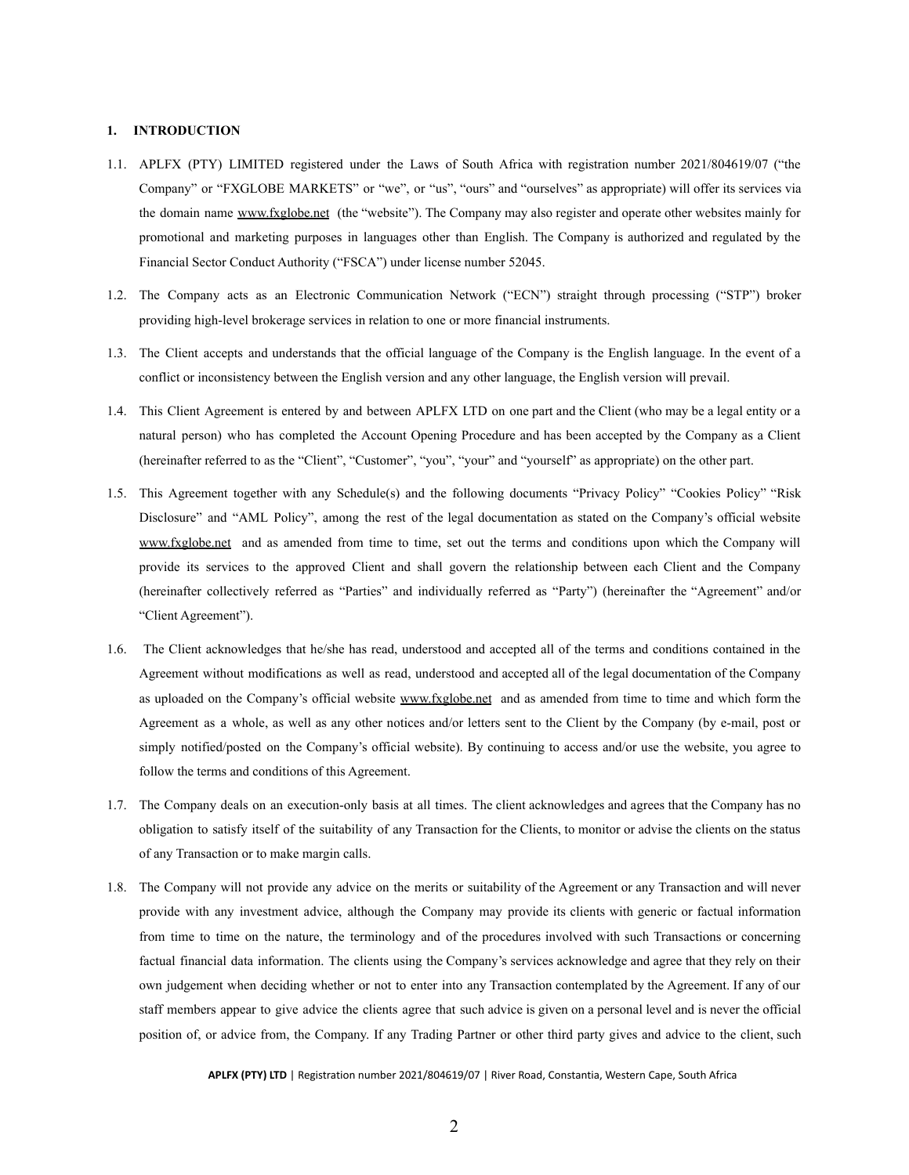### <span id="page-1-0"></span>**1. INTRODUCTION**

- 1.1. APLFX (PTY) LIMITED registered under the Laws of South Africa with registration number 2021/804619/07 ("the Company" or "FXGLOBE MARKETS" or "we", or "us", "ours" and "ourselves" as appropriate) will offer its services via the domain name [www.fxglobe.net](http://www.fxglobe.net) (the "website"). The Company may also register and operate other websites mainly for promotional and marketing purposes in languages other than English. The Company is authorized and regulated by the Financial Sector Conduct Authority ("FSCA") under license number 52045.
- 1.2. The Company acts as an Electronic Communication Network ("ECN") straight through processing ("STP") broker providing high-level brokerage services in relation to one or more financial instruments.
- 1.3. The Client accepts and understands that the official language of the Company is the English language. In the event of a conflict or inconsistency between the English version and any other language, the English version will prevail.
- 1.4. This Client Agreement is entered by and between APLFX LTD on one part and the Client (who may be a legal entity or a natural person) who has completed the Account Opening Procedure and has been accepted by the Company as a Client (hereinafter referred to as the "Client", "Customer", "you", "your" and "yourself" as appropriate) on the other part.
- 1.5. This Agreement together with any Schedule(s) and the following documents "Privacy Policy" "Cookies Policy" "Risk Disclosure" and "AML Policy", among the rest of the legal documentation as stated on the Company's official website [www.fxglobe.net](http://www.fxglobe.net) and as amended from time to time, set out the terms and conditions upon which the Company will provide its services to the approved Client and shall govern the relationship between each Client and the Company (hereinafter collectively referred as "Parties" and individually referred as "Party") (hereinafter the "Agreement" and/or "Client Agreement").
- 1.6. The Client acknowledges that he/she has read, understood and accepted all of the terms and conditions contained in the Agreement without modifications as well as read, understood and accepted all of the legal documentation of the Company as uploaded on the Company's official website [www.fxglobe.net](http://www.fxglobe.net) and as amended from time to time and which form the Agreement as a whole, as well as any other notices and/or letters sent to the Client by the Company (by e-mail, post or simply notified/posted on the Company's official website). By continuing to access and/or use the website, you agree to follow the terms and conditions of this Agreement.
- 1.7. The Company deals on an execution-only basis at all times. The client acknowledges and agrees that the Company has no obligation to satisfy itself of the suitability of any Transaction for the Clients, to monitor or advise the clients on the status of any Transaction or to make margin calls.
- 1.8. The Company will not provide any advice on the merits or suitability of the Agreement or any Transaction and will never provide with any investment advice, although the Company may provide its clients with generic or factual information from time to time on the nature, the terminology and of the procedures involved with such Transactions or concerning factual financial data information. The clients using the Company's services acknowledge and agree that they rely on their own judgement when deciding whether or not to enter into any Transaction contemplated by the Agreement. If any of our staff members appear to give advice the clients agree that such advice is given on a personal level and is never the official position of, or advice from, the Company. If any Trading Partner or other third party gives and advice to the client, such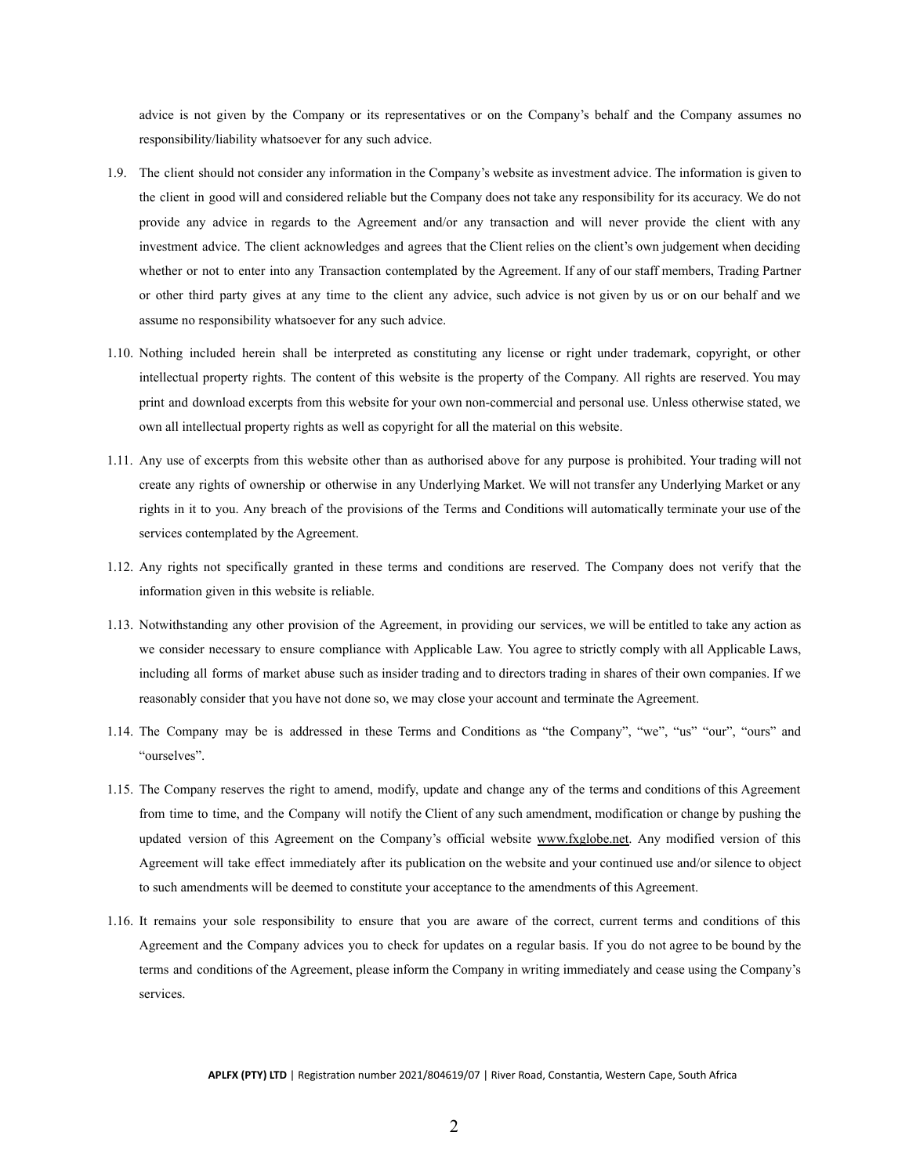advice is not given by the Company or its representatives or on the Company's behalf and the Company assumes no responsibility/liability whatsoever for any such advice.

- 1.9. The client should not consider any information in the Company's website as investment advice. The information is given to the client in good will and considered reliable but the Company does not take any responsibility for its accuracy. We do not provide any advice in regards to the Agreement and/or any transaction and will never provide the client with any investment advice. The client acknowledges and agrees that the Client relies on the client's own judgement when deciding whether or not to enter into any Transaction contemplated by the Agreement. If any of our staff members, Trading Partner or other third party gives at any time to the client any advice, such advice is not given by us or on our behalf and we assume no responsibility whatsoever for any such advice.
- 1.10. Nothing included herein shall be interpreted as constituting any license or right under trademark, copyright, or other intellectual property rights. The content of this website is the property of the Company. All rights are reserved. You may print and download excerpts from this website for your own non-commercial and personal use. Unless otherwise stated, we own all intellectual property rights as well as copyright for all the material on this website.
- 1.11. Any use of excerpts from this website other than as authorised above for any purpose is prohibited. Your trading will not create any rights of ownership or otherwise in any Underlying Market. We will not transfer any Underlying Market or any rights in it to you. Any breach of the provisions of the Terms and Conditions will automatically terminate your use of the services contemplated by the Agreement.
- 1.12. Any rights not specifically granted in these terms and conditions are reserved. The Company does not verify that the information given in this website is reliable.
- 1.13. Notwithstanding any other provision of the Agreement, in providing our services, we will be entitled to take any action as we consider necessary to ensure compliance with Applicable Law. You agree to strictly comply with all Applicable Laws, including all forms of market abuse such as insider trading and to directors trading in shares of their own companies. If we reasonably consider that you have not done so, we may close your account and terminate the Agreement.
- 1.14. The Company may be is addressed in these Terms and Conditions as "the Company", "we", "us" "our", "ours" and "ourselves".
- 1.15. The Company reserves the right to amend, modify, update and change any of the terms and conditions of this Agreement from time to time, and the Company will notify the Client of any such amendment, modification or change by pushing the updated version of this Agreement on the Company's official website [www.fxglobe.net.](http://www.fxglobe.net) Any modified version of this Agreement will take effect immediately after its publication on the website and your continued use and/or silence to object to such amendments will be deemed to constitute your acceptance to the amendments of this Agreement.
- 1.16. It remains your sole responsibility to ensure that you are aware of the correct, current terms and conditions of this Agreement and the Company advices you to check for updates on a regular basis. If you do not agree to be bound by the terms and conditions of the Agreement, please inform the Company in writing immediately and cease using the Company's services.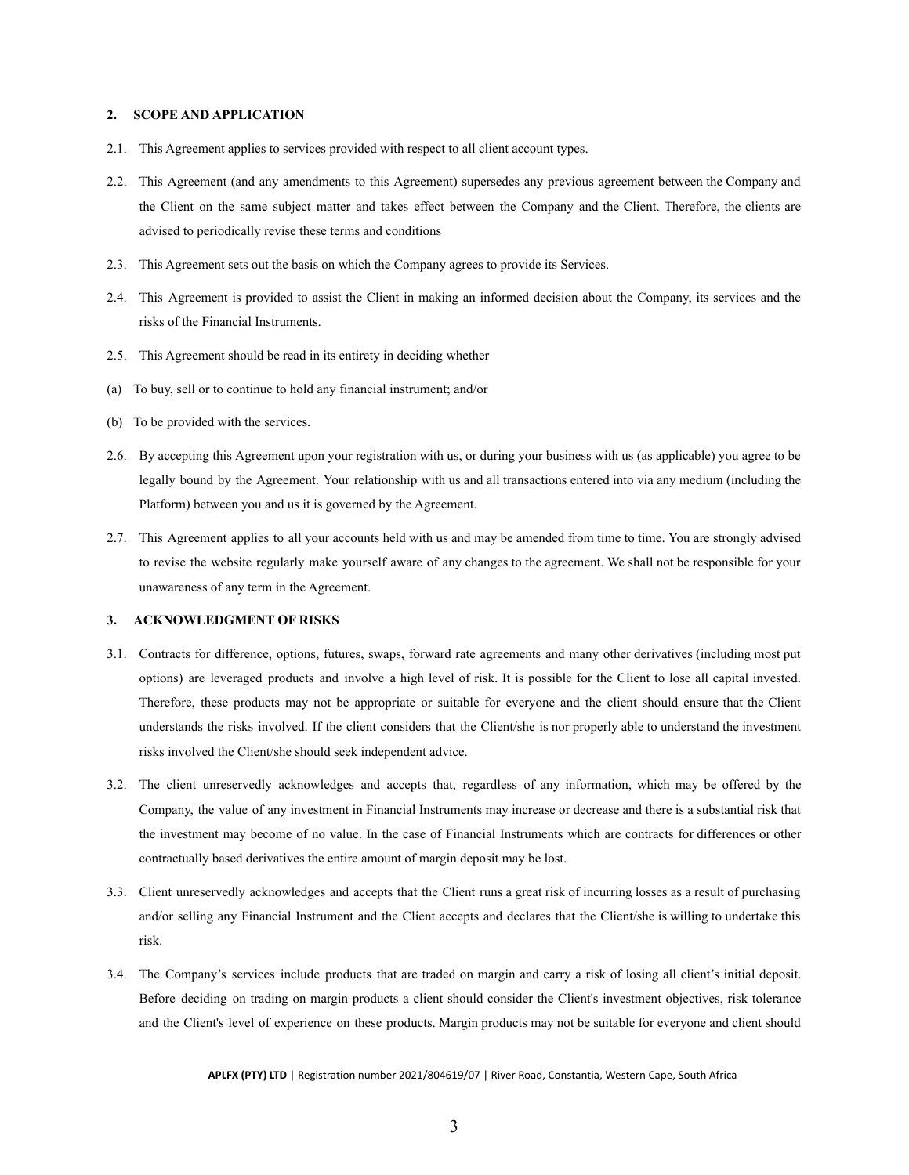### <span id="page-3-0"></span>**2. SCOPE AND APPLICATION**

- 2.1. This Agreement applies to services provided with respect to all client account types.
- 2.2. This Agreement (and any amendments to this Agreement) supersedes any previous agreement between the Company and the Client on the same subject matter and takes effect between the Company and the Client. Therefore, the clients are advised to periodically revise these terms and conditions
- 2.3. This Agreement sets out the basis on which the Company agrees to provide its Services.
- 2.4. This Agreement is provided to assist the Client in making an informed decision about the Company, its services and the risks of the Financial Instruments.
- 2.5. This Agreement should be read in its entirety in deciding whether
- (a) To buy, sell or to continue to hold any financial instrument; and/or
- (b) To be provided with the services.
- 2.6. By accepting this Agreement upon your registration with us, or during your business with us (as applicable) you agree to be legally bound by the Agreement. Your relationship with us and all transactions entered into via any medium (including the Platform) between you and us it is governed by the Agreement.
- 2.7. This Agreement applies to all your accounts held with us and may be amended from time to time. You are strongly advised to revise the website regularly make yourself aware of any changes to the agreement. We shall not be responsible for your unawareness of any term in the Agreement.

### <span id="page-3-1"></span>**3. ACKNOWLEDGMENT OF RISKS**

- 3.1. Contracts for difference, options, futures, swaps, forward rate agreements and many other derivatives (including most put options) are leveraged products and involve a high level of risk. It is possible for the Client to lose all capital invested. Therefore, these products may not be appropriate or suitable for everyone and the client should ensure that the Client understands the risks involved. If the client considers that the Client/she is nor properly able to understand the investment risks involved the Client/she should seek independent advice.
- 3.2. The client unreservedly acknowledges and accepts that, regardless of any information, which may be offered by the Company, the value of any investment in Financial Instruments may increase or decrease and there is a substantial risk that the investment may become of no value. In the case of Financial Instruments which are contracts for differences or other contractually based derivatives the entire amount of margin deposit may be lost.
- 3.3. Client unreservedly acknowledges and accepts that the Client runs a great risk of incurring losses as a result of purchasing and/or selling any Financial Instrument and the Client accepts and declares that the Client/she is willing to undertake this risk.
- 3.4. The Company's services include products that are traded on margin and carry a risk of losing all client's initial deposit. Before deciding on trading on margin products a client should consider the Client's investment objectives, risk tolerance and the Client's level of experience on these products. Margin products may not be suitable for everyone and client should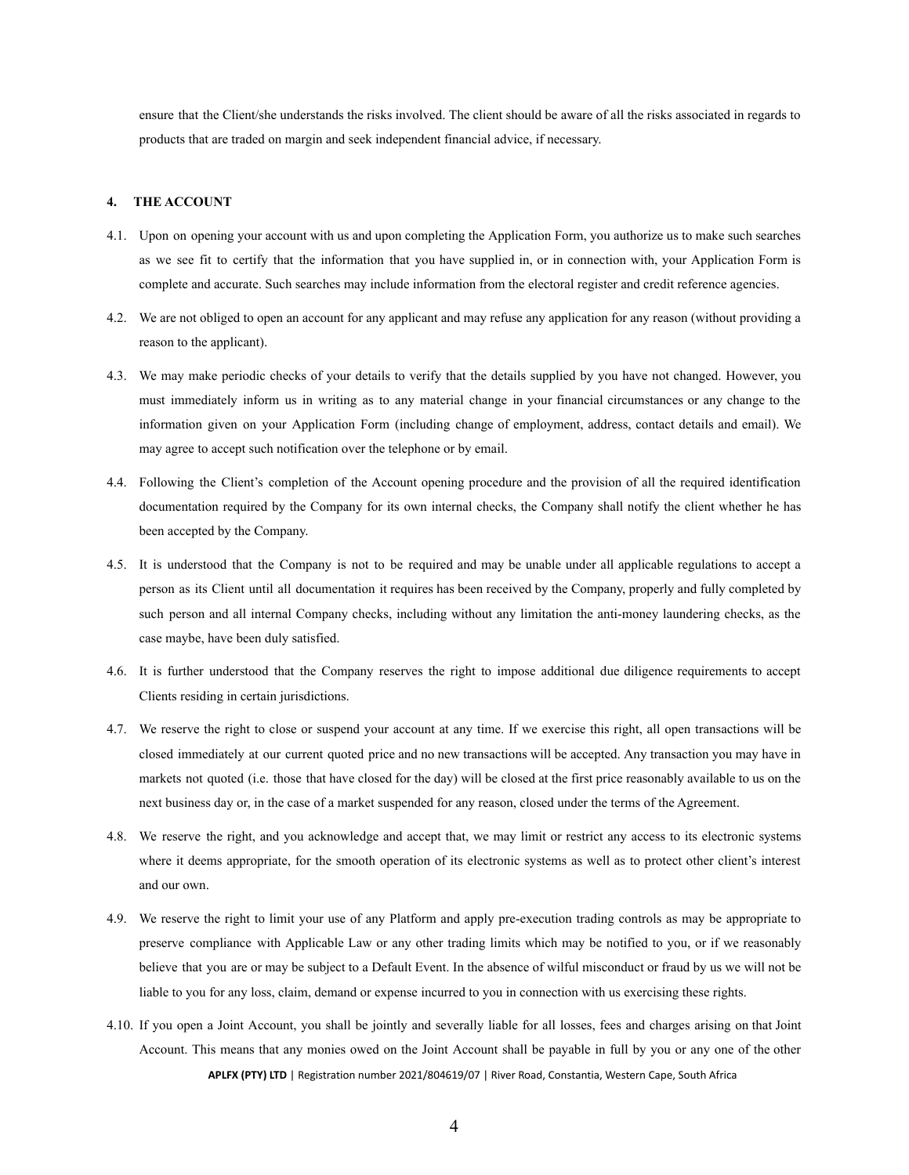ensure that the Client/she understands the risks involved. The client should be aware of all the risks associated in regards to products that are traded on margin and seek independent financial advice, if necessary.

#### <span id="page-4-0"></span>**4. THE ACCOUNT**

- 4.1. Upon on opening your account with us and upon completing the Application Form, you authorize us to make such searches as we see fit to certify that the information that you have supplied in, or in connection with, your Application Form is complete and accurate. Such searches may include information from the electoral register and credit reference agencies.
- 4.2. We are not obliged to open an account for any applicant and may refuse any application for any reason (without providing a reason to the applicant).
- 4.3. We may make periodic checks of your details to verify that the details supplied by you have not changed. However, you must immediately inform us in writing as to any material change in your financial circumstances or any change to the information given on your Application Form (including change of employment, address, contact details and email). We may agree to accept such notification over the telephone or by email.
- 4.4. Following the Client's completion of the Account opening procedure and the provision of all the required identification documentation required by the Company for its own internal checks, the Company shall notify the client whether he has been accepted by the Company.
- 4.5. It is understood that the Company is not to be required and may be unable under all applicable regulations to accept a person as its Client until all documentation it requires has been received by the Company, properly and fully completed by such person and all internal Company checks, including without any limitation the anti-money laundering checks, as the case maybe, have been duly satisfied.
- 4.6. It is further understood that the Company reserves the right to impose additional due diligence requirements to accept Clients residing in certain jurisdictions.
- 4.7. We reserve the right to close or suspend your account at any time. If we exercise this right, all open transactions will be closed immediately at our current quoted price and no new transactions will be accepted. Any transaction you may have in markets not quoted (i.e. those that have closed for the day) will be closed at the first price reasonably available to us on the next business day or, in the case of a market suspended for any reason, closed under the terms of the Agreement.
- 4.8. We reserve the right, and you acknowledge and accept that, we may limit or restrict any access to its electronic systems where it deems appropriate, for the smooth operation of its electronic systems as well as to protect other client's interest and our own.
- 4.9. We reserve the right to limit your use of any Platform and apply pre-execution trading controls as may be appropriate to preserve compliance with Applicable Law or any other trading limits which may be notified to you, or if we reasonably believe that you are or may be subject to a Default Event. In the absence of wilful misconduct or fraud by us we will not be liable to you for any loss, claim, demand or expense incurred to you in connection with us exercising these rights.
- 4.10. If you open a Joint Account, you shall be jointly and severally liable for all losses, fees and charges arising on that Joint Account. This means that any monies owed on the Joint Account shall be payable in full by you or any one of the other **APLFX (PTY) LTD** | Registration number 2021/804619/07 | River Road, Constantia, Western Cape, South Africa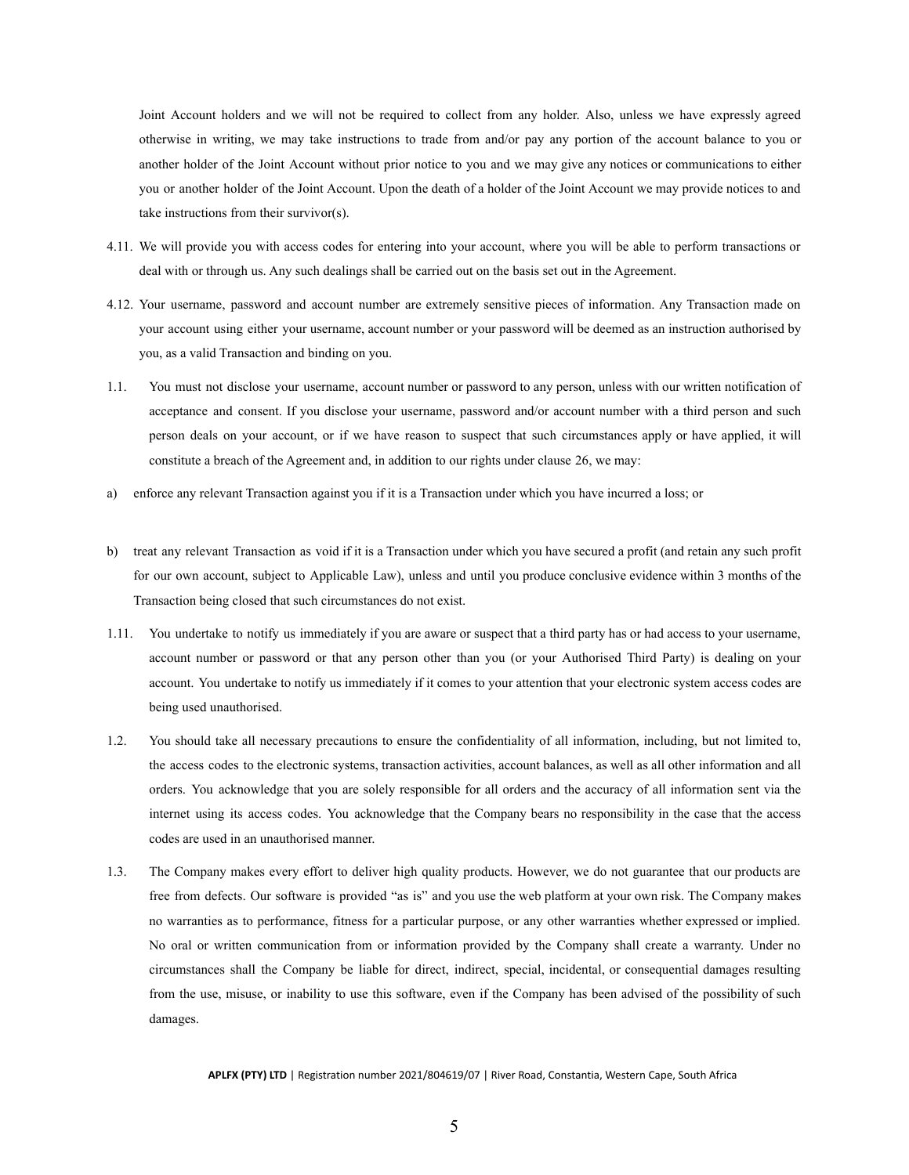Joint Account holders and we will not be required to collect from any holder. Also, unless we have expressly agreed otherwise in writing, we may take instructions to trade from and/or pay any portion of the account balance to you or another holder of the Joint Account without prior notice to you and we may give any notices or communications to either you or another holder of the Joint Account. Upon the death of a holder of the Joint Account we may provide notices to and take instructions from their survivor(s).

- 4.11. We will provide you with access codes for entering into your account, where you will be able to perform transactions or deal with or through us. Any such dealings shall be carried out on the basis set out in the Agreement.
- 4.12. Your username, password and account number are extremely sensitive pieces of information. Any Transaction made on your account using either your username, account number or your password will be deemed as an instruction authorised by you, as a valid Transaction and binding on you.
- 1.1. You must not disclose your username, account number or password to any person, unless with our written notification of acceptance and consent. If you disclose your username, password and/or account number with a third person and such person deals on your account, or if we have reason to suspect that such circumstances apply or have applied, it will constitute a breach of the Agreement and, in addition to our rights under clause 26, we may:
- a) enforce any relevant Transaction against you if it is a Transaction under which you have incurred a loss; or
- b) treat any relevant Transaction as void if it is a Transaction under which you have secured a profit (and retain any such profit for our own account, subject to Applicable Law), unless and until you produce conclusive evidence within 3 months of the Transaction being closed that such circumstances do not exist.
- 1.11. You undertake to notify us immediately if you are aware or suspect that a third party has or had access to your username, account number or password or that any person other than you (or your Authorised Third Party) is dealing on your account. You undertake to notify us immediately if it comes to your attention that your electronic system access codes are being used unauthorised.
- 1.2. You should take all necessary precautions to ensure the confidentiality of all information, including, but not limited to, the access codes to the electronic systems, transaction activities, account balances, as well as all other information and all orders. You acknowledge that you are solely responsible for all orders and the accuracy of all information sent via the internet using its access codes. You acknowledge that the Company bears no responsibility in the case that the access codes are used in an unauthorised manner.
- 1.3. The Company makes every effort to deliver high quality products. However, we do not guarantee that our products are free from defects. Our software is provided "as is" and you use the web platform at your own risk. The Company makes no warranties as to performance, fitness for a particular purpose, or any other warranties whether expressed or implied. No oral or written communication from or information provided by the Company shall create a warranty. Under no circumstances shall the Company be liable for direct, indirect, special, incidental, or consequential damages resulting from the use, misuse, or inability to use this software, even if the Company has been advised of the possibility of such damages.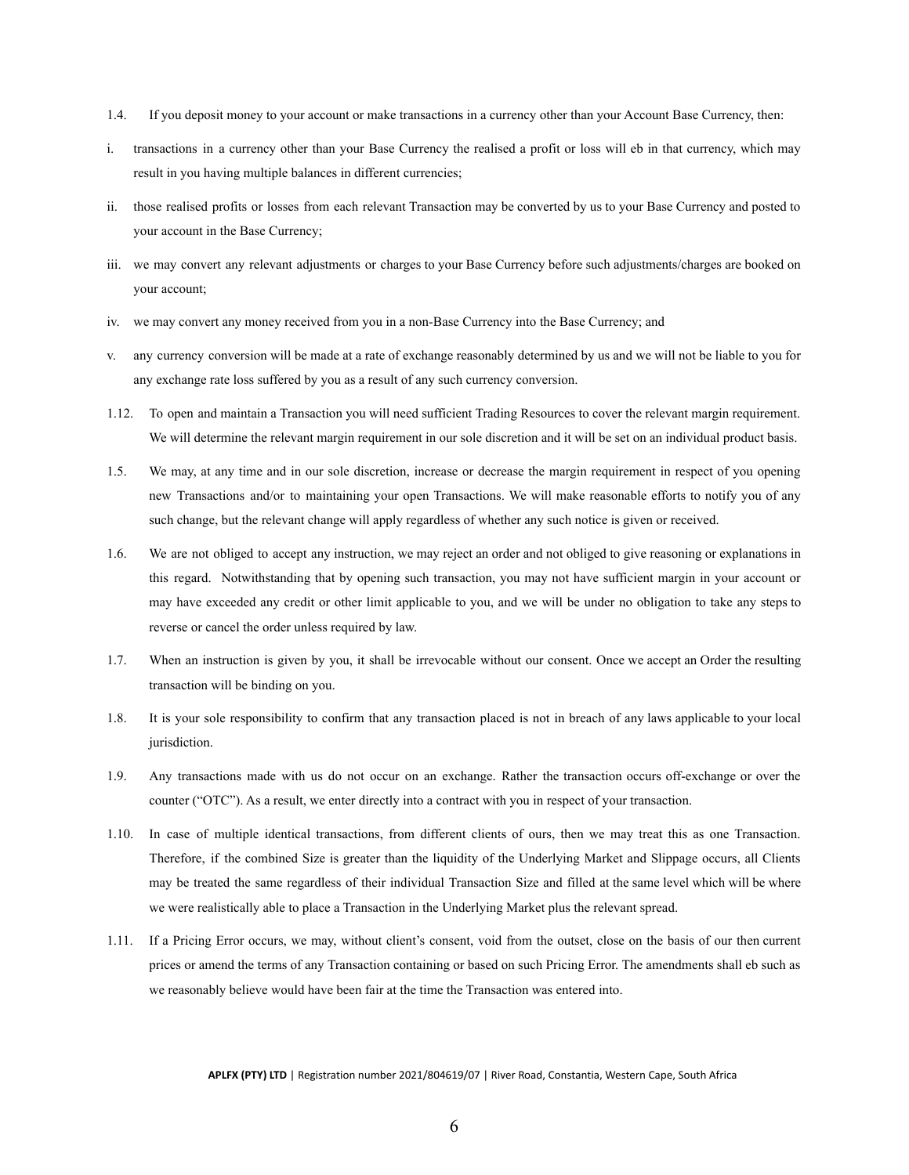- 1.4. If you deposit money to your account or make transactions in a currency other than your Account Base Currency, then:
- i. transactions in a currency other than your Base Currency the realised a profit or loss will eb in that currency, which may result in you having multiple balances in different currencies;
- ii. those realised profits or losses from each relevant Transaction may be converted by us to your Base Currency and posted to your account in the Base Currency;
- iii. we may convert any relevant adjustments or charges to your Base Currency before such adjustments/charges are booked on your account;
- iv. we may convert any money received from you in a non-Base Currency into the Base Currency; and
- v. any currency conversion will be made at a rate of exchange reasonably determined by us and we will not be liable to you for any exchange rate loss suffered by you as a result of any such currency conversion.
- 1.12. To open and maintain a Transaction you will need sufficient Trading Resources to cover the relevant margin requirement. We will determine the relevant margin requirement in our sole discretion and it will be set on an individual product basis.
- 1.5. We may, at any time and in our sole discretion, increase or decrease the margin requirement in respect of you opening new Transactions and/or to maintaining your open Transactions. We will make reasonable efforts to notify you of any such change, but the relevant change will apply regardless of whether any such notice is given or received.
- 1.6. We are not obliged to accept any instruction, we may reject an order and not obliged to give reasoning or explanations in this regard. Notwithstanding that by opening such transaction, you may not have sufficient margin in your account or may have exceeded any credit or other limit applicable to you, and we will be under no obligation to take any steps to reverse or cancel the order unless required by law.
- 1.7. When an instruction is given by you, it shall be irrevocable without our consent. Once we accept an Order the resulting transaction will be binding on you.
- 1.8. It is your sole responsibility to confirm that any transaction placed is not in breach of any laws applicable to your local jurisdiction.
- 1.9. Any transactions made with us do not occur on an exchange. Rather the transaction occurs off-exchange or over the counter ("OTC"). As a result, we enter directly into a contract with you in respect of your transaction.
- 1.10. In case of multiple identical transactions, from different clients of ours, then we may treat this as one Transaction. Therefore, if the combined Size is greater than the liquidity of the Underlying Market and Slippage occurs, all Clients may be treated the same regardless of their individual Transaction Size and filled at the same level which will be where we were realistically able to place a Transaction in the Underlying Market plus the relevant spread.
- 1.11. If a Pricing Error occurs, we may, without client's consent, void from the outset, close on the basis of our then current prices or amend the terms of any Transaction containing or based on such Pricing Error. The amendments shall eb such as we reasonably believe would have been fair at the time the Transaction was entered into.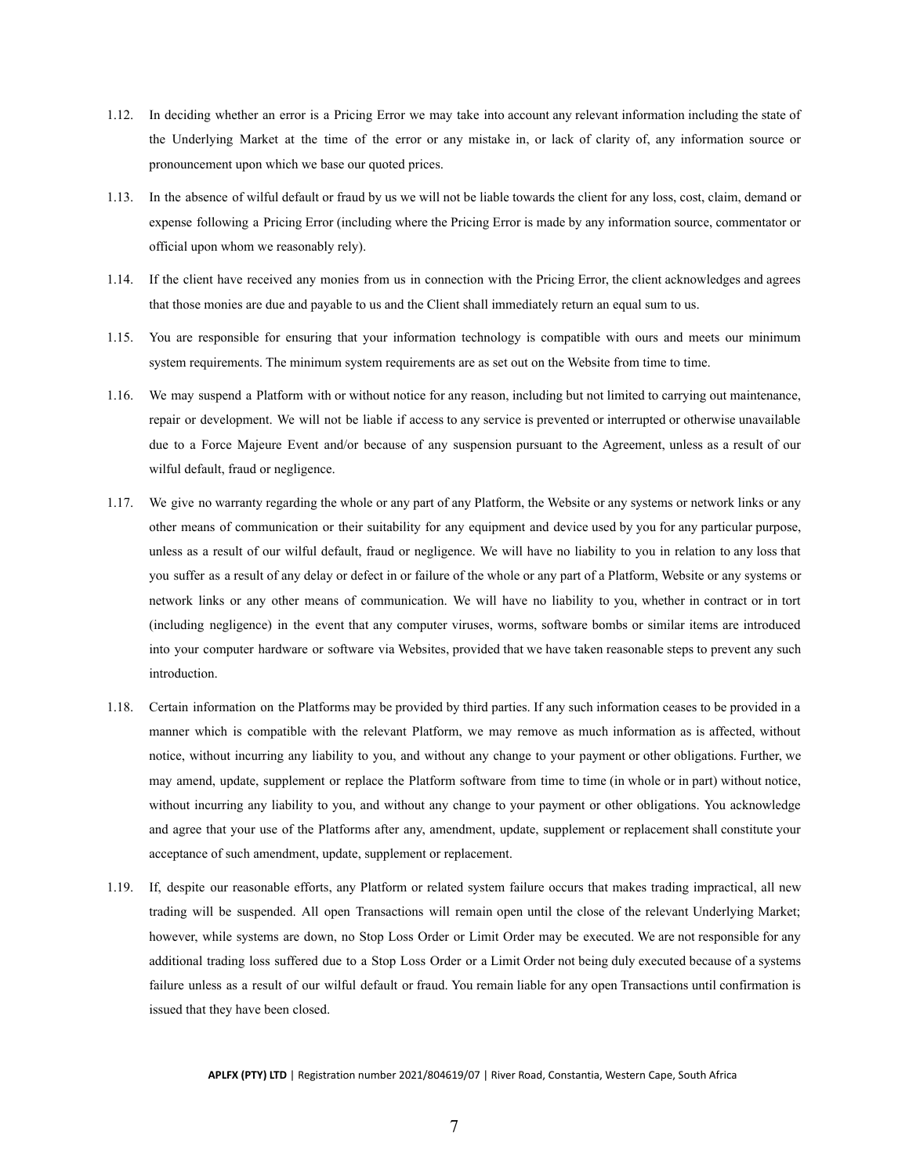- 1.12. In deciding whether an error is a Pricing Error we may take into account any relevant information including the state of the Underlying Market at the time of the error or any mistake in, or lack of clarity of, any information source or pronouncement upon which we base our quoted prices.
- 1.13. In the absence of wilful default or fraud by us we will not be liable towards the client for any loss, cost, claim, demand or expense following a Pricing Error (including where the Pricing Error is made by any information source, commentator or official upon whom we reasonably rely).
- 1.14. If the client have received any monies from us in connection with the Pricing Error, the client acknowledges and agrees that those monies are due and payable to us and the Client shall immediately return an equal sum to us.
- 1.15. You are responsible for ensuring that your information technology is compatible with ours and meets our minimum system requirements. The minimum system requirements are as set out on the Website from time to time.
- 1.16. We may suspend a Platform with or without notice for any reason, including but not limited to carrying out maintenance, repair or development. We will not be liable if access to any service is prevented or interrupted or otherwise unavailable due to a Force Majeure Event and/or because of any suspension pursuant to the Agreement, unless as a result of our wilful default, fraud or negligence.
- 1.17. We give no warranty regarding the whole or any part of any Platform, the Website or any systems or network links or any other means of communication or their suitability for any equipment and device used by you for any particular purpose, unless as a result of our wilful default, fraud or negligence. We will have no liability to you in relation to any loss that you suffer as a result of any delay or defect in or failure of the whole or any part of a Platform, Website or any systems or network links or any other means of communication. We will have no liability to you, whether in contract or in tort (including negligence) in the event that any computer viruses, worms, software bombs or similar items are introduced into your computer hardware or software via Websites, provided that we have taken reasonable steps to prevent any such introduction.
- 1.18. Certain information on the Platforms may be provided by third parties. If any such information ceases to be provided in a manner which is compatible with the relevant Platform, we may remove as much information as is affected, without notice, without incurring any liability to you, and without any change to your payment or other obligations. Further, we may amend, update, supplement or replace the Platform software from time to time (in whole or in part) without notice, without incurring any liability to you, and without any change to your payment or other obligations. You acknowledge and agree that your use of the Platforms after any, amendment, update, supplement or replacement shall constitute your acceptance of such amendment, update, supplement or replacement.
- 1.19. If, despite our reasonable efforts, any Platform or related system failure occurs that makes trading impractical, all new trading will be suspended. All open Transactions will remain open until the close of the relevant Underlying Market; however, while systems are down, no Stop Loss Order or Limit Order may be executed. We are not responsible for any additional trading loss suffered due to a Stop Loss Order or a Limit Order not being duly executed because of a systems failure unless as a result of our wilful default or fraud. You remain liable for any open Transactions until confirmation is issued that they have been closed.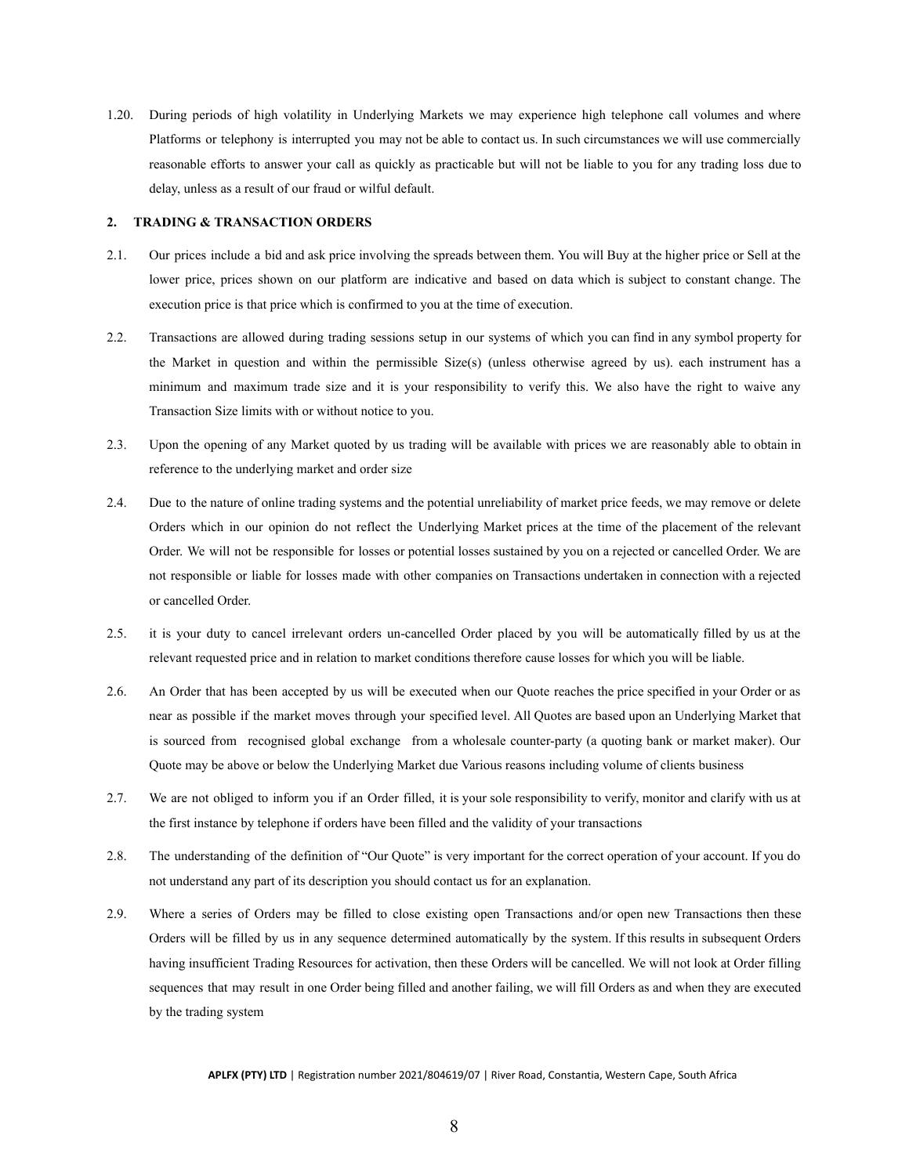1.20. During periods of high volatility in Underlying Markets we may experience high telephone call volumes and where Platforms or telephony is interrupted you may not be able to contact us. In such circumstances we will use commercially reasonable efforts to answer your call as quickly as practicable but will not be liable to you for any trading loss due to delay, unless as a result of our fraud or wilful default.

#### <span id="page-8-0"></span>**2. TRADING & TRANSACTION ORDERS**

- 2.1. Our prices include a bid and ask price involving the spreads between them. You will Buy at the higher price or Sell at the lower price, prices shown on our platform are indicative and based on data which is subject to constant change. The execution price is that price which is confirmed to you at the time of execution.
- 2.2. Transactions are allowed during trading sessions setup in our systems of which you can find in any symbol property for the Market in question and within the permissible Size(s) (unless otherwise agreed by us). each instrument has a minimum and maximum trade size and it is your responsibility to verify this. We also have the right to waive any Transaction Size limits with or without notice to you.
- 2.3. Upon the opening of any Market quoted by us trading will be available with prices we are reasonably able to obtain in reference to the underlying market and order size
- 2.4. Due to the nature of online trading systems and the potential unreliability of market price feeds, we may remove or delete Orders which in our opinion do not reflect the Underlying Market prices at the time of the placement of the relevant Order. We will not be responsible for losses or potential losses sustained by you on a rejected or cancelled Order. We are not responsible or liable for losses made with other companies on Transactions undertaken in connection with a rejected or cancelled Order.
- 2.5. it is your duty to cancel irrelevant orders un-cancelled Order placed by you will be automatically filled by us at the relevant requested price and in relation to market conditions therefore cause losses for which you will be liable.
- 2.6. An Order that has been accepted by us will be executed when our Quote reaches the price specified in your Order or as near as possible if the market moves through your specified level. All Quotes are based upon an Underlying Market that is sourced from recognised global exchange from a wholesale counter-party (a quoting bank or market maker). Our Quote may be above or below the Underlying Market due Various reasons including volume of clients business
- 2.7. We are not obliged to inform you if an Order filled, it is your sole responsibility to verify, monitor and clarify with us at the first instance by telephone if orders have been filled and the validity of your transactions
- 2.8. The understanding of the definition of "Our Quote" is very important for the correct operation of your account. If you do not understand any part of its description you should contact us for an explanation.
- 2.9. Where a series of Orders may be filled to close existing open Transactions and/or open new Transactions then these Orders will be filled by us in any sequence determined automatically by the system. If this results in subsequent Orders having insufficient Trading Resources for activation, then these Orders will be cancelled. We will not look at Order filling sequences that may result in one Order being filled and another failing, we will fill Orders as and when they are executed by the trading system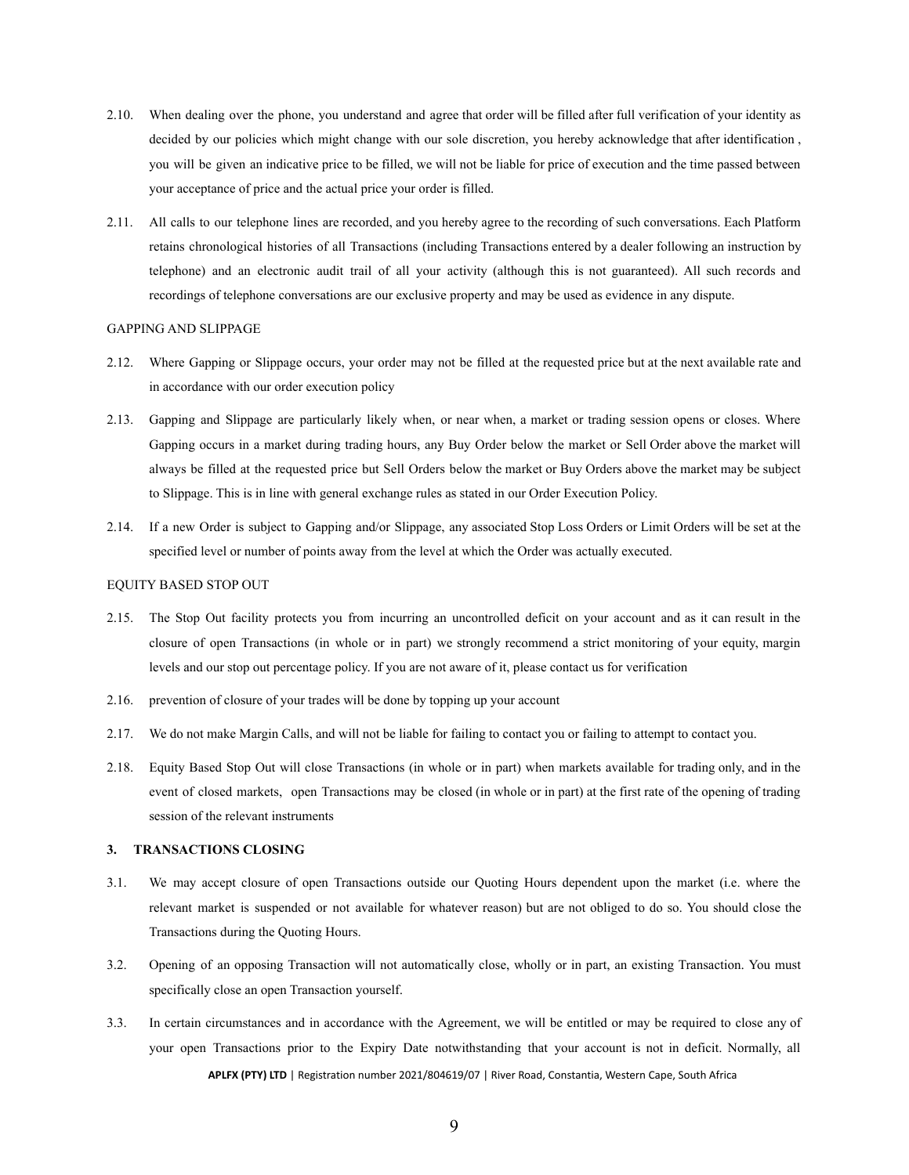- 2.10. When dealing over the phone, you understand and agree that order will be filled after full verification of your identity as decided by our policies which might change with our sole discretion, you hereby acknowledge that after identification , you will be given an indicative price to be filled, we will not be liable for price of execution and the time passed between your acceptance of price and the actual price your order is filled.
- 2.11. All calls to our telephone lines are recorded, and you hereby agree to the recording of such conversations. Each Platform retains chronological histories of all Transactions (including Transactions entered by a dealer following an instruction by telephone) and an electronic audit trail of all your activity (although this is not guaranteed). All such records and recordings of telephone conversations are our exclusive property and may be used as evidence in any dispute.

#### <span id="page-9-0"></span>GAPPING AND SLIPPAGE

- 2.12. Where Gapping or Slippage occurs, your order may not be filled at the requested price but at the next available rate and in accordance with our order execution policy
- 2.13. Gapping and Slippage are particularly likely when, or near when, a market or trading session opens or closes. Where Gapping occurs in a market during trading hours, any Buy Order below the market or Sell Order above the market will always be filled at the requested price but Sell Orders below the market or Buy Orders above the market may be subject to Slippage. This is in line with general exchange rules as stated in our Order Execution Policy.
- 2.14. If a new Order is subject to Gapping and/or Slippage, any associated Stop Loss Orders or Limit Orders will be set at the specified level or number of points away from the level at which the Order was actually executed.

#### <span id="page-9-1"></span>EQUITY BASED STOP OUT

- 2.15. The Stop Out facility protects you from incurring an uncontrolled deficit on your account and as it can result in the closure of open Transactions (in whole or in part) we strongly recommend a strict monitoring of your equity, margin levels and our stop out percentage policy. If you are not aware of it, please contact us for verification
- 2.16. prevention of closure of your trades will be done by topping up your account
- 2.17. We do not make Margin Calls, and will not be liable for failing to contact you or failing to attempt to contact you.
- 2.18. Equity Based Stop Out will close Transactions (in whole or in part) when markets available for trading only, and in the event of closed markets, open Transactions may be closed (in whole or in part) at the first rate of the opening of trading session of the relevant instruments

#### <span id="page-9-2"></span>**3. TRANSACTIONS CLOSING**

- 3.1. We may accept closure of open Transactions outside our Quoting Hours dependent upon the market (i.e. where the relevant market is suspended or not available for whatever reason) but are not obliged to do so. You should close the Transactions during the Quoting Hours.
- 3.2. Opening of an opposing Transaction will not automatically close, wholly or in part, an existing Transaction. You must specifically close an open Transaction yourself.
- 3.3. In certain circumstances and in accordance with the Agreement, we will be entitled or may be required to close any of your open Transactions prior to the Expiry Date notwithstanding that your account is not in deficit. Normally, all **APLFX (PTY) LTD** | Registration number 2021/804619/07 | River Road, Constantia, Western Cape, South Africa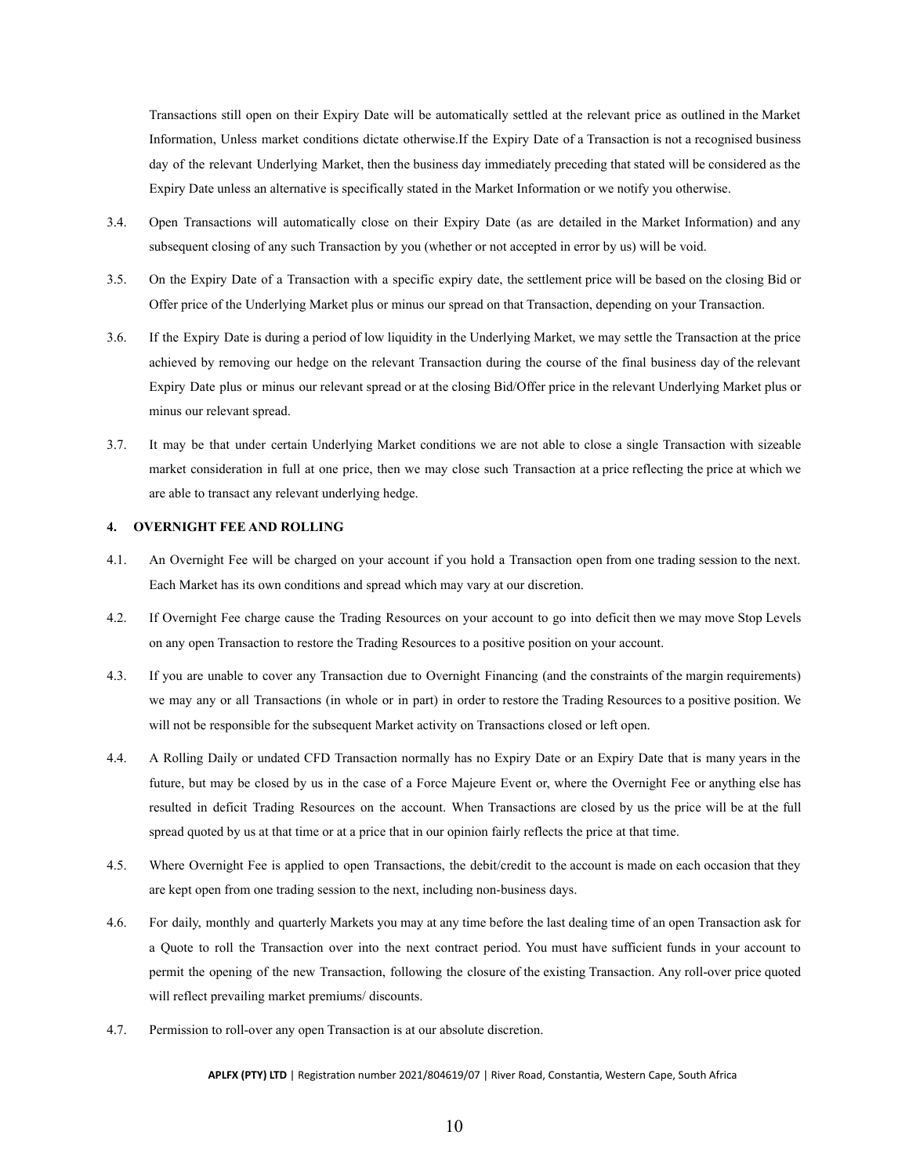Transactions still open on their Expiry Date will be automatically settled at the relevant price as outlined in the Market Information, Unless market conditions dictate otherwise.If the Expiry Date of a Transaction is not a recognised business day of the relevant Underlying Market, then the business day immediately preceding that stated will be considered as the Expiry Date unless an alternative is specifically stated in the Market Information or we notify you otherwise.

- 3.4. Open Transactions will automatically close on their Expiry Date (as are detailed in the Market Information) and any subsequent closing of any such Transaction by you (whether or not accepted in error by us) will be void.
- 3.5. On the Expiry Date of a Transaction with a specific expiry date, the settlement price will be based on the closing Bid or Offer price of the Underlying Market plus or minus our spread on that Transaction, depending on your Transaction.
- 3.6. If the Expiry Date is during a period of low liquidity in the Underlying Market, we may settle the Transaction at the price achieved by removing our hedge on the relevant Transaction during the course of the final business day of the relevant Expiry Date plus or minus our relevant spread or at the closing Bid/Offer price in the relevant Underlying Market plus or minus our relevant spread.
- 3.7. It may be that under certain Underlying Market conditions we are not able to close a single Transaction with sizeable market consideration in full at one price, then we may close such Transaction at a price reflecting the price at which we are able to transact any relevant underlying hedge.

### <span id="page-10-0"></span>**4. OVERNIGHT FEE AND ROLLING**

- 4.1. An Overnight Fee will be charged on your account if you hold a Transaction open from one trading session to the next. Each Market has its own conditions and spread which may vary at our discretion.
- 4.2. If Overnight Fee charge cause the Trading Resources on your account to go into deficit then we may move Stop Levels on any open Transaction to restore the Trading Resources to a positive position on your account.
- 4.3. If you are unable to cover any Transaction due to Overnight Financing (and the constraints of the margin requirements) we may any or all Transactions (in whole or in part) in order to restore the Trading Resources to a positive position. We will not be responsible for the subsequent Market activity on Transactions closed or left open.
- 4.4. A Rolling Daily or undated CFD Transaction normally has no Expiry Date or an Expiry Date that is many years in the future, but may be closed by us in the case of a Force Majeure Event or, where the Overnight Fee or anything else has resulted in deficit Trading Resources on the account. When Transactions are closed by us the price will be at the full spread quoted by us at that time or at a price that in our opinion fairly reflects the price at that time.
- 4.5. Where Overnight Fee is applied to open Transactions, the debit/credit to the account is made on each occasion that they are kept open from one trading session to the next, including non-business days.
- 4.6. For daily, monthly and quarterly Markets you may at any time before the last dealing time of an open Transaction ask for a Quote to roll the Transaction over into the next contract period. You must have sufficient funds in your account to permit the opening of the new Transaction, following the closure of the existing Transaction. Any roll-over price quoted will reflect prevailing market premiums/ discounts.
- 4.7. Permission to roll-over any open Transaction is at our absolute discretion.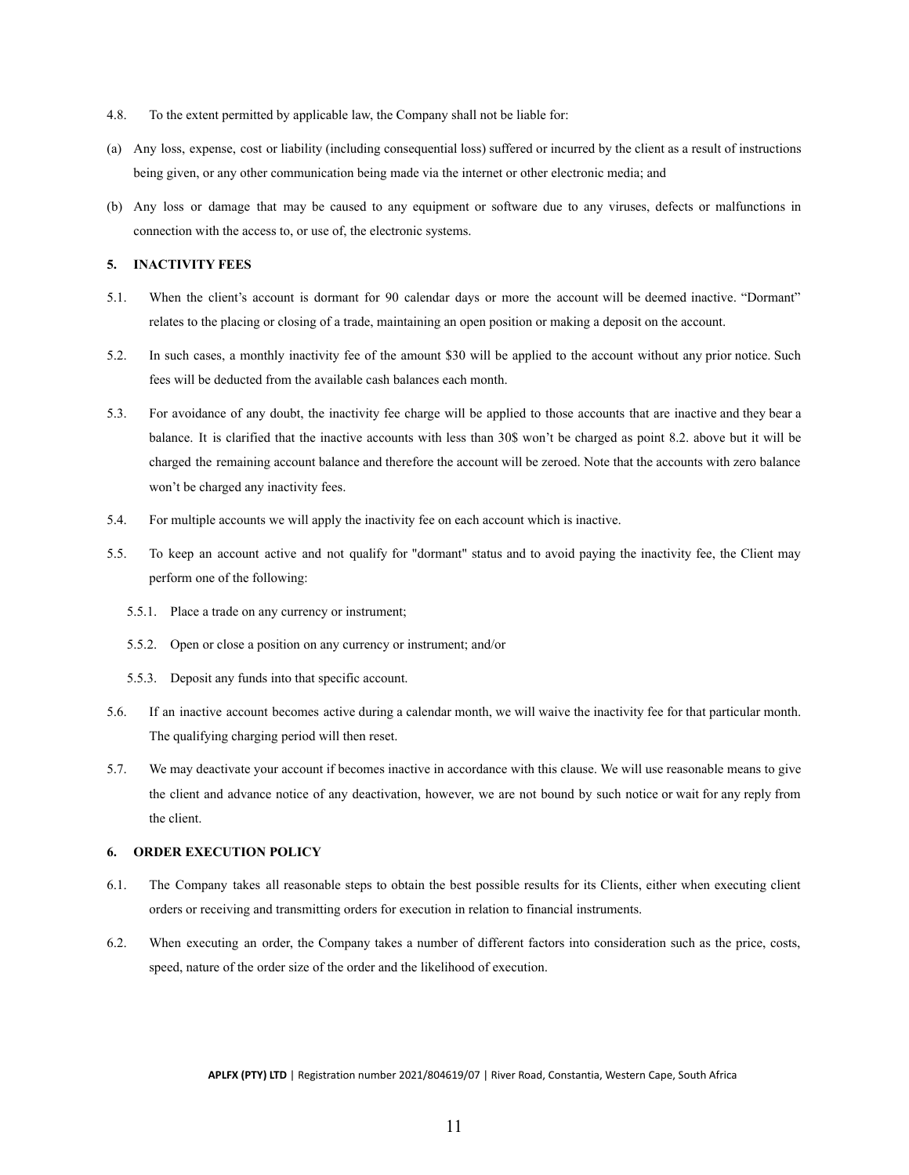- 4.8. To the extent permitted by applicable law, the Company shall not be liable for:
- (a) Any loss, expense, cost or liability (including consequential loss) suffered or incurred by the client as a result of instructions being given, or any other communication being made via the internet or other electronic media; and
- (b) Any loss or damage that may be caused to any equipment or software due to any viruses, defects or malfunctions in connection with the access to, or use of, the electronic systems.

# <span id="page-11-0"></span>**5. INACTIVITY FEES**

- 5.1. When the client's account is dormant for 90 calendar days or more the account will be deemed inactive. "Dormant" relates to the placing or closing of a trade, maintaining an open position or making a deposit on the account.
- 5.2. In such cases, a monthly inactivity fee of the amount \$30 will be applied to the account without any prior notice. Such fees will be deducted from the available cash balances each month.
- 5.3. For avoidance of any doubt, the inactivity fee charge will be applied to those accounts that are inactive and they bear a balance. It is clarified that the inactive accounts with less than 30\$ won't be charged as point 8.2. above but it will be charged the remaining account balance and therefore the account will be zeroed. Note that the accounts with zero balance won't be charged any inactivity fees.
- 5.4. For multiple accounts we will apply the inactivity fee on each account which is inactive.
- 5.5. To keep an account active and not qualify for "dormant" status and to avoid paying the inactivity fee, the Client may perform one of the following:
	- 5.5.1. Place a trade on any currency or instrument;
	- 5.5.2. Open or close a position on any currency or instrument; and/or
	- 5.5.3. Deposit any funds into that specific account.
- 5.6. If an inactive account becomes active during a calendar month, we will waive the inactivity fee for that particular month. The qualifying charging period will then reset.
- 5.7. We may deactivate your account if becomes inactive in accordance with this clause. We will use reasonable means to give the client and advance notice of any deactivation, however, we are not bound by such notice or wait for any reply from the client.

### <span id="page-11-1"></span>**6. ORDER EXECUTION POLICY**

- 6.1. The Company takes all reasonable steps to obtain the best possible results for its Clients, either when executing client orders or receiving and transmitting orders for execution in relation to financial instruments.
- 6.2. When executing an order, the Company takes a number of different factors into consideration such as the price, costs, speed, nature of the order size of the order and the likelihood of execution.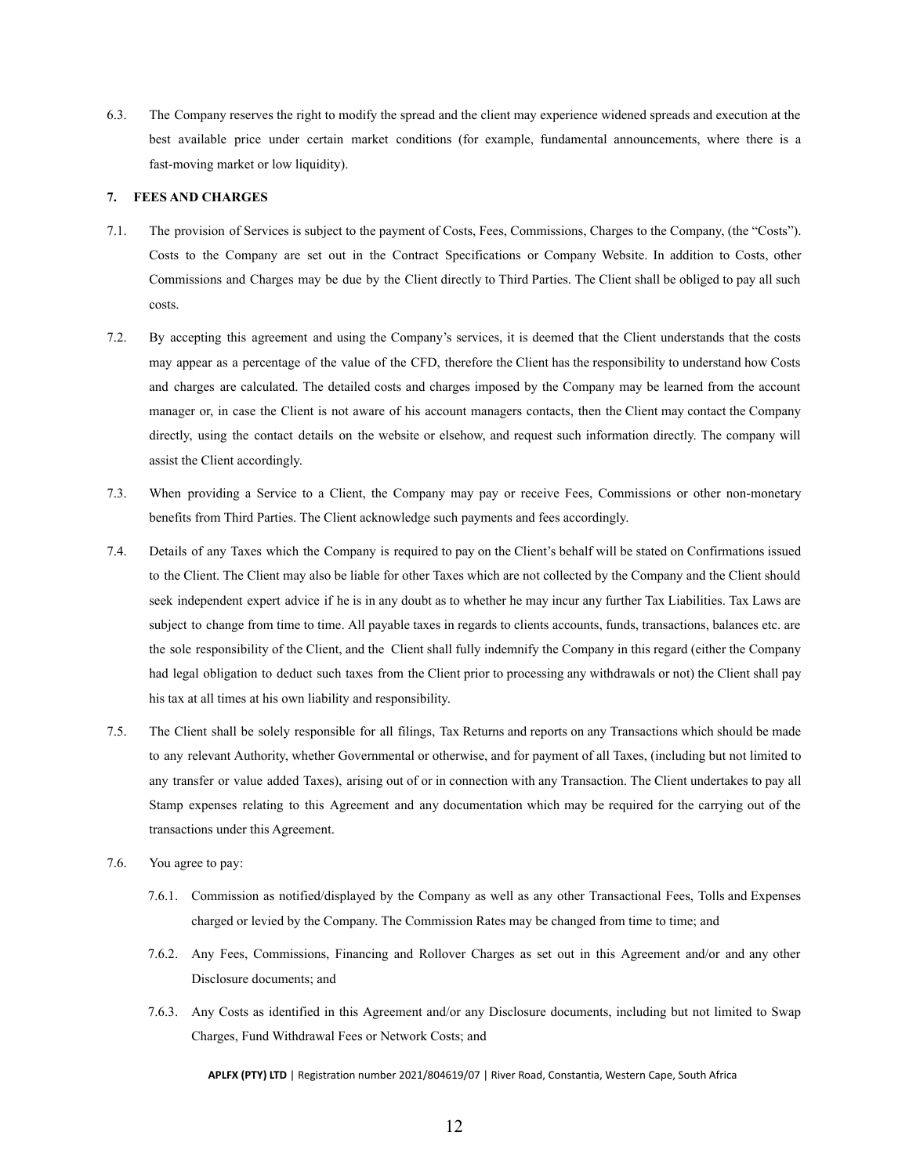6.3. The Company reserves the right to modify the spread and the client may experience widened spreads and execution at the best available price under certain market conditions (for example, fundamental announcements, where there is a fast-moving market or low liquidity).

#### <span id="page-12-0"></span>**7. FEES AND CHARGES**

- 7.1. The provision of Services is subject to the payment of Costs, Fees, Commissions, Charges to the Company, (the "Costs"). Costs to the Company are set out in the Contract Specifications or Company Website. In addition to Costs, other Commissions and Charges may be due by the Client directly to Third Parties. The Client shall be obliged to pay all such costs.
- 7.2. By accepting this agreement and using the Company's services, it is deemed that the Client understands that the costs may appear as a percentage of the value of the CFD, therefore the Client has the responsibility to understand how Costs and charges are calculated. The detailed costs and charges imposed by the Company may be learned from the account manager or, in case the Client is not aware of his account managers contacts, then the Client may contact the Company directly, using the contact details on the website or elsehow, and request such information directly. The company will assist the Client accordingly.
- 7.3. When providing a Service to a Client, the Company may pay or receive Fees, Commissions or other non-monetary benefits from Third Parties. The Client acknowledge such payments and fees accordingly.
- 7.4. Details of any Taxes which the Company is required to pay on the Client's behalf will be stated on Confirmations issued to the Client. The Client may also be liable for other Taxes which are not collected by the Company and the Client should seek independent expert advice if he is in any doubt as to whether he may incur any further Tax Liabilities. Tax Laws are subject to change from time to time. All payable taxes in regards to clients accounts, funds, transactions, balances etc. are the sole responsibility of the Client, and the Client shall fully indemnify the Company in this regard (either the Company had legal obligation to deduct such taxes from the Client prior to processing any withdrawals or not) the Client shall pay his tax at all times at his own liability and responsibility.
- 7.5. The Client shall be solely responsible for all filings, Tax Returns and reports on any Transactions which should be made to any relevant Authority, whether Governmental or otherwise, and for payment of all Taxes, (including but not limited to any transfer or value added Taxes), arising out of or in connection with any Transaction. The Client undertakes to pay all Stamp expenses relating to this Agreement and any documentation which may be required for the carrying out of the transactions under this Agreement.
- 7.6. You agree to pay:
	- 7.6.1. Commission as notified/displayed by the Company as well as any other Transactional Fees, Tolls and Expenses charged or levied by the Company. The Commission Rates may be changed from time to time; and
	- 7.6.2. Any Fees, Commissions, Financing and Rollover Charges as set out in this Agreement and/or and any other Disclosure documents; and
	- 7.6.3. Any Costs as identified in this Agreement and/or any Disclosure documents, including but not limited to Swap Charges, Fund Withdrawal Fees or Network Costs; and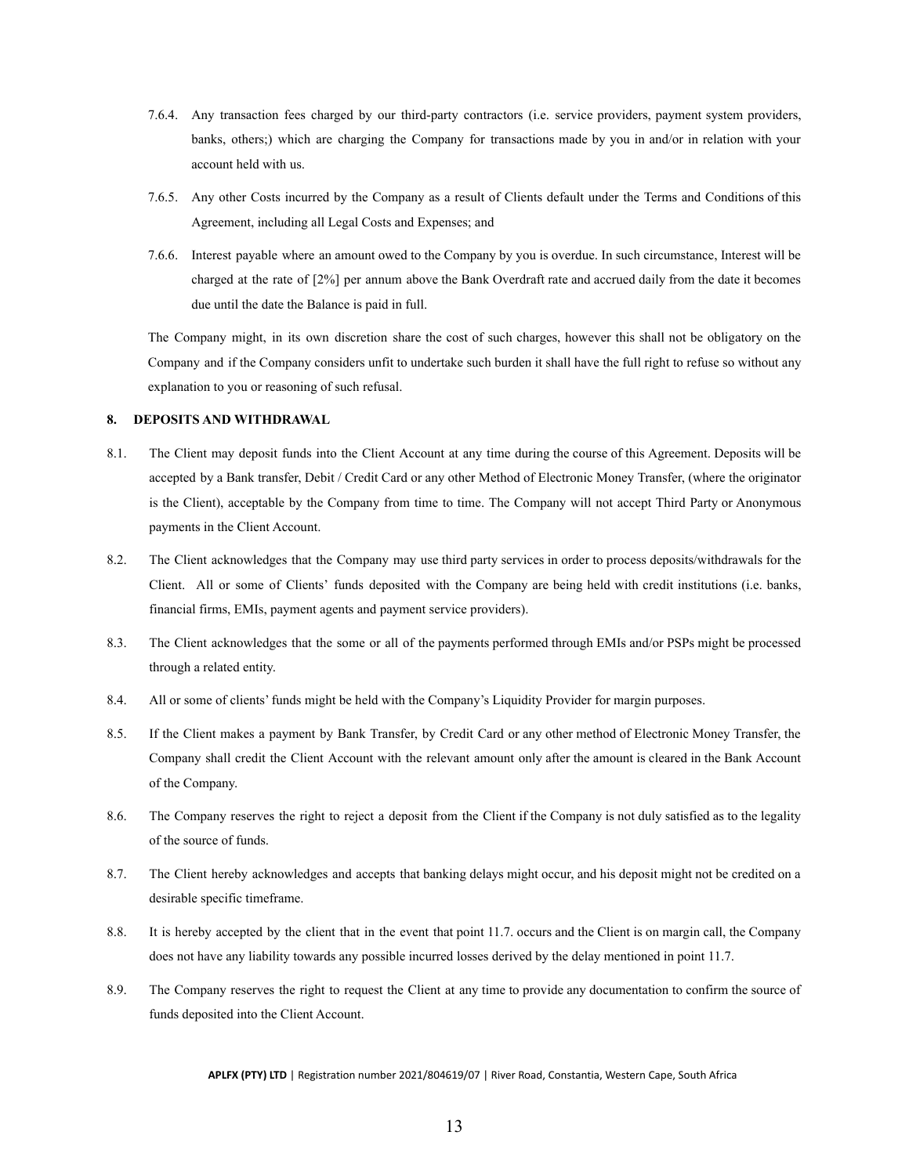- 7.6.4. Any transaction fees charged by our third-party contractors (i.e. service providers, payment system providers, banks, others;) which are charging the Company for transactions made by you in and/or in relation with your account held with us.
- 7.6.5. Any other Costs incurred by the Company as a result of Clients default under the Terms and Conditions of this Agreement, including all Legal Costs and Expenses; and
- 7.6.6. Interest payable where an amount owed to the Company by you is overdue. In such circumstance, Interest will be charged at the rate of [2%] per annum above the Bank Overdraft rate and accrued daily from the date it becomes due until the date the Balance is paid in full.

The Company might, in its own discretion share the cost of such charges, however this shall not be obligatory on the Company and if the Company considers unfit to undertake such burden it shall have the full right to refuse so without any explanation to you or reasoning of such refusal.

### <span id="page-13-0"></span>**8. DEPOSITS AND WITHDRAWAL**

- 8.1. The Client may deposit funds into the Client Account at any time during the course of this Agreement. Deposits will be accepted by a Bank transfer, Debit / Credit Card or any other Method of Electronic Money Transfer, (where the originator is the Client), acceptable by the Company from time to time. The Company will not accept Third Party or Anonymous payments in the Client Account.
- 8.2. The Client acknowledges that the Company may use third party services in order to process deposits/withdrawals for the Client. All or some of Clients' funds deposited with the Company are being held with credit institutions (i.e. banks, financial firms, EMIs, payment agents and payment service providers).
- 8.3. The Client acknowledges that the some or all of the payments performed through EMIs and/or PSPs might be processed through a related entity.
- 8.4. All or some of clients' funds might be held with the Company's Liquidity Provider for margin purposes.
- 8.5. If the Client makes a payment by Bank Transfer, by Credit Card or any other method of Electronic Money Transfer, the Company shall credit the Client Account with the relevant amount only after the amount is cleared in the Bank Account of the Company.
- 8.6. The Company reserves the right to reject a deposit from the Client if the Company is not duly satisfied as to the legality of the source of funds.
- 8.7. The Client hereby acknowledges and accepts that banking delays might occur, and his deposit might not be credited on a desirable specific timeframe.
- 8.8. It is hereby accepted by the client that in the event that point 11.7. occurs and the Client is on margin call, the Company does not have any liability towards any possible incurred losses derived by the delay mentioned in point 11.7.
- 8.9. The Company reserves the right to request the Client at any time to provide any documentation to confirm the source of funds deposited into the Client Account.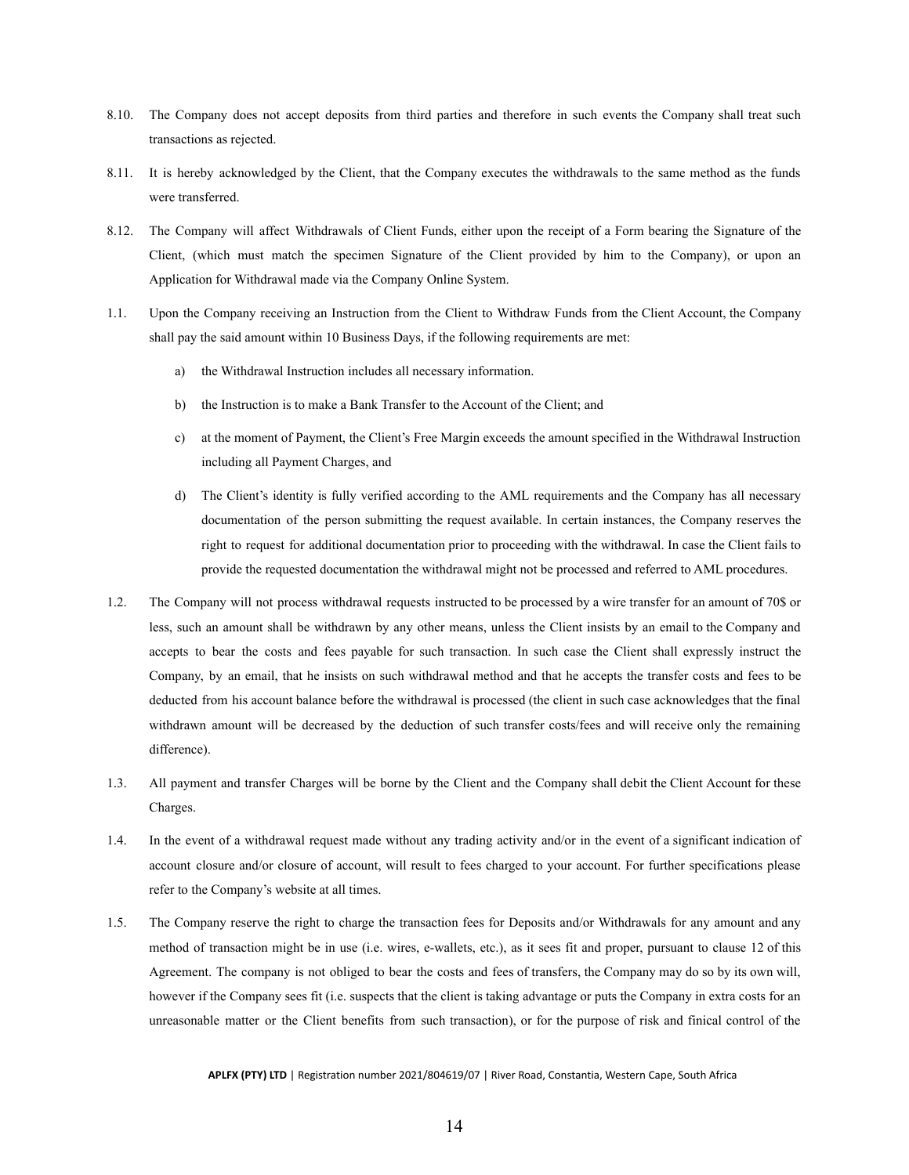- 8.10. The Company does not accept deposits from third parties and therefore in such events the Company shall treat such transactions as rejected.
- 8.11. It is hereby acknowledged by the Client, that the Company executes the withdrawals to the same method as the funds were transferred.
- 8.12. The Company will affect Withdrawals of Client Funds, either upon the receipt of a Form bearing the Signature of the Client, (which must match the specimen Signature of the Client provided by him to the Company), or upon an Application for Withdrawal made via the Company Online System.
- 1.1. Upon the Company receiving an Instruction from the Client to Withdraw Funds from the Client Account, the Company shall pay the said amount within 10 Business Days, if the following requirements are met:
	- a) the Withdrawal Instruction includes all necessary information.
	- b) the Instruction is to make a Bank Transfer to the Account of the Client; and
	- c) at the moment of Payment, the Client's Free Margin exceeds the amount specified in the Withdrawal Instruction including all Payment Charges, and
	- d) The Client's identity is fully verified according to the AML requirements and the Company has all necessary documentation of the person submitting the request available. In certain instances, the Company reserves the right to request for additional documentation prior to proceeding with the withdrawal. In case the Client fails to provide the requested documentation the withdrawal might not be processed and referred to AML procedures.
- 1.2. The Company will not process withdrawal requests instructed to be processed by a wire transfer for an amount of 70\$ or less, such an amount shall be withdrawn by any other means, unless the Client insists by an email to the Company and accepts to bear the costs and fees payable for such transaction. In such case the Client shall expressly instruct the Company, by an email, that he insists on such withdrawal method and that he accepts the transfer costs and fees to be deducted from his account balance before the withdrawal is processed (the client in such case acknowledges that the final withdrawn amount will be decreased by the deduction of such transfer costs/fees and will receive only the remaining difference).
- 1.3. All payment and transfer Charges will be borne by the Client and the Company shall debit the Client Account for these Charges.
- 1.4. In the event of a withdrawal request made without any trading activity and/or in the event of a significant indication of account closure and/or closure of account, will result to fees charged to your account. For further specifications please refer to the Company's website at all times.
- 1.5. The Company reserve the right to charge the transaction fees for Deposits and/or Withdrawals for any amount and any method of transaction might be in use (i.e. wires, e-wallets, etc.), as it sees fit and proper, pursuant to clause 12 of this Agreement. The company is not obliged to bear the costs and fees of transfers, the Company may do so by its own will, however if the Company sees fit (i.e. suspects that the client is taking advantage or puts the Company in extra costs for an unreasonable matter or the Client benefits from such transaction), or for the purpose of risk and finical control of the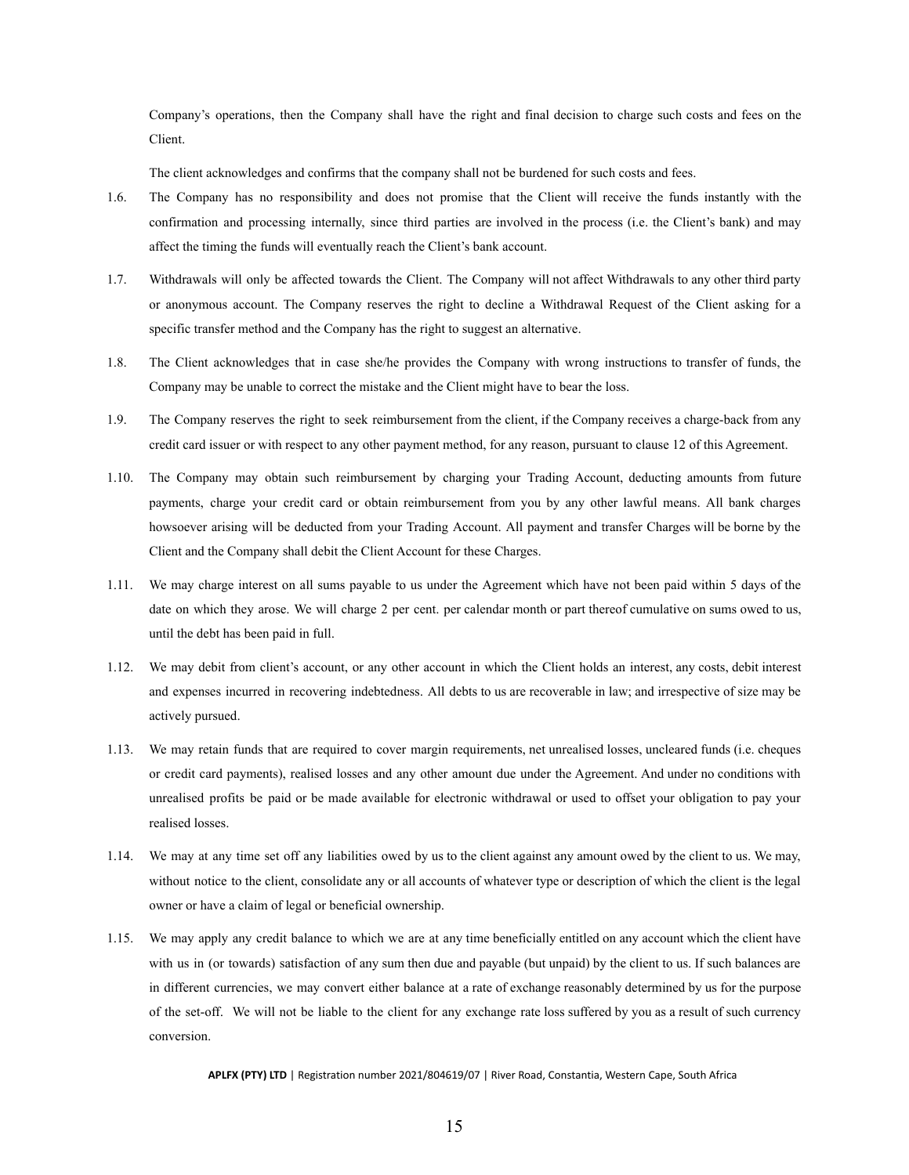Company's operations, then the Company shall have the right and final decision to charge such costs and fees on the Client.

The client acknowledges and confirms that the company shall not be burdened for such costs and fees.

- 1.6. The Company has no responsibility and does not promise that the Client will receive the funds instantly with the confirmation and processing internally, since third parties are involved in the process (i.e. the Client's bank) and may affect the timing the funds will eventually reach the Client's bank account.
- 1.7. Withdrawals will only be affected towards the Client. The Company will not affect Withdrawals to any other third party or anonymous account. The Company reserves the right to decline a Withdrawal Request of the Client asking for a specific transfer method and the Company has the right to suggest an alternative.
- 1.8. The Client acknowledges that in case she/he provides the Company with wrong instructions to transfer of funds, the Company may be unable to correct the mistake and the Client might have to bear the loss.
- 1.9. The Company reserves the right to seek reimbursement from the client, if the Company receives a charge-back from any credit card issuer or with respect to any other payment method, for any reason, pursuant to clause 12 of this Agreement.
- 1.10. The Company may obtain such reimbursement by charging your Trading Account, deducting amounts from future payments, charge your credit card or obtain reimbursement from you by any other lawful means. All bank charges howsoever arising will be deducted from your Trading Account. All payment and transfer Charges will be borne by the Client and the Company shall debit the Client Account for these Charges.
- 1.11. We may charge interest on all sums payable to us under the Agreement which have not been paid within 5 days of the date on which they arose. We will charge 2 per cent. per calendar month or part thereof cumulative on sums owed to us, until the debt has been paid in full.
- 1.12. We may debit from client's account, or any other account in which the Client holds an interest, any costs, debit interest and expenses incurred in recovering indebtedness. All debts to us are recoverable in law; and irrespective of size may be actively pursued.
- 1.13. We may retain funds that are required to cover margin requirements, net unrealised losses, uncleared funds (i.e. cheques or credit card payments), realised losses and any other amount due under the Agreement. And under no conditions with unrealised profits be paid or be made available for electronic withdrawal or used to offset your obligation to pay your realised losses.
- 1.14. We may at any time set off any liabilities owed by us to the client against any amount owed by the client to us. We may, without notice to the client, consolidate any or all accounts of whatever type or description of which the client is the legal owner or have a claim of legal or beneficial ownership.
- 1.15. We may apply any credit balance to which we are at any time beneficially entitled on any account which the client have with us in (or towards) satisfaction of any sum then due and payable (but unpaid) by the client to us. If such balances are in different currencies, we may convert either balance at a rate of exchange reasonably determined by us for the purpose of the set-off. We will not be liable to the client for any exchange rate loss suffered by you as a result of such currency conversion.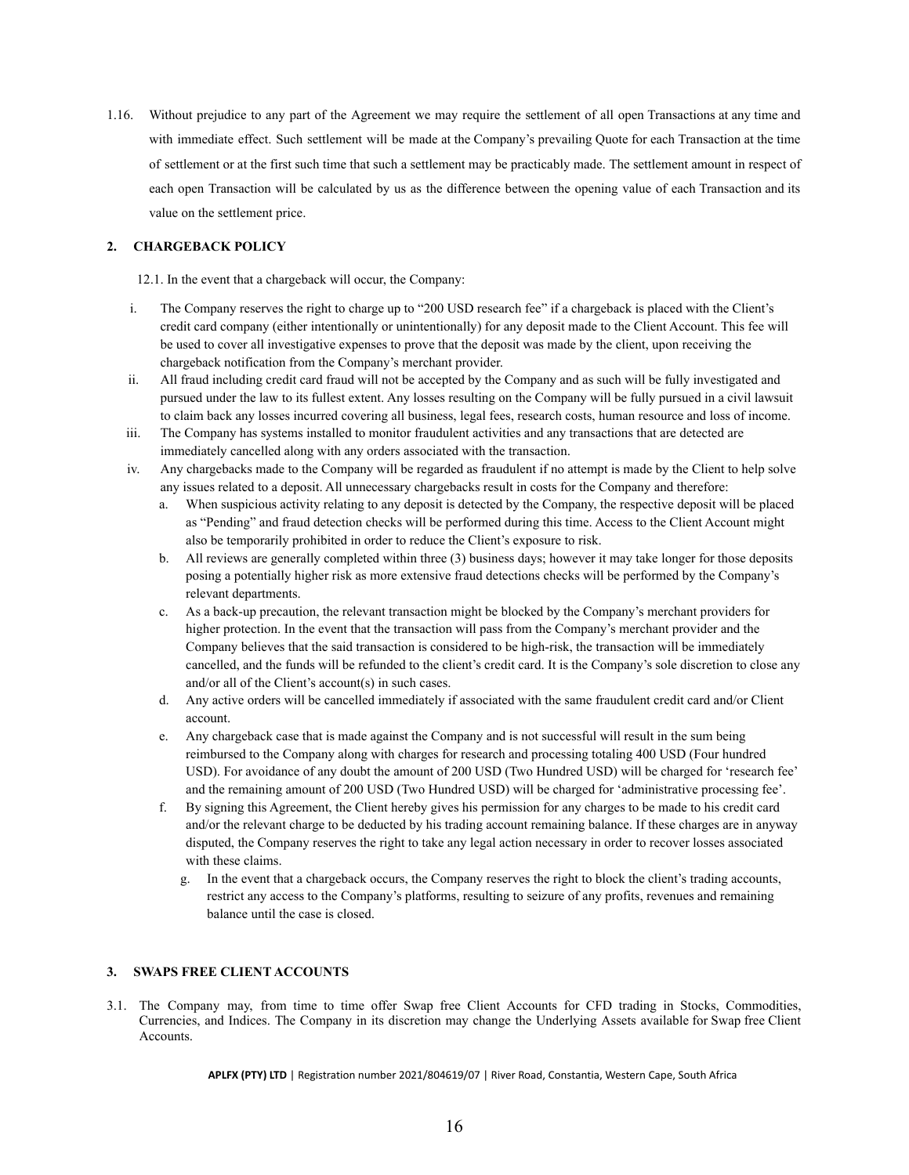1.16. Without prejudice to any part of the Agreement we may require the settlement of all open Transactions at any time and with immediate effect. Such settlement will be made at the Company's prevailing Quote for each Transaction at the time of settlement or at the first such time that such a settlement may be practicably made. The settlement amount in respect of each open Transaction will be calculated by us as the difference between the opening value of each Transaction and its value on the settlement price.

## <span id="page-16-0"></span>**2. CHARGEBACK POLICY**

12.1. In the event that a chargeback will occur, the Company:

- i. The Company reserves the right to charge up to "200 USD research fee" if a chargeback is placed with the Client's credit card company (either intentionally or unintentionally) for any deposit made to the Client Account. This fee will be used to cover all investigative expenses to prove that the deposit was made by the client, upon receiving the chargeback notification from the Company's merchant provider.
- ii. All fraud including credit card fraud will not be accepted by the Company and as such will be fully investigated and pursued under the law to its fullest extent. Any losses resulting on the Company will be fully pursued in a civil lawsuit to claim back any losses incurred covering all business, legal fees, research costs, human resource and loss of income.
- iii. The Company has systems installed to monitor fraudulent activities and any transactions that are detected are immediately cancelled along with any orders associated with the transaction.
- iv. Any chargebacks made to the Company will be regarded as fraudulent if no attempt is made by the Client to help solve any issues related to a deposit. All unnecessary chargebacks result in costs for the Company and therefore:
	- a. When suspicious activity relating to any deposit is detected by the Company, the respective deposit will be placed as "Pending" and fraud detection checks will be performed during this time. Access to the Client Account might also be temporarily prohibited in order to reduce the Client's exposure to risk.
	- b. All reviews are generally completed within three (3) business days; however it may take longer for those deposits posing a potentially higher risk as more extensive fraud detections checks will be performed by the Company's relevant departments.
	- c. As a back-up precaution, the relevant transaction might be blocked by the Company's merchant providers for higher protection. In the event that the transaction will pass from the Company's merchant provider and the Company believes that the said transaction is considered to be high-risk, the transaction will be immediately cancelled, and the funds will be refunded to the client's credit card. It is the Company's sole discretion to close any and/or all of the Client's account(s) in such cases.
	- d. Any active orders will be cancelled immediately if associated with the same fraudulent credit card and/or Client account.
	- e. Any chargeback case that is made against the Company and is not successful will result in the sum being reimbursed to the Company along with charges for research and processing totaling 400 USD (Four hundred USD). For avoidance of any doubt the amount of 200 USD (Two Hundred USD) will be charged for 'research fee' and the remaining amount of 200 USD (Two Hundred USD) will be charged for 'administrative processing fee'.
	- f. By signing this Agreement, the Client hereby gives his permission for any charges to be made to his credit card and/or the relevant charge to be deducted by his trading account remaining balance. If these charges are in anyway disputed, the Company reserves the right to take any legal action necessary in order to recover losses associated with these claims.
		- g. In the event that a chargeback occurs, the Company reserves the right to block the client's trading accounts, restrict any access to the Company's platforms, resulting to seizure of any profits, revenues and remaining balance until the case is closed.

# <span id="page-16-1"></span>**3. SWAPS FREE CLIENT ACCOUNTS**

3.1. The Company may, from time to time offer Swap free Client Accounts for CFD trading in Stocks, Commodities, Currencies, and Indices. The Company in its discretion may change the Underlying Assets available for Swap free Client Accounts.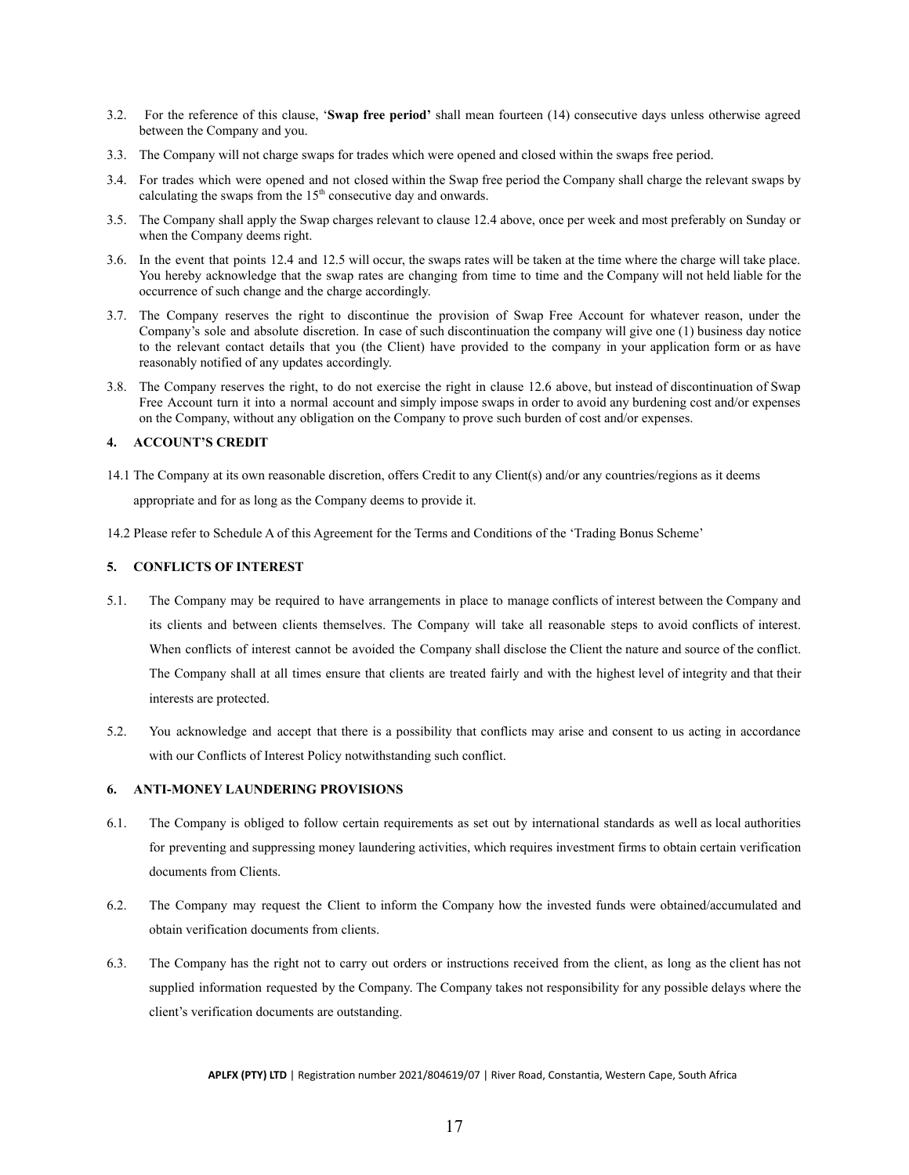- 3.2. For the reference of this clause, '**Swap free period'** shall mean fourteen (14) consecutive days unless otherwise agreed between the Company and you.
- 3.3. The Company will not charge swaps for trades which were opened and closed within the swaps free period.
- 3.4. For trades which were opened and not closed within the Swap free period the Company shall charge the relevant swaps by calculating the swaps from the  $15<sup>th</sup>$  consecutive day and onwards.
- 3.5. The Company shall apply the Swap charges relevant to clause 12.4 above, once per week and most preferably on Sunday or when the Company deems right.
- 3.6. In the event that points 12.4 and 12.5 will occur, the swaps rates will be taken at the time where the charge will take place. You hereby acknowledge that the swap rates are changing from time to time and the Company will not held liable for the occurrence of such change and the charge accordingly.
- 3.7. The Company reserves the right to discontinue the provision of Swap Free Account for whatever reason, under the Company's sole and absolute discretion. In case of such discontinuation the company will give one (1) business day notice to the relevant contact details that you (the Client) have provided to the company in your application form or as have reasonably notified of any updates accordingly.
- 3.8. The Company reserves the right, to do not exercise the right in clause 12.6 above, but instead of discontinuation of Swap Free Account turn it into a normal account and simply impose swaps in order to avoid any burdening cost and/or expenses on the Company, without any obligation on the Company to prove such burden of cost and/or expenses.

### <span id="page-17-0"></span>**4. ACCOUNT'S CREDIT**

- 14.1 The Company at its own reasonable discretion, offers Credit to any Client(s) and/or any countries/regions as it deems appropriate and for as long as the Company deems to provide it.
- 14.2 Please refer to Schedule A of this Agreement for the Terms and Conditions of the 'Trading Bonus Scheme'

### <span id="page-17-1"></span>**5. CONFLICTS OF INTEREST**

- 5.1. The Company may be required to have arrangements in place to manage conflicts of interest between the Company and its clients and between clients themselves. The Company will take all reasonable steps to avoid conflicts of interest. When conflicts of interest cannot be avoided the Company shall disclose the Client the nature and source of the conflict. The Company shall at all times ensure that clients are treated fairly and with the highest level of integrity and that their interests are protected.
- 5.2. You acknowledge and accept that there is a possibility that conflicts may arise and consent to us acting in accordance with our Conflicts of Interest Policy notwithstanding such conflict.

#### <span id="page-17-2"></span>**6. ANTI-MONEY LAUNDERING PROVISIONS**

- 6.1. The Company is obliged to follow certain requirements as set out by international standards as well as local authorities for preventing and suppressing money laundering activities, which requires investment firms to obtain certain verification documents from Clients.
- 6.2. The Company may request the Client to inform the Company how the invested funds were obtained/accumulated and obtain verification documents from clients.
- 6.3. The Company has the right not to carry out orders or instructions received from the client, as long as the client has not supplied information requested by the Company. The Company takes not responsibility for any possible delays where the client's verification documents are outstanding.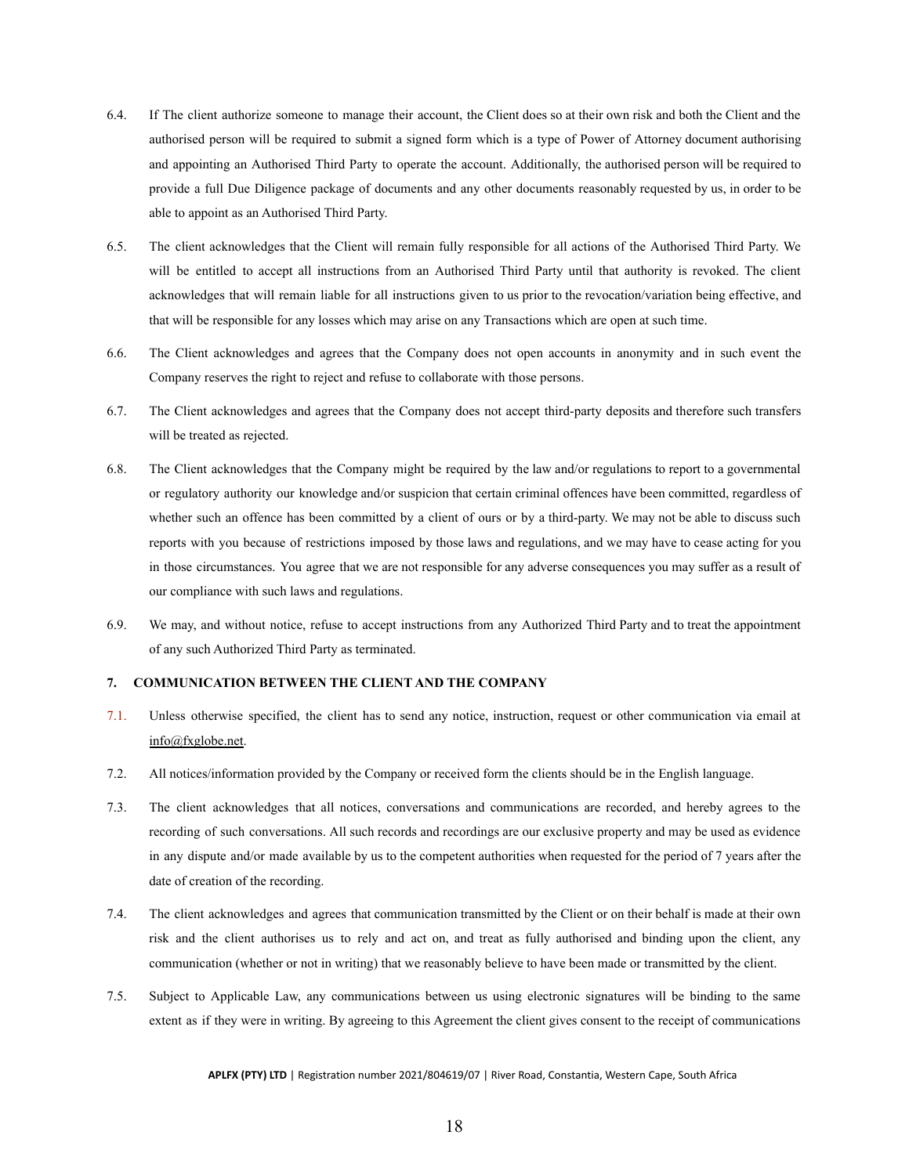- 6.4. If The client authorize someone to manage their account, the Client does so at their own risk and both the Client and the authorised person will be required to submit a signed form which is a type of Power of Attorney document authorising and appointing an Authorised Third Party to operate the account. Additionally, the authorised person will be required to provide a full Due Diligence package of documents and any other documents reasonably requested by us, in order to be able to appoint as an Authorised Third Party.
- 6.5. The client acknowledges that the Client will remain fully responsible for all actions of the Authorised Third Party. We will be entitled to accept all instructions from an Authorised Third Party until that authority is revoked. The client acknowledges that will remain liable for all instructions given to us prior to the revocation/variation being effective, and that will be responsible for any losses which may arise on any Transactions which are open at such time.
- 6.6. The Client acknowledges and agrees that the Company does not open accounts in anonymity and in such event the Company reserves the right to reject and refuse to collaborate with those persons.
- 6.7. The Client acknowledges and agrees that the Company does not accept third-party deposits and therefore such transfers will be treated as rejected.
- 6.8. The Client acknowledges that the Company might be required by the law and/or regulations to report to a governmental or regulatory authority our knowledge and/or suspicion that certain criminal offences have been committed, regardless of whether such an offence has been committed by a client of ours or by a third-party. We may not be able to discuss such reports with you because of restrictions imposed by those laws and regulations, and we may have to cease acting for you in those circumstances. You agree that we are not responsible for any adverse consequences you may suffer as a result of our compliance with such laws and regulations.
- 6.9. We may, and without notice, refuse to accept instructions from any Authorized Third Party and to treat the appointment of any such Authorized Third Party as terminated.

### <span id="page-18-0"></span>**7. COMMUNICATION BETWEEN THE CLIENT AND THE COMPANY**

- 7.1. Unless otherwise specified, the client has to send any notice, instruction, request or other communication via email at [info@fxglobe.net](mailto:info@fxglobe.net).
- 7.2. All notices/information provided by the Company or received form the clients should be in the English language.
- 7.3. The client acknowledges that all notices, conversations and communications are recorded, and hereby agrees to the recording of such conversations. All such records and recordings are our exclusive property and may be used as evidence in any dispute and/or made available by us to the competent authorities when requested for the period of 7 years after the date of creation of the recording.
- 7.4. The client acknowledges and agrees that communication transmitted by the Client or on their behalf is made at their own risk and the client authorises us to rely and act on, and treat as fully authorised and binding upon the client, any communication (whether or not in writing) that we reasonably believe to have been made or transmitted by the client.
- 7.5. Subject to Applicable Law, any communications between us using electronic signatures will be binding to the same extent as if they were in writing. By agreeing to this Agreement the client gives consent to the receipt of communications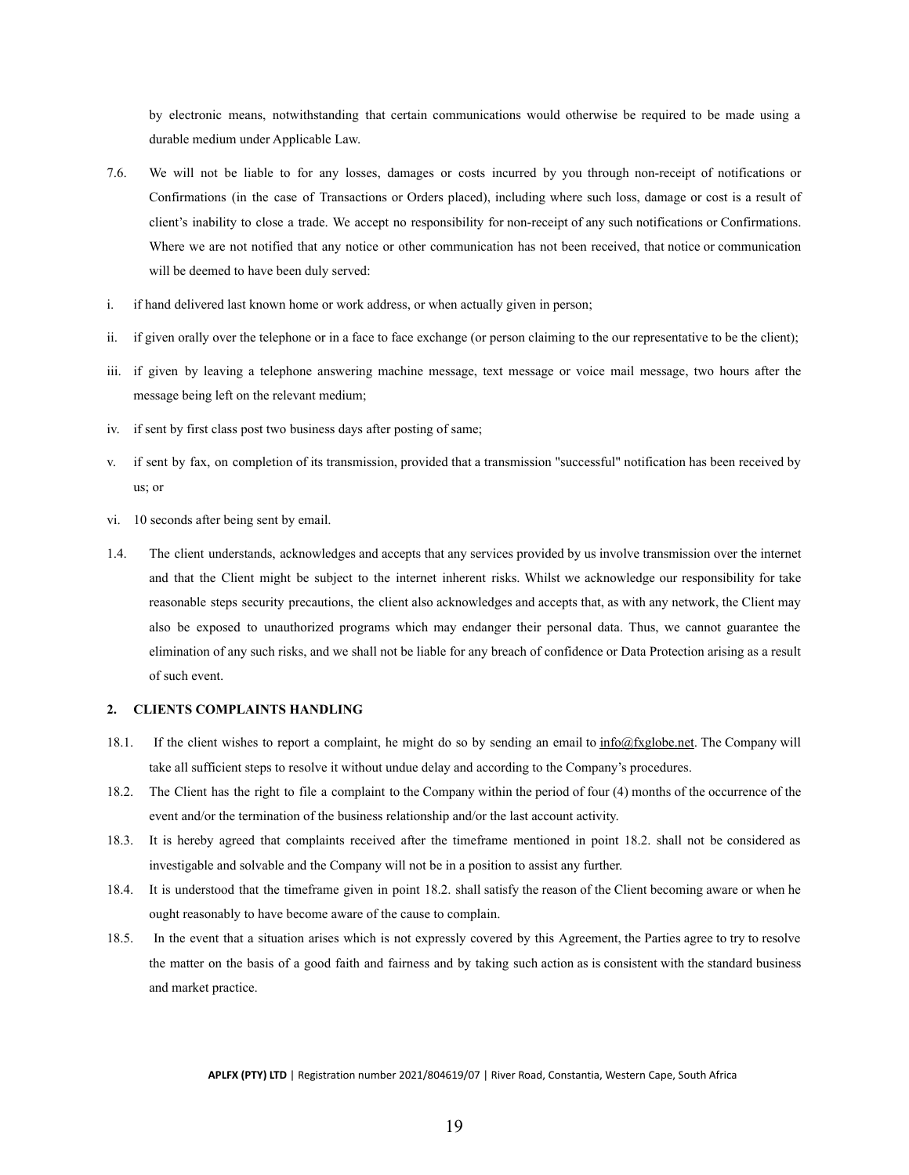by electronic means, notwithstanding that certain communications would otherwise be required to be made using a durable medium under Applicable Law.

- 7.6. We will not be liable to for any losses, damages or costs incurred by you through non-receipt of notifications or Confirmations (in the case of Transactions or Orders placed), including where such loss, damage or cost is a result of client's inability to close a trade. We accept no responsibility for non-receipt of any such notifications or Confirmations. Where we are not notified that any notice or other communication has not been received, that notice or communication will be deemed to have been duly served:
- i. if hand delivered last known home or work address, or when actually given in person;
- ii. if given orally over the telephone or in a face to face exchange (or person claiming to the our representative to be the client);
- iii. if given by leaving a telephone answering machine message, text message or voice mail message, two hours after the message being left on the relevant medium;
- iv. if sent by first class post two business days after posting of same;
- v. if sent by fax, on completion of its transmission, provided that a transmission "successful" notification has been received by us; or
- vi. 10 seconds after being sent by email.
- 1.4. The client understands, acknowledges and accepts that any services provided by us involve transmission over the internet and that the Client might be subject to the internet inherent risks. Whilst we acknowledge our responsibility for take reasonable steps security precautions, the client also acknowledges and accepts that, as with any network, the Client may also be exposed to unauthorized programs which may endanger their personal data. Thus, we cannot guarantee the elimination of any such risks, and we shall not be liable for any breach of confidence or Data Protection arising as a result of such event.

### <span id="page-19-0"></span>**2. CLIENTS COMPLAINTS HANDLING**

- 18.1. If the client wishes to report a complaint, he might do so by sending an email to [info@fxglobe.net.](mailto:info@fxglobe.net) The Company will take all sufficient steps to resolve it without undue delay and according to the Company's procedures.
- 18.2. The Client has the right to file a complaint to the Company within the period of four (4) months of the occurrence of the event and/or the termination of the business relationship and/or the last account activity.
- 18.3. It is hereby agreed that complaints received after the timeframe mentioned in point 18.2. shall not be considered as investigable and solvable and the Company will not be in a position to assist any further.
- 18.4. It is understood that the timeframe given in point 18.2. shall satisfy the reason of the Client becoming aware or when he ought reasonably to have become aware of the cause to complain.
- 18.5. In the event that a situation arises which is not expressly covered by this Agreement, the Parties agree to try to resolve the matter on the basis of a good faith and fairness and by taking such action as is consistent with the standard business and market practice.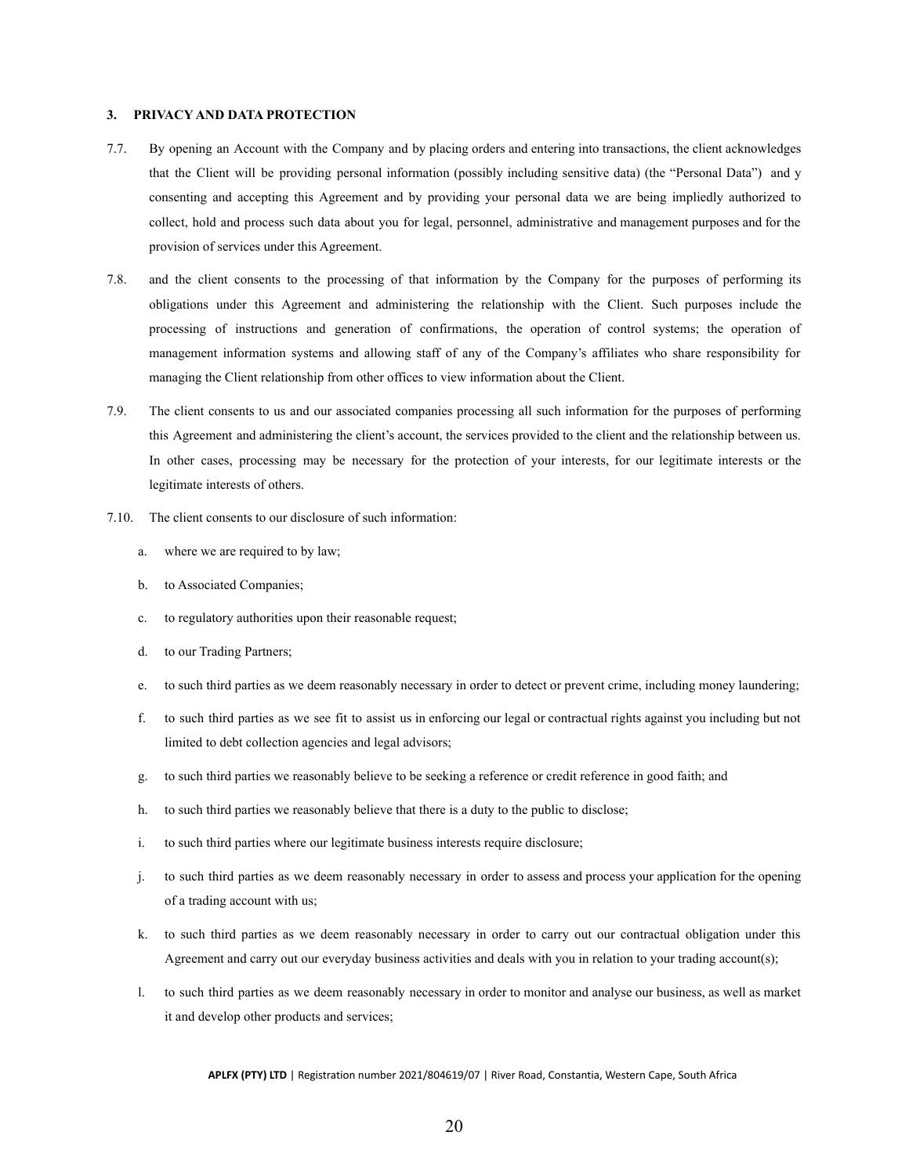### <span id="page-20-0"></span>**3. PRIVACY AND DATA PROTECTION**

- 7.7. By opening an Account with the Company and by placing orders and entering into transactions, the client acknowledges that the Client will be providing personal information (possibly including sensitive data) (the "Personal Data") and y consenting and accepting this Agreement and by providing your personal data we are being impliedly authorized to collect, hold and process such data about you for legal, personnel, administrative and management purposes and for the provision of services under this Agreement.
- 7.8. and the client consents to the processing of that information by the Company for the purposes of performing its obligations under this Agreement and administering the relationship with the Client. Such purposes include the processing of instructions and generation of confirmations, the operation of control systems; the operation of management information systems and allowing staff of any of the Company's affiliates who share responsibility for managing the Client relationship from other offices to view information about the Client.
- 7.9. The client consents to us and our associated companies processing all such information for the purposes of performing this Agreement and administering the client's account, the services provided to the client and the relationship between us. In other cases, processing may be necessary for the protection of your interests, for our legitimate interests or the legitimate interests of others.
- 7.10. The client consents to our disclosure of such information:
	- a. where we are required to by law;
	- b. to Associated Companies;
	- c. to regulatory authorities upon their reasonable request;
	- d. to our Trading Partners;
	- e. to such third parties as we deem reasonably necessary in order to detect or prevent crime, including money laundering;
	- f. to such third parties as we see fit to assist us in enforcing our legal or contractual rights against you including but not limited to debt collection agencies and legal advisors;
	- g. to such third parties we reasonably believe to be seeking a reference or credit reference in good faith; and
	- h. to such third parties we reasonably believe that there is a duty to the public to disclose;
	- i. to such third parties where our legitimate business interests require disclosure;
	- j. to such third parties as we deem reasonably necessary in order to assess and process your application for the opening of a trading account with us;
	- k. to such third parties as we deem reasonably necessary in order to carry out our contractual obligation under this Agreement and carry out our everyday business activities and deals with you in relation to your trading account(s);
	- l. to such third parties as we deem reasonably necessary in order to monitor and analyse our business, as well as market it and develop other products and services;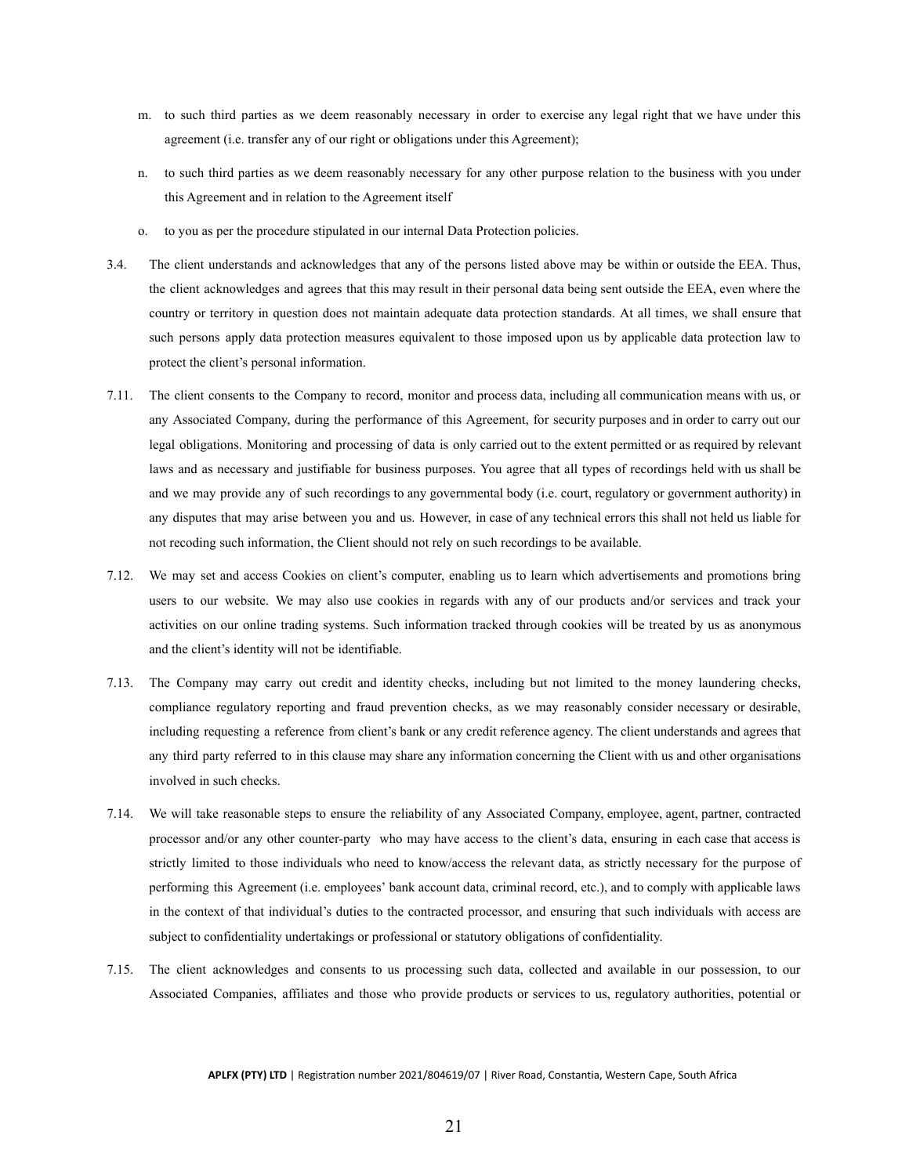- m. to such third parties as we deem reasonably necessary in order to exercise any legal right that we have under this agreement (i.e. transfer any of our right or obligations under this Agreement);
- n. to such third parties as we deem reasonably necessary for any other purpose relation to the business with you under this Agreement and in relation to the Agreement itself
- o. to you as per the procedure stipulated in our internal Data Protection policies.
- 3.4. The client understands and acknowledges that any of the persons listed above may be within or outside the EEA. Thus, the client acknowledges and agrees that this may result in their personal data being sent outside the EEA, even where the country or territory in question does not maintain adequate data protection standards. At all times, we shall ensure that such persons apply data protection measures equivalent to those imposed upon us by applicable data protection law to protect the client's personal information.
- 7.11. The client consents to the Company to record, monitor and process data, including all communication means with us, or any Associated Company, during the performance of this Agreement, for security purposes and in order to carry out our legal obligations. Monitoring and processing of data is only carried out to the extent permitted or as required by relevant laws and as necessary and justifiable for business purposes. You agree that all types of recordings held with us shall be and we may provide any of such recordings to any governmental body (i.e. court, regulatory or government authority) in any disputes that may arise between you and us. However, in case of any technical errors this shall not held us liable for not recoding such information, the Client should not rely on such recordings to be available.
- 7.12. We may set and access Cookies on client's computer, enabling us to learn which advertisements and promotions bring users to our website. We may also use cookies in regards with any of our products and/or services and track your activities on our online trading systems. Such information tracked through cookies will be treated by us as anonymous and the client's identity will not be identifiable.
- 7.13. The Company may carry out credit and identity checks, including but not limited to the money laundering checks, compliance regulatory reporting and fraud prevention checks, as we may reasonably consider necessary or desirable, including requesting a reference from client's bank or any credit reference agency. The client understands and agrees that any third party referred to in this clause may share any information concerning the Client with us and other organisations involved in such checks.
- 7.14. We will take reasonable steps to ensure the reliability of any Associated Company, employee, agent, partner, contracted processor and/or any other counter-party who may have access to the client's data, ensuring in each case that access is strictly limited to those individuals who need to know/access the relevant data, as strictly necessary for the purpose of performing this Agreement (i.e. employees' bank account data, criminal record, etc.), and to comply with applicable laws in the context of that individual's duties to the contracted processor, and ensuring that such individuals with access are subject to confidentiality undertakings or professional or statutory obligations of confidentiality.
- 7.15. The client acknowledges and consents to us processing such data, collected and available in our possession, to our Associated Companies, affiliates and those who provide products or services to us, regulatory authorities, potential or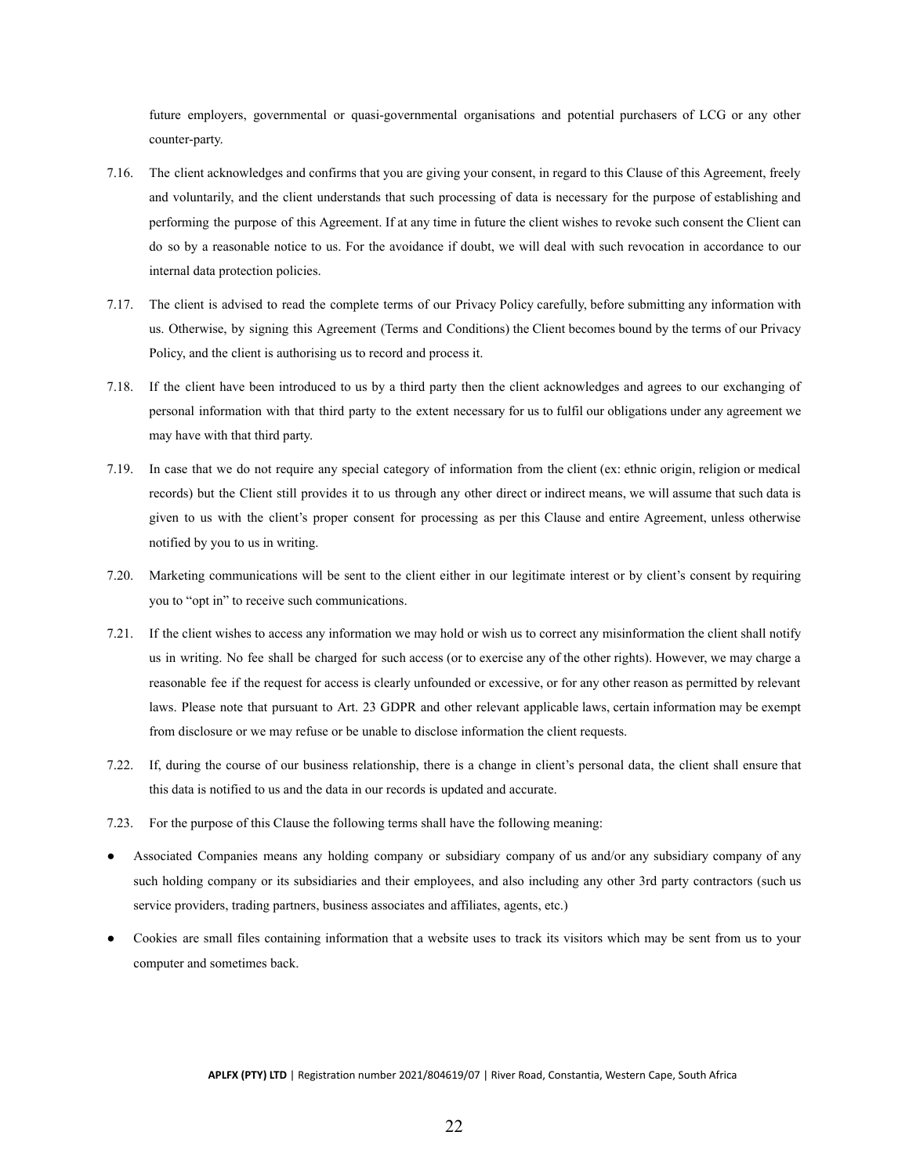future employers, governmental or quasi-governmental organisations and potential purchasers of LCG or any other counter-party.

- 7.16. The client acknowledges and confirms that you are giving your consent, in regard to this Clause of this Agreement, freely and voluntarily, and the client understands that such processing of data is necessary for the purpose of establishing and performing the purpose of this Agreement. If at any time in future the client wishes to revoke such consent the Client can do so by a reasonable notice to us. For the avoidance if doubt, we will deal with such revocation in accordance to our internal data protection policies.
- 7.17. The client is advised to read the complete terms of our Privacy Policy carefully, before submitting any information with us. Otherwise, by signing this Agreement (Terms and Conditions) the Client becomes bound by the terms of our Privacy Policy, and the client is authorising us to record and process it.
- 7.18. If the client have been introduced to us by a third party then the client acknowledges and agrees to our exchanging of personal information with that third party to the extent necessary for us to fulfil our obligations under any agreement we may have with that third party.
- 7.19. In case that we do not require any special category of information from the client (ex: ethnic origin, religion or medical records) but the Client still provides it to us through any other direct or indirect means, we will assume that such data is given to us with the client's proper consent for processing as per this Clause and entire Agreement, unless otherwise notified by you to us in writing.
- 7.20. Marketing communications will be sent to the client either in our legitimate interest or by client's consent by requiring you to "opt in" to receive such communications.
- 7.21. If the client wishes to access any information we may hold or wish us to correct any misinformation the client shall notify us in writing. No fee shall be charged for such access (or to exercise any of the other rights). However, we may charge a reasonable fee if the request for access is clearly unfounded or excessive, or for any other reason as permitted by relevant laws. Please note that pursuant to Art. 23 GDPR and other relevant applicable laws, certain information may be exempt from disclosure or we may refuse or be unable to disclose information the client requests.
- 7.22. If, during the course of our business relationship, there is a change in client's personal data, the client shall ensure that this data is notified to us and the data in our records is updated and accurate.
- 7.23. For the purpose of this Clause the following terms shall have the following meaning:
- Associated Companies means any holding company or subsidiary company of us and/or any subsidiary company of any such holding company or its subsidiaries and their employees, and also including any other 3rd party contractors (such us service providers, trading partners, business associates and affiliates, agents, etc.)
- Cookies are small files containing information that a website uses to track its visitors which may be sent from us to your computer and sometimes back.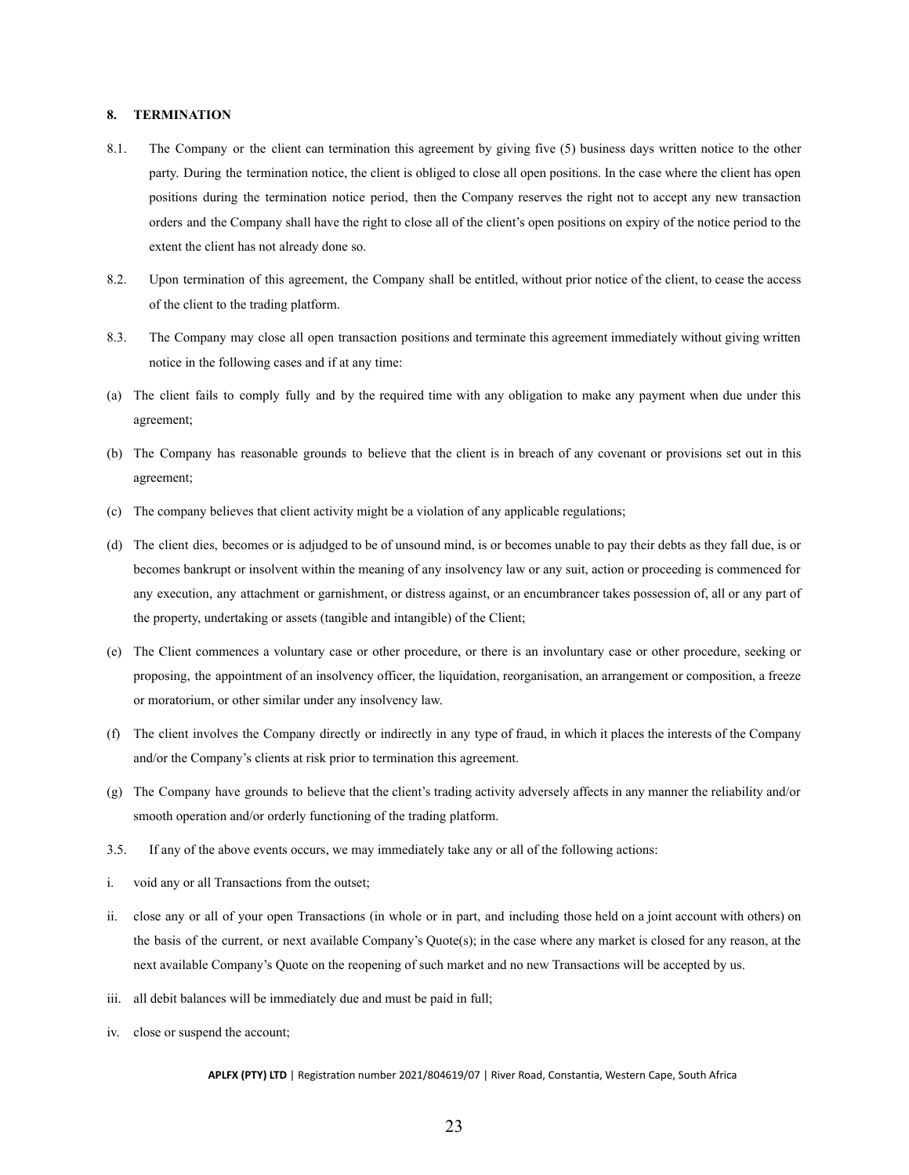# <span id="page-23-0"></span>**8. TERMINATION**

- 8.1. The Company or the client can termination this agreement by giving five (5) business days written notice to the other party. During the termination notice, the client is obliged to close all open positions. In the case where the client has open positions during the termination notice period, then the Company reserves the right not to accept any new transaction orders and the Company shall have the right to close all of the client's open positions on expiry of the notice period to the extent the client has not already done so.
- 8.2. Upon termination of this agreement, the Company shall be entitled, without prior notice of the client, to cease the access of the client to the trading platform.
- 8.3. The Company may close all open transaction positions and terminate this agreement immediately without giving written notice in the following cases and if at any time:
- (a) The client fails to comply fully and by the required time with any obligation to make any payment when due under this agreement;
- (b) The Company has reasonable grounds to believe that the client is in breach of any covenant or provisions set out in this agreement;
- (c) The company believes that client activity might be a violation of any applicable regulations;
- (d) The client dies, becomes or is adjudged to be of unsound mind, is or becomes unable to pay their debts as they fall due, is or becomes bankrupt or insolvent within the meaning of any insolvency law or any suit, action or proceeding is commenced for any execution, any attachment or garnishment, or distress against, or an encumbrancer takes possession of, all or any part of the property, undertaking or assets (tangible and intangible) of the Client;
- (e) The Client commences a voluntary case or other procedure, or there is an involuntary case or other procedure, seeking or proposing, the appointment of an insolvency officer, the liquidation, reorganisation, an arrangement or composition, a freeze or moratorium, or other similar under any insolvency law.
- (f) The client involves the Company directly or indirectly in any type of fraud, in which it places the interests of the Company and/or the Company's clients at risk prior to termination this agreement.
- (g) The Company have grounds to believe that the client's trading activity adversely affects in any manner the reliability and/or smooth operation and/or orderly functioning of the trading platform.
- 3.5. If any of the above events occurs, we may immediately take any or all of the following actions:
- i. void any or all Transactions from the outset;
- ii. close any or all of your open Transactions (in whole or in part, and including those held on a joint account with others) on the basis of the current, or next available Company's Quote(s); in the case where any market is closed for any reason, at the next available Company's Quote on the reopening of such market and no new Transactions will be accepted by us.
- iii. all debit balances will be immediately due and must be paid in full;
- iv. close or suspend the account;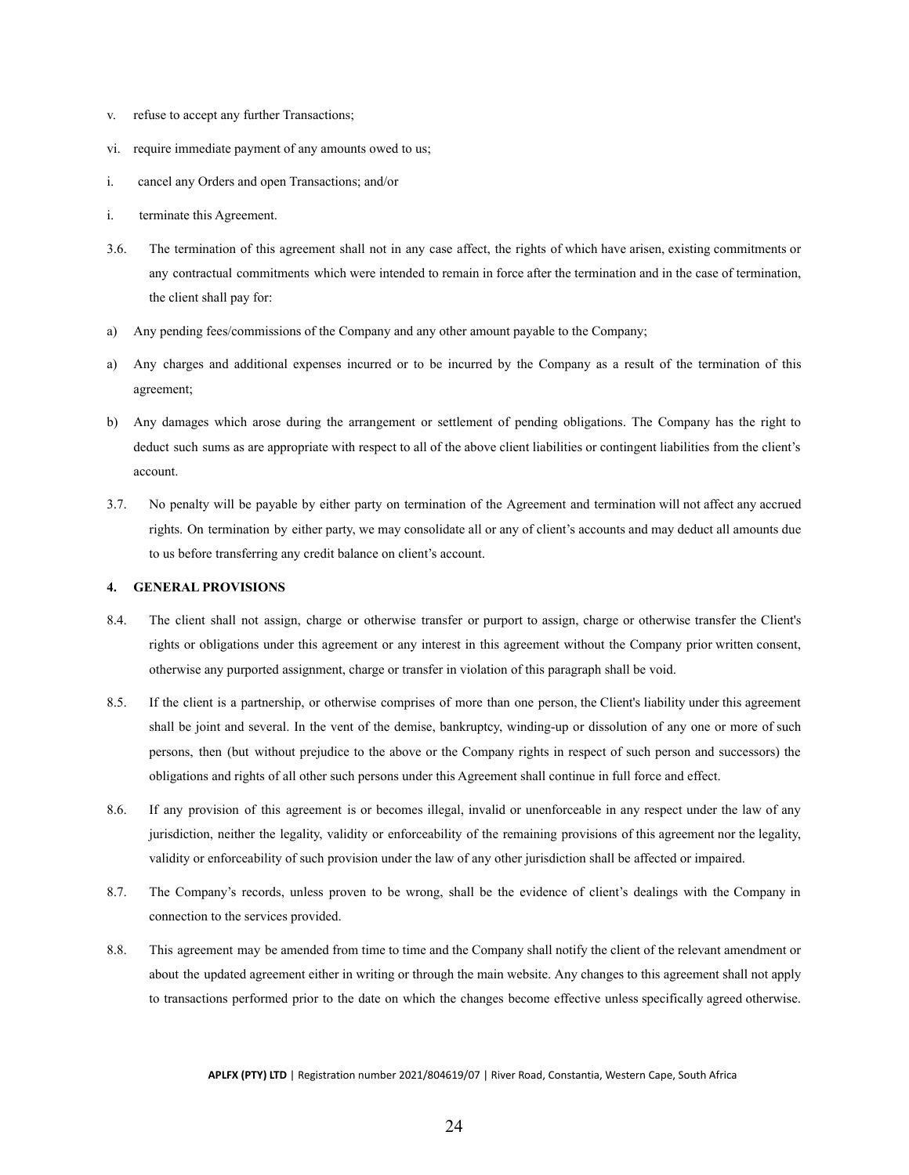- v. refuse to accept any further Transactions;
- vi. require immediate payment of any amounts owed to us;
- i. cancel any Orders and open Transactions; and/or
- i. terminate this Agreement.
- 3.6. The termination of this agreement shall not in any case affect, the rights of which have arisen, existing commitments or any contractual commitments which were intended to remain in force after the termination and in the case of termination, the client shall pay for:
- a) Any pending fees/commissions of the Company and any other amount payable to the Company;
- a) Any charges and additional expenses incurred or to be incurred by the Company as a result of the termination of this agreement;
- b) Any damages which arose during the arrangement or settlement of pending obligations. The Company has the right to deduct such sums as are appropriate with respect to all of the above client liabilities or contingent liabilities from the client's account.
- 3.7. No penalty will be payable by either party on termination of the Agreement and termination will not affect any accrued rights. On termination by either party, we may consolidate all or any of client's accounts and may deduct all amounts due to us before transferring any credit balance on client's account.

#### <span id="page-24-0"></span>**4. GENERAL PROVISIONS**

- 8.4. The client shall not assign, charge or otherwise transfer or purport to assign, charge or otherwise transfer the Client's rights or obligations under this agreement or any interest in this agreement without the Company prior written consent, otherwise any purported assignment, charge or transfer in violation of this paragraph shall be void.
- 8.5. If the client is a partnership, or otherwise comprises of more than one person, the Client's liability under this agreement shall be joint and several. In the vent of the demise, bankruptcy, winding-up or dissolution of any one or more of such persons, then (but without prejudice to the above or the Company rights in respect of such person and successors) the obligations and rights of all other such persons under this Agreement shall continue in full force and effect.
- 8.6. If any provision of this agreement is or becomes illegal, invalid or unenforceable in any respect under the law of any jurisdiction, neither the legality, validity or enforceability of the remaining provisions of this agreement nor the legality, validity or enforceability of such provision under the law of any other jurisdiction shall be affected or impaired.
- 8.7. The Company's records, unless proven to be wrong, shall be the evidence of client's dealings with the Company in connection to the services provided.
- 8.8. This agreement may be amended from time to time and the Company shall notify the client of the relevant amendment or about the updated agreement either in writing or through the main website. Any changes to this agreement shall not apply to transactions performed prior to the date on which the changes become effective unless specifically agreed otherwise.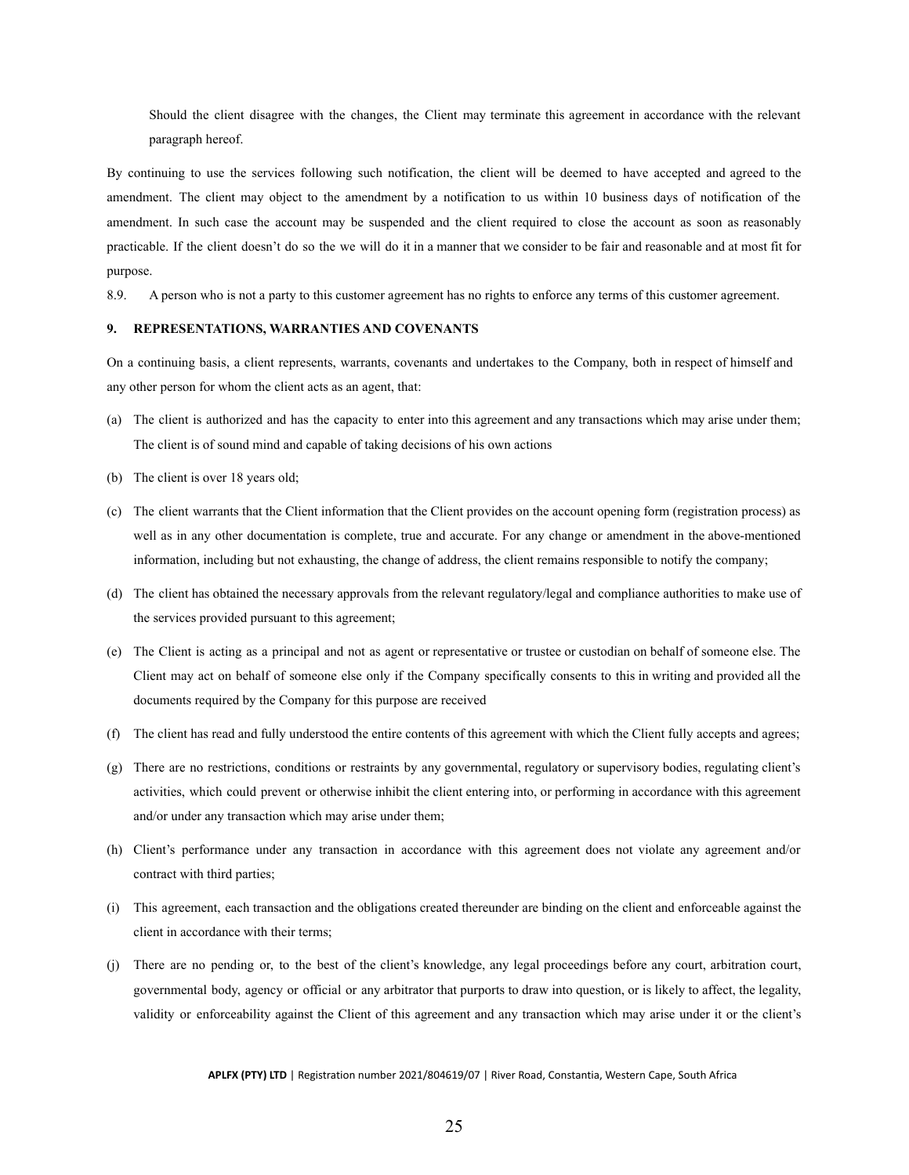Should the client disagree with the changes, the Client may terminate this agreement in accordance with the relevant paragraph hereof.

By continuing to use the services following such notification, the client will be deemed to have accepted and agreed to the amendment. The client may object to the amendment by a notification to us within 10 business days of notification of the amendment. In such case the account may be suspended and the client required to close the account as soon as reasonably practicable. If the client doesn't do so the we will do it in a manner that we consider to be fair and reasonable and at most fit for purpose.

8.9. A person who is not a party to this customer agreement has no rights to enforce any terms of this customer agreement.

#### <span id="page-25-0"></span>**9. REPRESENTATIONS, WARRANTIES AND COVENANTS**

On a continuing basis, a client represents, warrants, covenants and undertakes to the Company, both in respect of himself and any other person for whom the client acts as an agent, that:

- (a) The client is authorized and has the capacity to enter into this agreement and any transactions which may arise under them; The client is of sound mind and capable of taking decisions of his own actions
- (b) The client is over 18 years old;
- (c) The client warrants that the Client information that the Client provides on the account opening form (registration process) as well as in any other documentation is complete, true and accurate. For any change or amendment in the above-mentioned information, including but not exhausting, the change of address, the client remains responsible to notify the company;
- (d) The client has obtained the necessary approvals from the relevant regulatory/legal and compliance authorities to make use of the services provided pursuant to this agreement;
- (e) The Client is acting as a principal and not as agent or representative or trustee or custodian on behalf of someone else. The Client may act on behalf of someone else only if the Company specifically consents to this in writing and provided all the documents required by the Company for this purpose are received
- (f) The client has read and fully understood the entire contents of this agreement with which the Client fully accepts and agrees;
- (g) There are no restrictions, conditions or restraints by any governmental, regulatory or supervisory bodies, regulating client's activities, which could prevent or otherwise inhibit the client entering into, or performing in accordance with this agreement and/or under any transaction which may arise under them;
- (h) Client's performance under any transaction in accordance with this agreement does not violate any agreement and/or contract with third parties;
- (i) This agreement, each transaction and the obligations created thereunder are binding on the client and enforceable against the client in accordance with their terms;
- (j) There are no pending or, to the best of the client's knowledge, any legal proceedings before any court, arbitration court, governmental body, agency or official or any arbitrator that purports to draw into question, or is likely to affect, the legality, validity or enforceability against the Client of this agreement and any transaction which may arise under it or the client's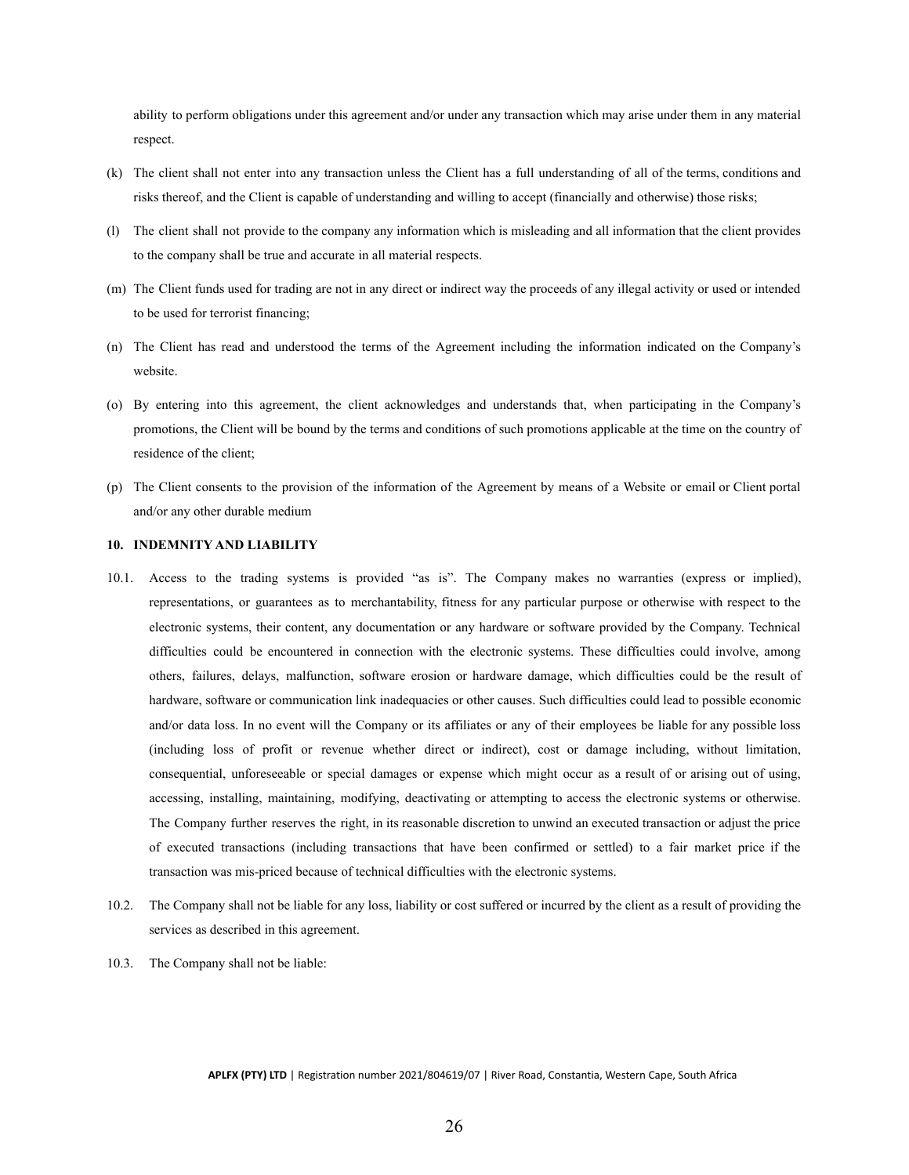ability to perform obligations under this agreement and/or under any transaction which may arise under them in any material respect.

- (k) The client shall not enter into any transaction unless the Client has a full understanding of all of the terms, conditions and risks thereof, and the Client is capable of understanding and willing to accept (financially and otherwise) those risks;
- (l) The client shall not provide to the company any information which is misleading and all information that the client provides to the company shall be true and accurate in all material respects.
- (m) The Client funds used for trading are not in any direct or indirect way the proceeds of any illegal activity or used or intended to be used for terrorist financing;
- (n) The Client has read and understood the terms of the Agreement including the information indicated on the Company's website.
- (o) By entering into this agreement, the client acknowledges and understands that, when participating in the Company's promotions, the Client will be bound by the terms and conditions of such promotions applicable at the time on the country of residence of the client;
- (p) The Client consents to the provision of the information of the Agreement by means of a Website or email or Client portal and/or any other durable medium

#### <span id="page-26-0"></span>**10. INDEMNITY AND LIABILITY**

- 10.1. Access to the trading systems is provided "as is". The Company makes no warranties (express or implied), representations, or guarantees as to merchantability, fitness for any particular purpose or otherwise with respect to the electronic systems, their content, any documentation or any hardware or software provided by the Company. Technical difficulties could be encountered in connection with the electronic systems. These difficulties could involve, among others, failures, delays, malfunction, software erosion or hardware damage, which difficulties could be the result of hardware, software or communication link inadequacies or other causes. Such difficulties could lead to possible economic and/or data loss. In no event will the Company or its affiliates or any of their employees be liable for any possible loss (including loss of profit or revenue whether direct or indirect), cost or damage including, without limitation, consequential, unforeseeable or special damages or expense which might occur as a result of or arising out of using, accessing, installing, maintaining, modifying, deactivating or attempting to access the electronic systems or otherwise. The Company further reserves the right, in its reasonable discretion to unwind an executed transaction or adjust the price of executed transactions (including transactions that have been confirmed or settled) to a fair market price if the transaction was mis-priced because of technical difficulties with the electronic systems.
- 10.2. The Company shall not be liable for any loss, liability or cost suffered or incurred by the client as a result of providing the services as described in this agreement.
- 10.3. The Company shall not be liable: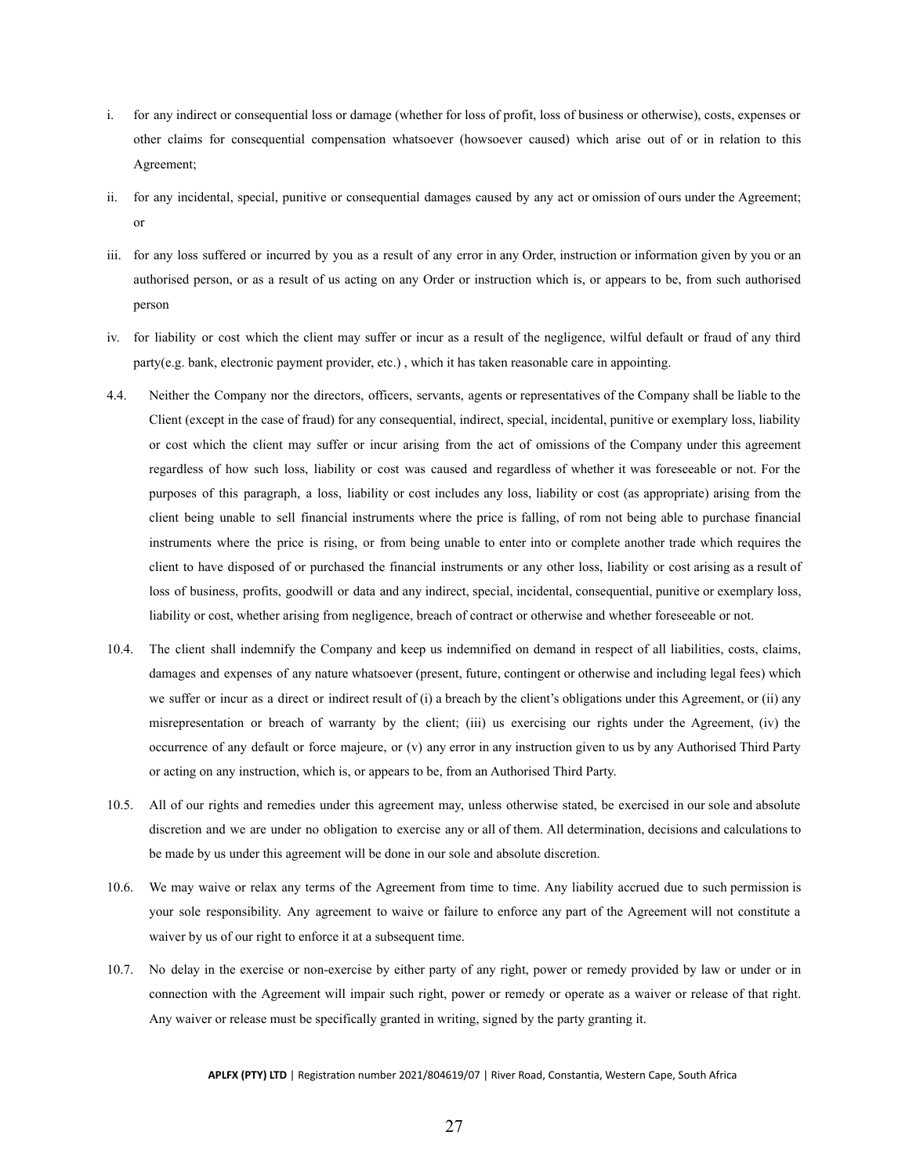- i. for any indirect or consequential loss or damage (whether for loss of profit, loss of business or otherwise), costs, expenses or other claims for consequential compensation whatsoever (howsoever caused) which arise out of or in relation to this Agreement;
- ii. for any incidental, special, punitive or consequential damages caused by any act or omission of ours under the Agreement; or
- iii. for any loss suffered or incurred by you as a result of any error in any Order, instruction or information given by you or an authorised person, or as a result of us acting on any Order or instruction which is, or appears to be, from such authorised person
- iv. for liability or cost which the client may suffer or incur as a result of the negligence, wilful default or fraud of any third party(e.g. bank, electronic payment provider, etc.) , which it has taken reasonable care in appointing.
- 4.4. Neither the Company nor the directors, officers, servants, agents or representatives of the Company shall be liable to the Client (except in the case of fraud) for any consequential, indirect, special, incidental, punitive or exemplary loss, liability or cost which the client may suffer or incur arising from the act of omissions of the Company under this agreement regardless of how such loss, liability or cost was caused and regardless of whether it was foreseeable or not. For the purposes of this paragraph, a loss, liability or cost includes any loss, liability or cost (as appropriate) arising from the client being unable to sell financial instruments where the price is falling, of rom not being able to purchase financial instruments where the price is rising, or from being unable to enter into or complete another trade which requires the client to have disposed of or purchased the financial instruments or any other loss, liability or cost arising as a result of loss of business, profits, goodwill or data and any indirect, special, incidental, consequential, punitive or exemplary loss, liability or cost, whether arising from negligence, breach of contract or otherwise and whether foreseeable or not.
- 10.4. The client shall indemnify the Company and keep us indemnified on demand in respect of all liabilities, costs, claims, damages and expenses of any nature whatsoever (present, future, contingent or otherwise and including legal fees) which we suffer or incur as a direct or indirect result of (i) a breach by the client's obligations under this Agreement, or (ii) any misrepresentation or breach of warranty by the client; (iii) us exercising our rights under the Agreement, (iv) the occurrence of any default or force majeure, or (v) any error in any instruction given to us by any Authorised Third Party or acting on any instruction, which is, or appears to be, from an Authorised Third Party.
- 10.5. All of our rights and remedies under this agreement may, unless otherwise stated, be exercised in our sole and absolute discretion and we are under no obligation to exercise any or all of them. All determination, decisions and calculations to be made by us under this agreement will be done in our sole and absolute discretion.
- 10.6. We may waive or relax any terms of the Agreement from time to time. Any liability accrued due to such permission is your sole responsibility. Any agreement to waive or failure to enforce any part of the Agreement will not constitute a waiver by us of our right to enforce it at a subsequent time.
- 10.7. No delay in the exercise or non-exercise by either party of any right, power or remedy provided by law or under or in connection with the Agreement will impair such right, power or remedy or operate as a waiver or release of that right. Any waiver or release must be specifically granted in writing, signed by the party granting it.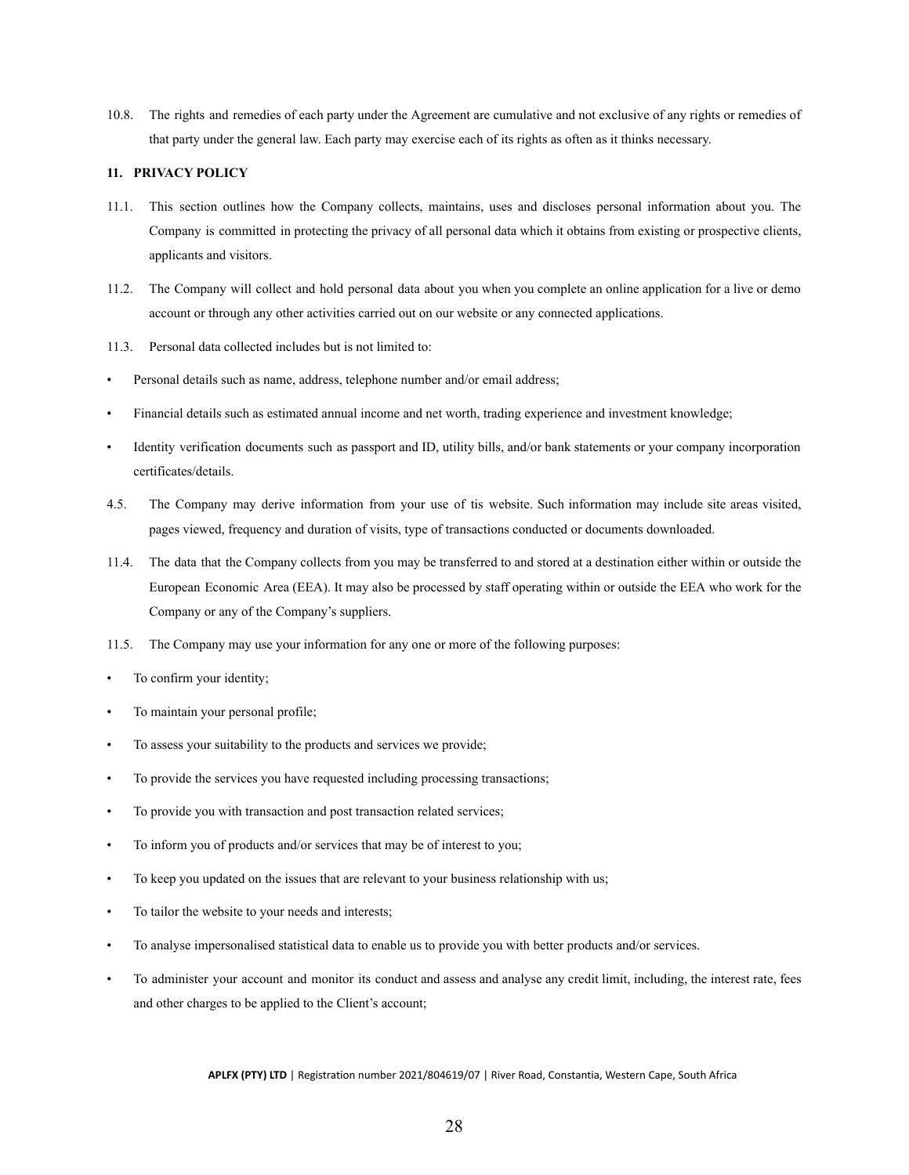10.8. The rights and remedies of each party under the Agreement are cumulative and not exclusive of any rights or remedies of that party under the general law. Each party may exercise each of its rights as often as it thinks necessary.

### <span id="page-28-0"></span>**11. PRIVACY POLICY**

- 11.1. This section outlines how the Company collects, maintains, uses and discloses personal information about you. The Company is committed in protecting the privacy of all personal data which it obtains from existing or prospective clients, applicants and visitors.
- 11.2. The Company will collect and hold personal data about you when you complete an online application for a live or demo account or through any other activities carried out on our website or any connected applications.
- 11.3. Personal data collected includes but is not limited to:
- Personal details such as name, address, telephone number and/or email address;
- Financial details such as estimated annual income and net worth, trading experience and investment knowledge;
- Identity verification documents such as passport and ID, utility bills, and/or bank statements or your company incorporation certificates/details.
- 4.5. The Company may derive information from your use of tis website. Such information may include site areas visited, pages viewed, frequency and duration of visits, type of transactions conducted or documents downloaded.
- 11.4. The data that the Company collects from you may be transferred to and stored at a destination either within or outside the European Economic Area (EEA). It may also be processed by staff operating within or outside the EEA who work for the Company or any of the Company's suppliers.
- 11.5. The Company may use your information for any one or more of the following purposes:
- To confirm your identity;
- To maintain your personal profile;
- To assess your suitability to the products and services we provide;
- To provide the services you have requested including processing transactions;
- To provide you with transaction and post transaction related services;
- To inform you of products and/or services that may be of interest to you;
- To keep you updated on the issues that are relevant to your business relationship with us;
- To tailor the website to your needs and interests;
- To analyse impersonalised statistical data to enable us to provide you with better products and/or services.
- To administer your account and monitor its conduct and assess and analyse any credit limit, including, the interest rate, fees and other charges to be applied to the Client's account;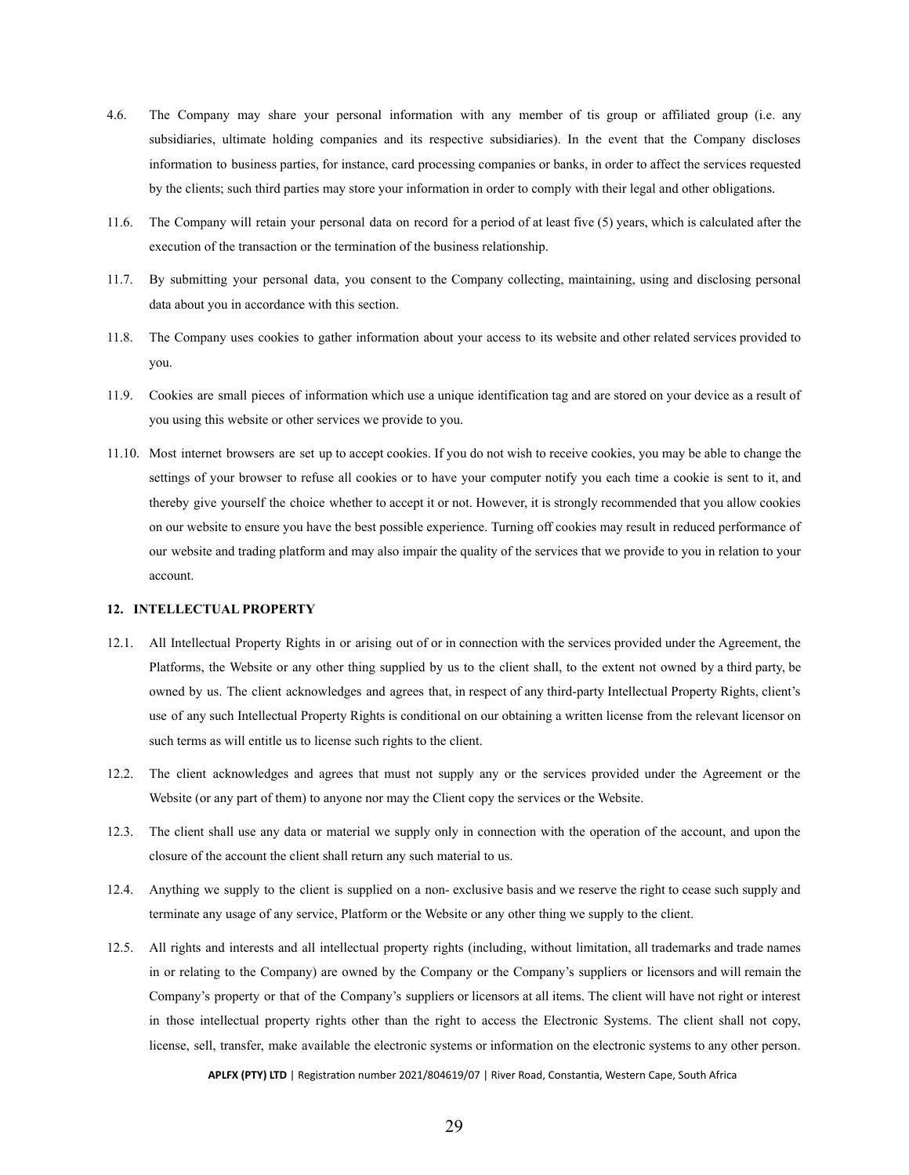- 4.6. The Company may share your personal information with any member of tis group or affiliated group (i.e. any subsidiaries, ultimate holding companies and its respective subsidiaries). In the event that the Company discloses information to business parties, for instance, card processing companies or banks, in order to affect the services requested by the clients; such third parties may store your information in order to comply with their legal and other obligations.
- 11.6. The Company will retain your personal data on record for a period of at least five (5) years, which is calculated after the execution of the transaction or the termination of the business relationship.
- 11.7. By submitting your personal data, you consent to the Company collecting, maintaining, using and disclosing personal data about you in accordance with this section.
- 11.8. The Company uses cookies to gather information about your access to its website and other related services provided to you.
- 11.9. Cookies are small pieces of information which use a unique identification tag and are stored on your device as a result of you using this website or other services we provide to you.
- 11.10. Most internet browsers are set up to accept cookies. If you do not wish to receive cookies, you may be able to change the settings of your browser to refuse all cookies or to have your computer notify you each time a cookie is sent to it, and thereby give yourself the choice whether to accept it or not. However, it is strongly recommended that you allow cookies on our website to ensure you have the best possible experience. Turning off cookies may result in reduced performance of our website and trading platform and may also impair the quality of the services that we provide to you in relation to your account.

#### <span id="page-29-0"></span>**12. INTELLECTUAL PROPERTY**

- 12.1. All Intellectual Property Rights in or arising out of or in connection with the services provided under the Agreement, the Platforms, the Website or any other thing supplied by us to the client shall, to the extent not owned by a third party, be owned by us. The client acknowledges and agrees that, in respect of any third-party Intellectual Property Rights, client's use of any such Intellectual Property Rights is conditional on our obtaining a written license from the relevant licensor on such terms as will entitle us to license such rights to the client.
- 12.2. The client acknowledges and agrees that must not supply any or the services provided under the Agreement or the Website (or any part of them) to anyone nor may the Client copy the services or the Website.
- 12.3. The client shall use any data or material we supply only in connection with the operation of the account, and upon the closure of the account the client shall return any such material to us.
- 12.4. Anything we supply to the client is supplied on a non- exclusive basis and we reserve the right to cease such supply and terminate any usage of any service, Platform or the Website or any other thing we supply to the client.
- 12.5. All rights and interests and all intellectual property rights (including, without limitation, all trademarks and trade names in or relating to the Company) are owned by the Company or the Company's suppliers or licensors and will remain the Company's property or that of the Company's suppliers or licensors at all items. The client will have not right or interest in those intellectual property rights other than the right to access the Electronic Systems. The client shall not copy, license, sell, transfer, make available the electronic systems or information on the electronic systems to any other person.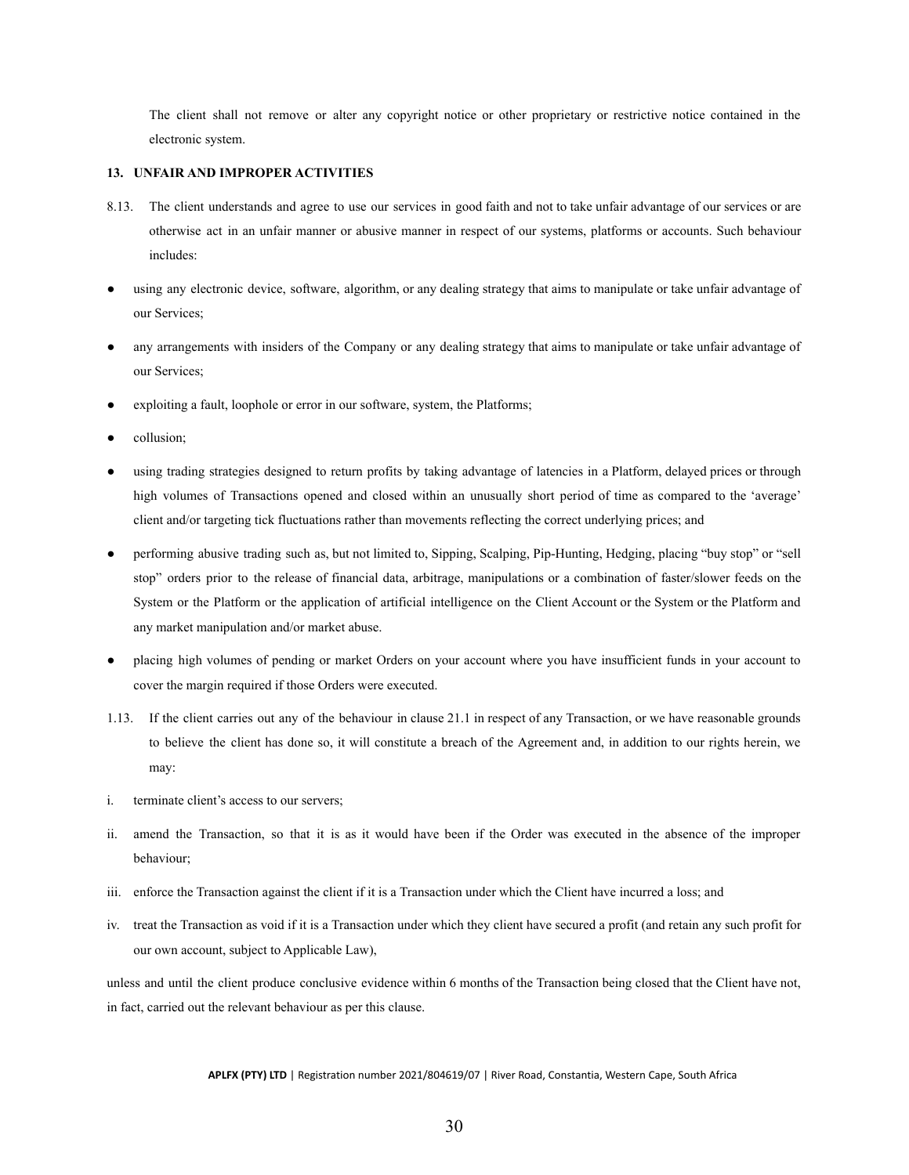The client shall not remove or alter any copyright notice or other proprietary or restrictive notice contained in the electronic system.

#### <span id="page-30-0"></span>**13. UNFAIR AND IMPROPER ACTIVITIES**

- 8.13. The client understands and agree to use our services in good faith and not to take unfair advantage of our services or are otherwise act in an unfair manner or abusive manner in respect of our systems, platforms or accounts. Such behaviour includes:
- using any electronic device, software, algorithm, or any dealing strategy that aims to manipulate or take unfair advantage of our Services;
- any arrangements with insiders of the Company or any dealing strategy that aims to manipulate or take unfair advantage of our Services;
- exploiting a fault, loophole or error in our software, system, the Platforms;
- collusion;
- using trading strategies designed to return profits by taking advantage of latencies in a Platform, delayed prices or through high volumes of Transactions opened and closed within an unusually short period of time as compared to the 'average' client and/or targeting tick fluctuations rather than movements reflecting the correct underlying prices; and
- performing abusive trading such as, but not limited to, Sipping, Scalping, Pip-Hunting, Hedging, placing "buy stop" or "sell stop" orders prior to the release of financial data, arbitrage, manipulations or a combination of faster/slower feeds on the System or the Platform or the application of artificial intelligence on the Client Account or the System or the Platform and any market manipulation and/or market abuse.
- placing high volumes of pending or market Orders on your account where you have insufficient funds in your account to cover the margin required if those Orders were executed.
- 1.13. If the client carries out any of the behaviour in clause 21.1 in respect of any Transaction, or we have reasonable grounds to believe the client has done so, it will constitute a breach of the Agreement and, in addition to our rights herein, we may:
- i. terminate client's access to our servers;
- ii. amend the Transaction, so that it is as it would have been if the Order was executed in the absence of the improper behaviour;
- iii. enforce the Transaction against the client if it is a Transaction under which the Client have incurred a loss; and
- iv. treat the Transaction as void if it is a Transaction under which they client have secured a profit (and retain any such profit for our own account, subject to Applicable Law),

unless and until the client produce conclusive evidence within 6 months of the Transaction being closed that the Client have not, in fact, carried out the relevant behaviour as per this clause.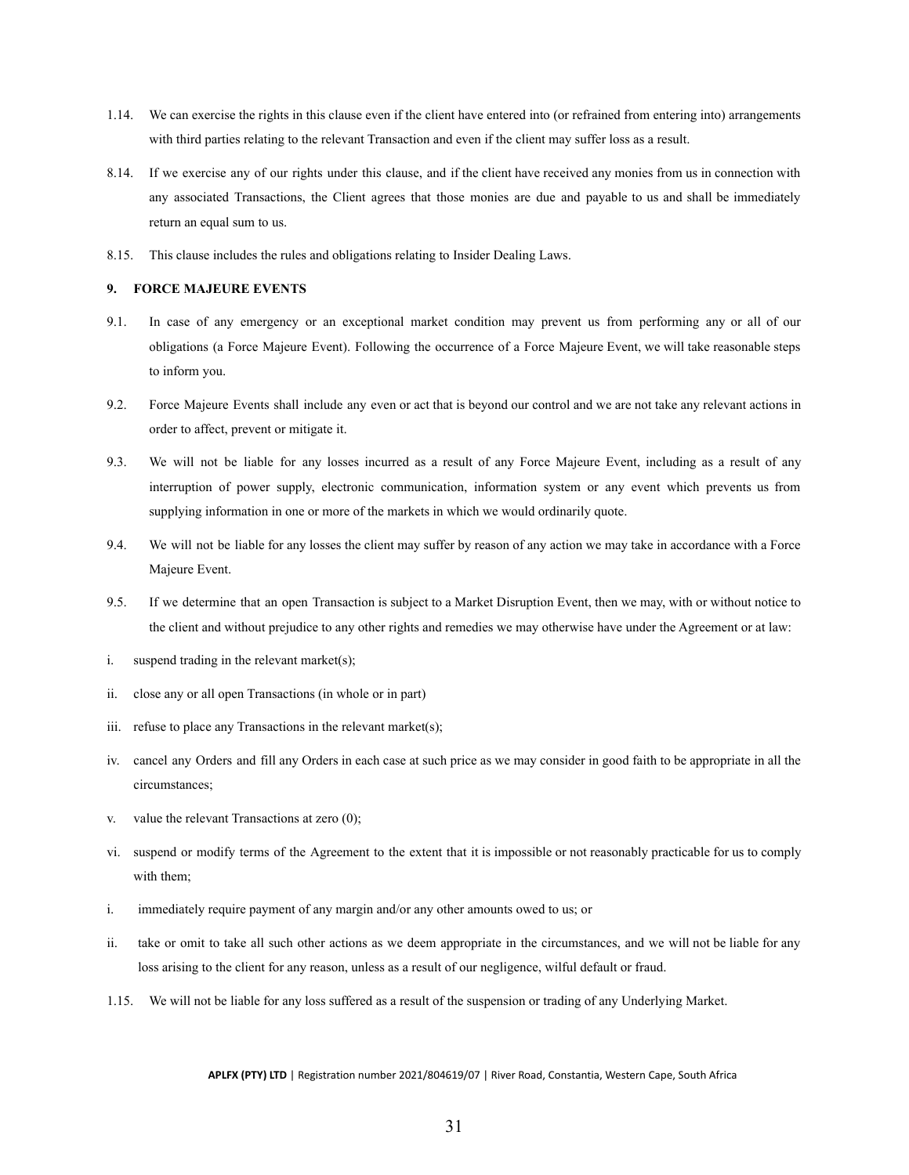- 1.14. We can exercise the rights in this clause even if the client have entered into (or refrained from entering into) arrangements with third parties relating to the relevant Transaction and even if the client may suffer loss as a result.
- 8.14. If we exercise any of our rights under this clause, and if the client have received any monies from us in connection with any associated Transactions, the Client agrees that those monies are due and payable to us and shall be immediately return an equal sum to us.
- 8.15. This clause includes the rules and obligations relating to Insider Dealing Laws.

### <span id="page-31-0"></span>**9. FORCE MAJEURE EVENTS**

- 9.1. In case of any emergency or an exceptional market condition may prevent us from performing any or all of our obligations (a Force Majeure Event). Following the occurrence of a Force Majeure Event, we will take reasonable steps to inform you.
- 9.2. Force Majeure Events shall include any even or act that is beyond our control and we are not take any relevant actions in order to affect, prevent or mitigate it.
- 9.3. We will not be liable for any losses incurred as a result of any Force Majeure Event, including as a result of any interruption of power supply, electronic communication, information system or any event which prevents us from supplying information in one or more of the markets in which we would ordinarily quote.
- 9.4. We will not be liable for any losses the client may suffer by reason of any action we may take in accordance with a Force Majeure Event.
- 9.5. If we determine that an open Transaction is subject to a Market Disruption Event, then we may, with or without notice to the client and without prejudice to any other rights and remedies we may otherwise have under the Agreement or at law:
- i. suspend trading in the relevant market(s);
- ii. close any or all open Transactions (in whole or in part)
- iii. refuse to place any Transactions in the relevant market(s);
- iv. cancel any Orders and fill any Orders in each case at such price as we may consider in good faith to be appropriate in all the circumstances;
- v. value the relevant Transactions at zero (0);
- vi. suspend or modify terms of the Agreement to the extent that it is impossible or not reasonably practicable for us to comply with them;
- i. immediately require payment of any margin and/or any other amounts owed to us; or
- ii. take or omit to take all such other actions as we deem appropriate in the circumstances, and we will not be liable for any loss arising to the client for any reason, unless as a result of our negligence, wilful default or fraud.
- 1.15. We will not be liable for any loss suffered as a result of the suspension or trading of any Underlying Market.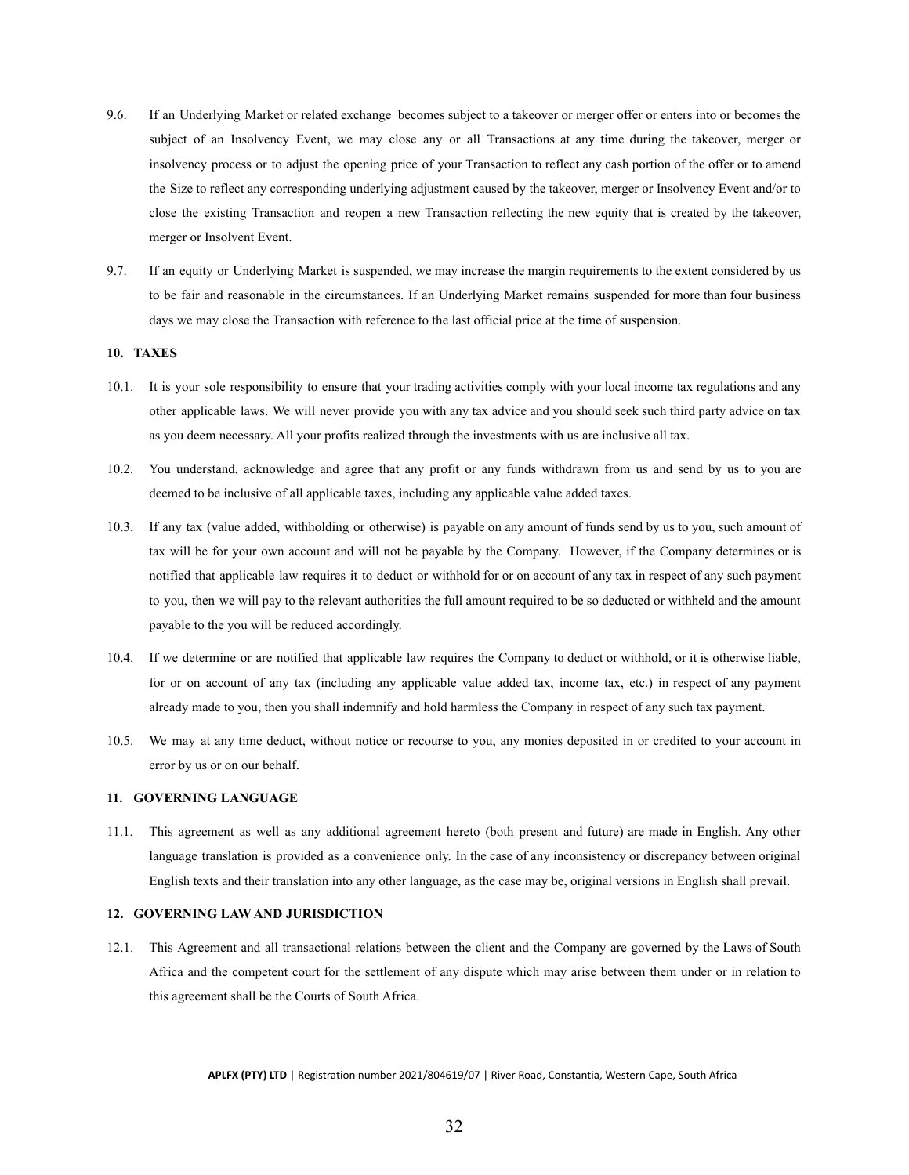- 9.6. If an Underlying Market or related exchange becomes subject to a takeover or merger offer or enters into or becomes the subject of an Insolvency Event, we may close any or all Transactions at any time during the takeover, merger or insolvency process or to adjust the opening price of your Transaction to reflect any cash portion of the offer or to amend the Size to reflect any corresponding underlying adjustment caused by the takeover, merger or Insolvency Event and/or to close the existing Transaction and reopen a new Transaction reflecting the new equity that is created by the takeover, merger or Insolvent Event.
- 9.7. If an equity or Underlying Market is suspended, we may increase the margin requirements to the extent considered by us to be fair and reasonable in the circumstances. If an Underlying Market remains suspended for more than four business days we may close the Transaction with reference to the last official price at the time of suspension.

## <span id="page-32-0"></span>**10. TAXES**

- 10.1. It is your sole responsibility to ensure that your trading activities comply with your local income tax regulations and any other applicable laws. We will never provide you with any tax advice and you should seek such third party advice on tax as you deem necessary. All your profits realized through the investments with us are inclusive all tax.
- 10.2. You understand, acknowledge and agree that any profit or any funds withdrawn from us and send by us to you are deemed to be inclusive of all applicable taxes, including any applicable value added taxes.
- 10.3. If any tax (value added, withholding or otherwise) is payable on any amount of funds send by us to you, such amount of tax will be for your own account and will not be payable by the Company. However, if the Company determines or is notified that applicable law requires it to deduct or withhold for or on account of any tax in respect of any such payment to you, then we will pay to the relevant authorities the full amount required to be so deducted or withheld and the amount payable to the you will be reduced accordingly.
- 10.4. If we determine or are notified that applicable law requires the Company to deduct or withhold, or it is otherwise liable, for or on account of any tax (including any applicable value added tax, income tax, etc.) in respect of any payment already made to you, then you shall indemnify and hold harmless the Company in respect of any such tax payment.
- 10.5. We may at any time deduct, without notice or recourse to you, any monies deposited in or credited to your account in error by us or on our behalf.

### <span id="page-32-1"></span>**11. GOVERNING LANGUAGE**

11.1. This agreement as well as any additional agreement hereto (both present and future) are made in English. Any other language translation is provided as a convenience only. In the case of any inconsistency or discrepancy between original English texts and their translation into any other language, as the case may be, original versions in English shall prevail.

### <span id="page-32-2"></span>**12. GOVERNING LAW AND JURISDICTION**

12.1. This Agreement and all transactional relations between the client and the Company are governed by the Laws of South Africa and the competent court for the settlement of any dispute which may arise between them under or in relation to this agreement shall be the Courts of South Africa.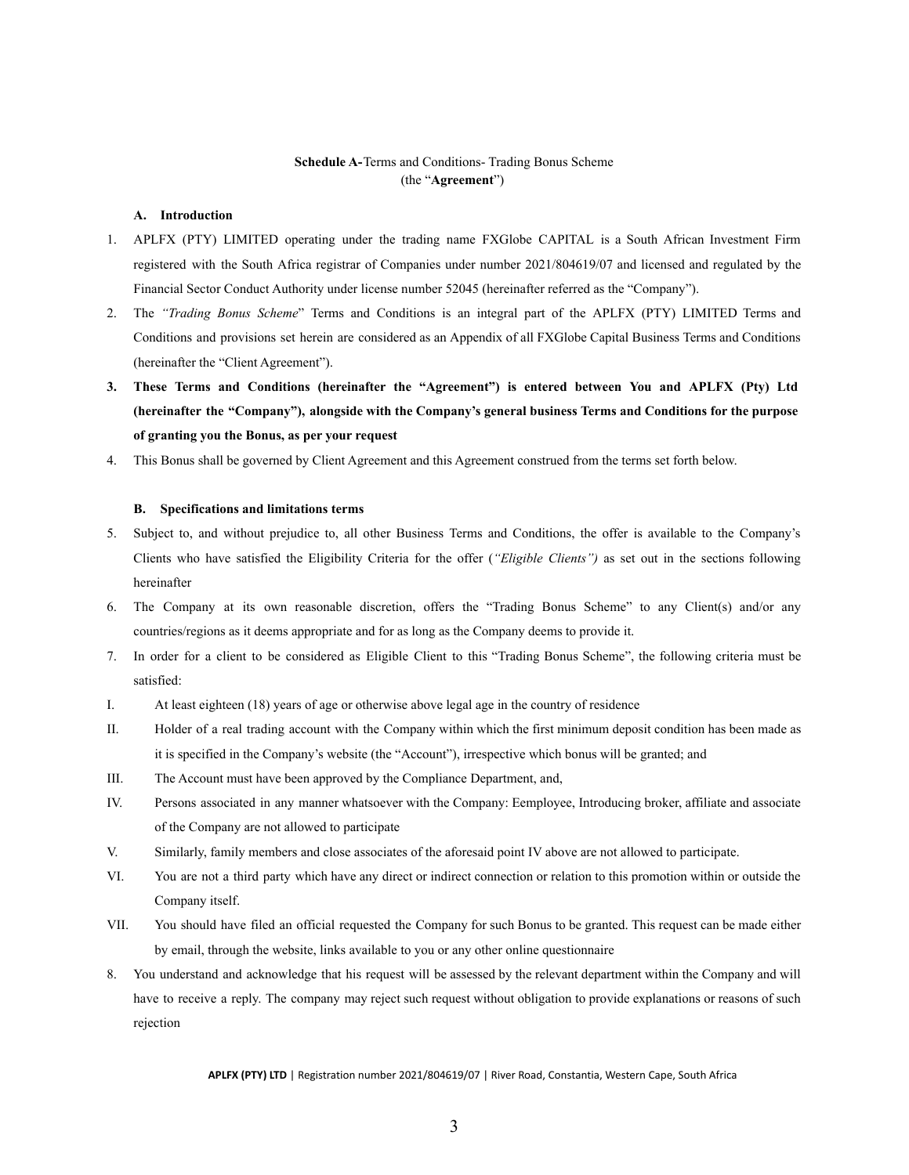# **Schedule A-**Terms and Conditions- Trading Bonus Scheme (the "**Agreement**")

#### <span id="page-34-0"></span>**A. Introduction**

- 1. APLFX (PTY) LIMITED operating under the trading name FXGlobe CAPITAL is a South African Investment Firm registered with the South Africa registrar of Companies under number 2021/804619/07 and licensed and regulated by the Financial Sector Conduct Authority under license number 52045 (hereinafter referred as the "Company").
- 2. The *"Trading Bonus Scheme*" Terms and Conditions is an integral part of the APLFX (PTY) LIMITED Terms and Conditions and provisions set herein are considered as an Appendix of all FXGlobe Capital Business Terms and Conditions (hereinafter the "Client Agreement").
- **3. These Terms and Conditions (hereinafter the "Agreement") is entered between You and APLFX (Pty) Ltd (hereinafter the "Company"), alongside with the Company's general business Terms and Conditions for the purpose of granting you the Bonus, as per your request**
- 4. This Bonus shall be governed by Client Agreement and this Agreement construed from the terms set forth below.

#### **B. Specifications and limitations terms**

- 5. Subject to, and without prejudice to, all other Business Terms and Conditions, the offer is available to the Company's Clients who have satisfied the Eligibility Criteria for the offer (*"Eligible Clients")* as set out in the sections following hereinafter
- 6. The Company at its own reasonable discretion, offers the "Trading Bonus Scheme" to any Client(s) and/or any countries/regions as it deems appropriate and for as long as the Company deems to provide it.
- 7. In order for a client to be considered as Eligible Client to this "Trading Bonus Scheme", the following criteria must be satisfied:
- I. At least eighteen (18) years of age or otherwise above legal age in the country of residence
- II. Holder of a real trading account with the Company within which the first minimum deposit condition has been made as it is specified in the Company's website (the "Account"), irrespective which bonus will be granted; and
- III. The Account must have been approved by the Compliance Department, and,
- IV. Persons associated in any manner whatsoever with the Company: Εemployee, Introducing broker, affiliate and associate of the Company are not allowed to participate
- V. Similarly, family members and close associates of the aforesaid point IV above are not allowed to participate.
- VI. You are not a third party which have any direct or indirect connection or relation to this promotion within or outside the Company itself.
- VII. You should have filed an official requested the Company for such Bonus to be granted. This request can be made either by email, through the website, links available to you or any other online questionnaire
- 8. You understand and acknowledge that his request will be assessed by the relevant department within the Company and will have to receive a reply. The company may reject such request without obligation to provide explanations or reasons of such rejection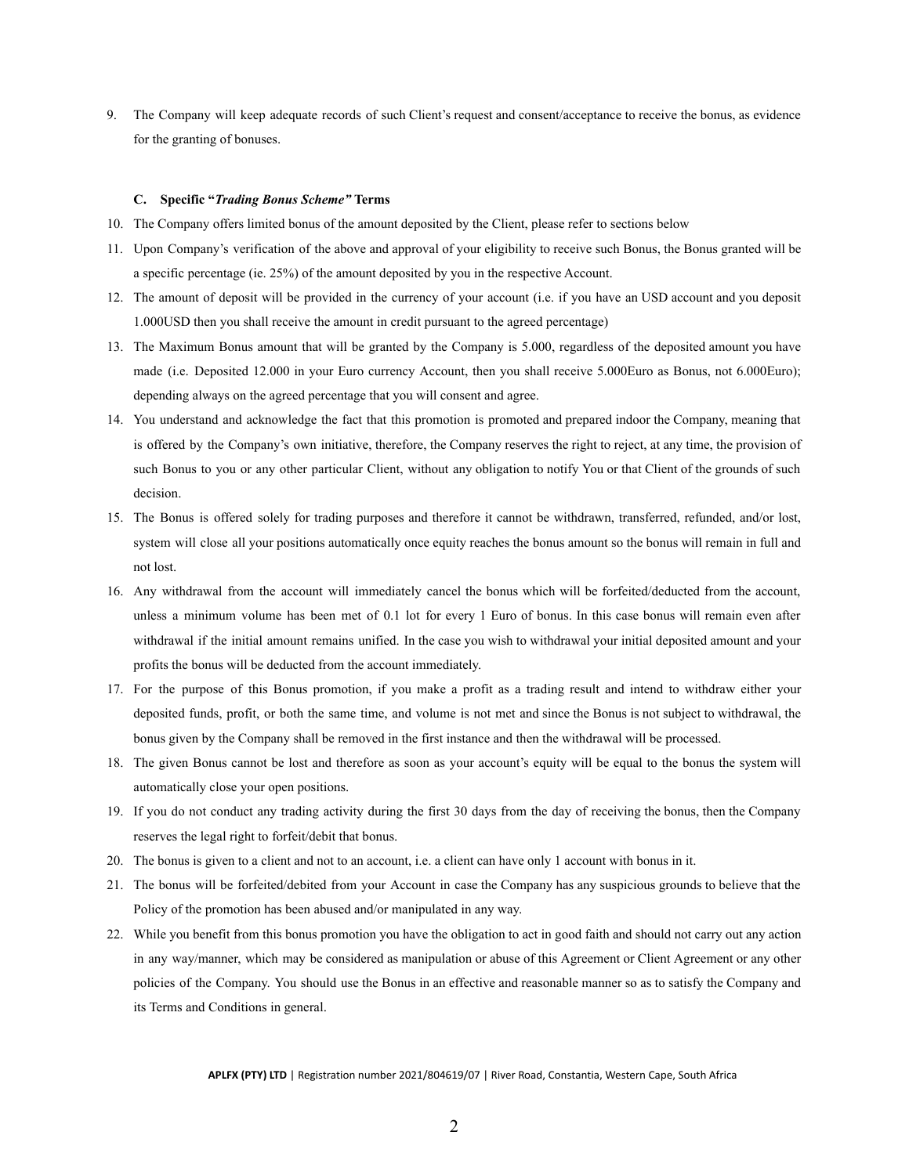9. The Company will keep adequate records of such Client's request and consent/acceptance to receive the bonus, as evidence for the granting of bonuses.

#### **C. Specific "***Trading Bonus Scheme"* **Terms**

- 10. The Company offers limited bonus of the amount deposited by the Client, please refer to sections below
- 11. Upon Company's verification of the above and approval of your eligibility to receive such Bonus, the Bonus granted will be a specific percentage (ie. 25%) of the amount deposited by you in the respective Account.
- 12. The amount of deposit will be provided in the currency of your account (i.e. if you have an USD account and you deposit 1.000USD then you shall receive the amount in credit pursuant to the agreed percentage)
- 13. The Maximum Bonus amount that will be granted by the Company is 5.000, regardless of the deposited amount you have made (i.e. Deposited 12.000 in your Euro currency Account, then you shall receive 5.000Euro as Bonus, not 6.000Euro); depending always on the agreed percentage that you will consent and agree.
- 14. You understand and acknowledge the fact that this promotion is promoted and prepared indoor the Company, meaning that is offered by the Company's own initiative, therefore, the Company reserves the right to reject, at any time, the provision of such Bonus to you or any other particular Client, without any obligation to notify You or that Client of the grounds of such decision.
- 15. The Bonus is offered solely for trading purposes and therefore it cannot be withdrawn, transferred, refunded, and/or lost, system will close all your positions automatically once equity reaches the bonus amount so the bonus will remain in full and not lost.
- 16. Any withdrawal from the account will immediately cancel the bonus which will be forfeited/deducted from the account, unless a minimum volume has been met of 0.1 lot for every 1 Euro of bonus. In this case bonus will remain even after withdrawal if the initial amount remains unified. In the case you wish to withdrawal your initial deposited amount and your profits the bonus will be deducted from the account immediately.
- 17. For the purpose of this Bonus promotion, if you make a profit as a trading result and intend to withdraw either your deposited funds, profit, or both the same time, and volume is not met and since the Bonus is not subject to withdrawal, the bonus given by the Company shall be removed in the first instance and then the withdrawal will be processed.
- 18. The given Bonus cannot be lost and therefore as soon as your account's equity will be equal to the bonus the system will automatically close your open positions.
- 19. If you do not conduct any trading activity during the first 30 days from the day of receiving the bonus, then the Company reserves the legal right to forfeit/debit that bonus.
- 20. The bonus is given to a client and not to an account, i.e. a client can have only 1 account with bonus in it.
- 21. The bonus will be forfeited/debited from your Account in case the Company has any suspicious grounds to believe that the Policy of the promotion has been abused and/or manipulated in any way.
- 22. While you benefit from this bonus promotion you have the obligation to act in good faith and should not carry out any action in any way/manner, which may be considered as manipulation or abuse of this Agreement or Client Agreement or any other policies of the Company. You should use the Bonus in an effective and reasonable manner so as to satisfy the Company and its Terms and Conditions in general.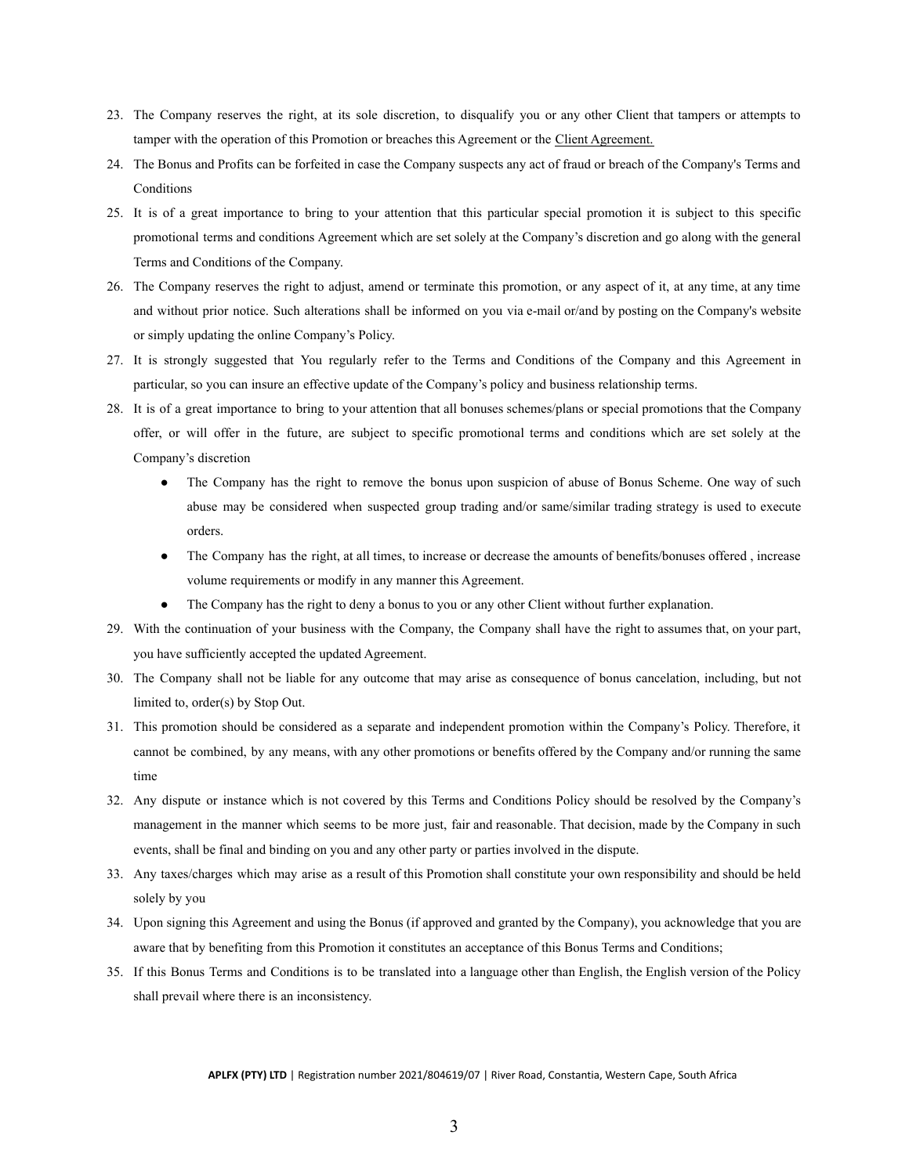- 23. The Company reserves the right, at its sole discretion, to disqualify you or any other Client that tampers or attempts to tamper with the operation of this Promotion or breaches this Agreement or the Client Agreement.
- 24. The Bonus and Profits can be forfeited in case the Company suspects any act of fraud or breach of the Company's Terms and **Conditions**
- 25. It is of a great importance to bring to your attention that this particular special promotion it is subject to this specific promotional terms and conditions Agreement which are set solely at the Company's discretion and go along with the general Terms and Conditions of the Company.
- 26. The Company reserves the right to adjust, amend or terminate this promotion, or any aspect of it, at any time, at any time and without prior notice. Such alterations shall be informed on you via e-mail or/and by posting on the Company's website or simply updating the online Company's Policy.
- 27. It is strongly suggested that You regularly refer to the Terms and Conditions of the Company and this Agreement in particular, so you can insure an effective update of the Company's policy and business relationship terms.
- 28. It is of a great importance to bring to your attention that all bonuses schemes/plans or special promotions that the Company offer, or will offer in the future, are subject to specific promotional terms and conditions which are set solely at the Company's discretion
	- The Company has the right to remove the bonus upon suspicion of abuse of Bonus Scheme. One way of such abuse may be considered when suspected group trading and/or same/similar trading strategy is used to execute orders.
	- The Company has the right, at all times, to increase or decrease the amounts of benefits/bonuses offered, increase volume requirements or modify in any manner this Agreement.
	- The Company has the right to deny a bonus to you or any other Client without further explanation.
- 29. With the continuation of your business with the Company, the Company shall have the right to assumes that, on your part, you have sufficiently accepted the updated Agreement.
- 30. The Company shall not be liable for any outcome that may arise as consequence of bonus cancelation, including, but not limited to, order(s) by Stop Out.
- 31. This promotion should be considered as a separate and independent promotion within the Company's Policy. Therefore, it cannot be combined, by any means, with any other promotions or benefits offered by the Company and/or running the same time
- 32. Any dispute or instance which is not covered by this Terms and Conditions Policy should be resolved by the Company's management in the manner which seems to be more just, fair and reasonable. That decision, made by the Company in such events, shall be final and binding on you and any other party or parties involved in the dispute.
- 33. Any taxes/charges which may arise as a result of this Promotion shall constitute your own responsibility and should be held solely by you
- 34. Upon signing this Agreement and using the Bonus (if approved and granted by the Company), you acknowledge that you are aware that by benefiting from this Promotion it constitutes an acceptance of this Bonus Terms and Conditions;
- 35. If this Bonus Terms and Conditions is to be translated into a language other than English, the English version of the Policy shall prevail where there is an inconsistency.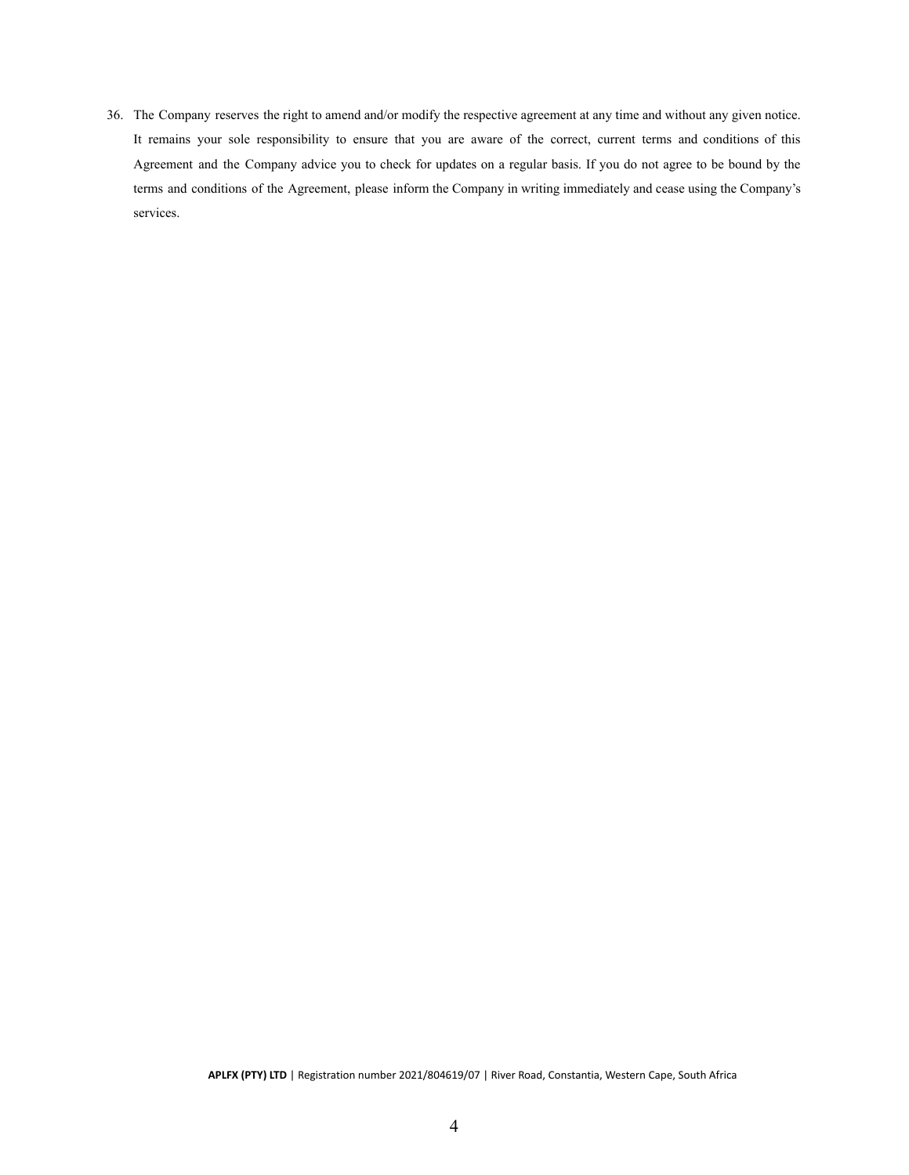36. The Company reserves the right to amend and/or modify the respective agreement at any time and without any given notice. It remains your sole responsibility to ensure that you are aware of the correct, current terms and conditions of this Agreement and the Company advice you to check for updates on a regular basis. If you do not agree to be bound by the terms and conditions of the Agreement, please inform the Company in writing immediately and cease using the Company's services.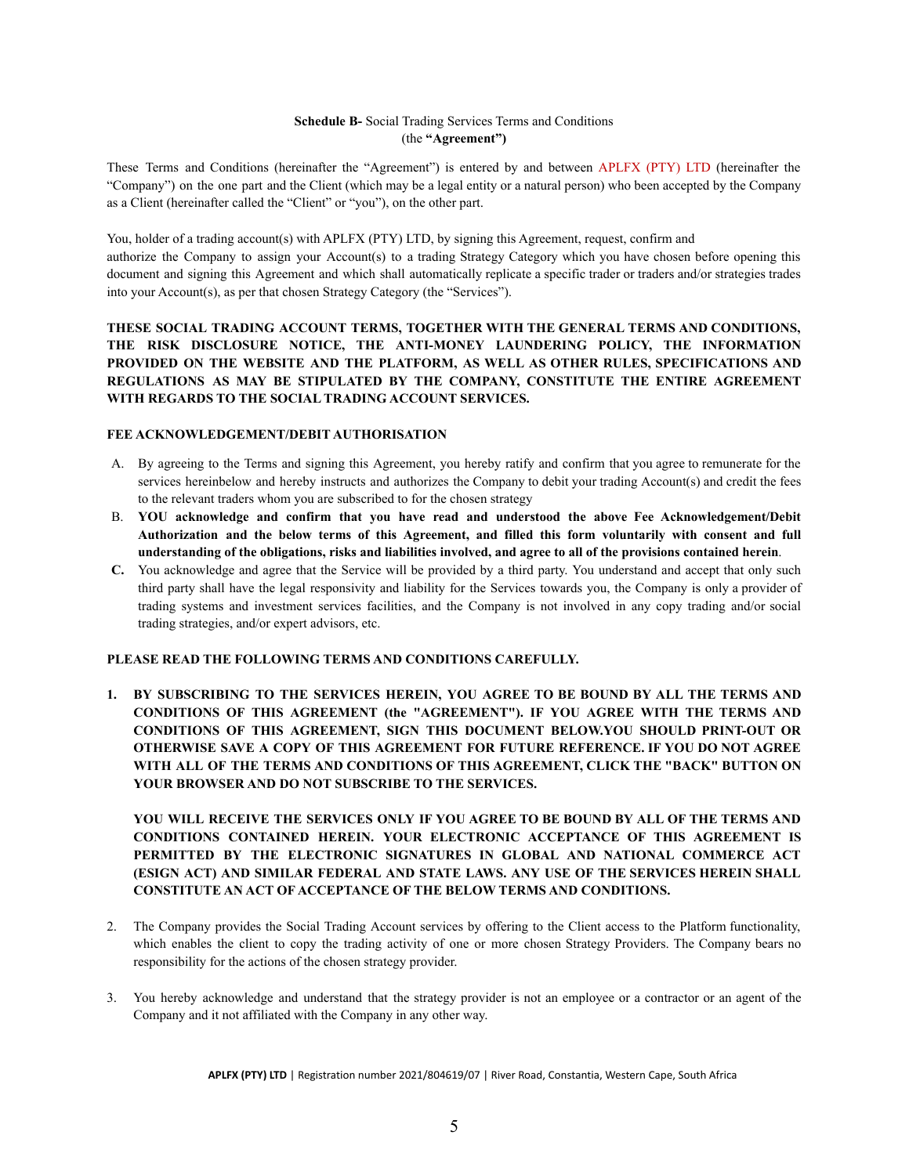## **Schedule B-** Social Trading Services Terms and Conditions (the **"Agreement")**

<span id="page-38-0"></span>These Terms and Conditions (hereinafter the "Agreement") is entered by and between APLFX (PTY) LTD (hereinafter the "Company") on the one part and the Client (which may be a legal entity or a natural person) who been accepted by the Company as a Client (hereinafter called the "Client" or "you"), on the other part.

You, holder of a trading account(s) with APLFX (PTY) LTD, by signing this Agreement, request, confirm and authorize the Company to assign your Account(s) to a trading Strategy Category which you have chosen before opening this document and signing this Agreement and which shall automatically replicate a specific trader or traders and/or strategies trades into your Account(s), as per that chosen Strategy Category (the "Services").

# **THESE SOCIAL TRADING ACCOUNT TERMS, TOGETHER WITH THE GENERAL TERMS AND CONDITIONS, THE RISK DISCLOSURE NOTICE, THE ANTI-MONEY LAUNDERING POLICY, THE INFORMATION PROVIDED ON THE WEBSITE AND THE PLATFORM, AS WELL AS OTHER RULES, SPECIFICATIONS AND REGULATIONS AS MAY BE STIPULATED BY THE COMPANY, CONSTITUTE THE ENTIRE AGREEMENT WITH REGARDS TO THE SOCIAL TRADING ACCOUNT SERVICES.**

### **FEE ACKNOWLEDGEMENT/DEBIT AUTHORISATION**

- A. By agreeing to the Terms and signing this Agreement, you hereby ratify and confirm that you agree to remunerate for the services hereinbelow and hereby instructs and authorizes the Company to debit your trading Account(s) and credit the fees to the relevant traders whom you are subscribed to for the chosen strategy
- B. **YOU acknowledge and confirm that you have read and understood the above Fee Acknowledgement/Debit** Authorization and the below terms of this Agreement, and filled this form voluntarily with consent and full **understanding of the obligations, risks and liabilities involved, and agree to all of the provisions contained herein**.
- **C.** You acknowledge and agree that the Service will be provided by a third party. You understand and accept that only such third party shall have the legal responsivity and liability for the Services towards you, the Company is only a provider of trading systems and investment services facilities, and the Company is not involved in any copy trading and/or social trading strategies, and/or expert advisors, etc.

### **PLEASE READ THE FOLLOWING TERMS AND CONDITIONS CAREFULLY.**

**1. BY SUBSCRIBING TO THE SERVICES HEREIN, YOU AGREE TO BE BOUND BY ALL THE TERMS AND CONDITIONS OF THIS AGREEMENT (the "AGREEMENT"). IF YOU AGREE WITH THE TERMS AND CONDITIONS OF THIS AGREEMENT, SIGN THIS DOCUMENT BELOW.YOU SHOULD PRINT-OUT OR OTHERWISE SAVE A COPY OF THIS AGREEMENT FOR FUTURE REFERENCE. IF YOU DO NOT AGREE WITH ALL OF THE TERMS AND CONDITIONS OF THIS AGREEMENT, CLICK THE "BACK" BUTTON ON YOUR BROWSER AND DO NOT SUBSCRIBE TO THE SERVICES.**

**YOU WILL RECEIVE THE SERVICES ONLY IF YOU AGREE TO BE BOUND BY ALL OF THE TERMS AND CONDITIONS CONTAINED HEREIN. YOUR ELECTRONIC ACCEPTANCE OF THIS AGREEMENT IS PERMITTED BY THE ELECTRONIC SIGNATURES IN GLOBAL AND NATIONAL COMMERCE ACT (ESIGN ACT) AND SIMILAR FEDERAL AND STATE LAWS. ANY USE OF THE SERVICES HEREIN SHALL CONSTITUTE AN ACT OF ACCEPTANCE OF THE BELOW TERMS AND CONDITIONS.**

- 2. The Company provides the Social Trading Account services by offering to the Client access to the Platform functionality, which enables the client to copy the trading activity of one or more chosen Strategy Providers. The Company bears no responsibility for the actions of the chosen strategy provider.
- 3. You hereby acknowledge and understand that the strategy provider is not an employee or a contractor or an agent of the Company and it not affiliated with the Company in any other way.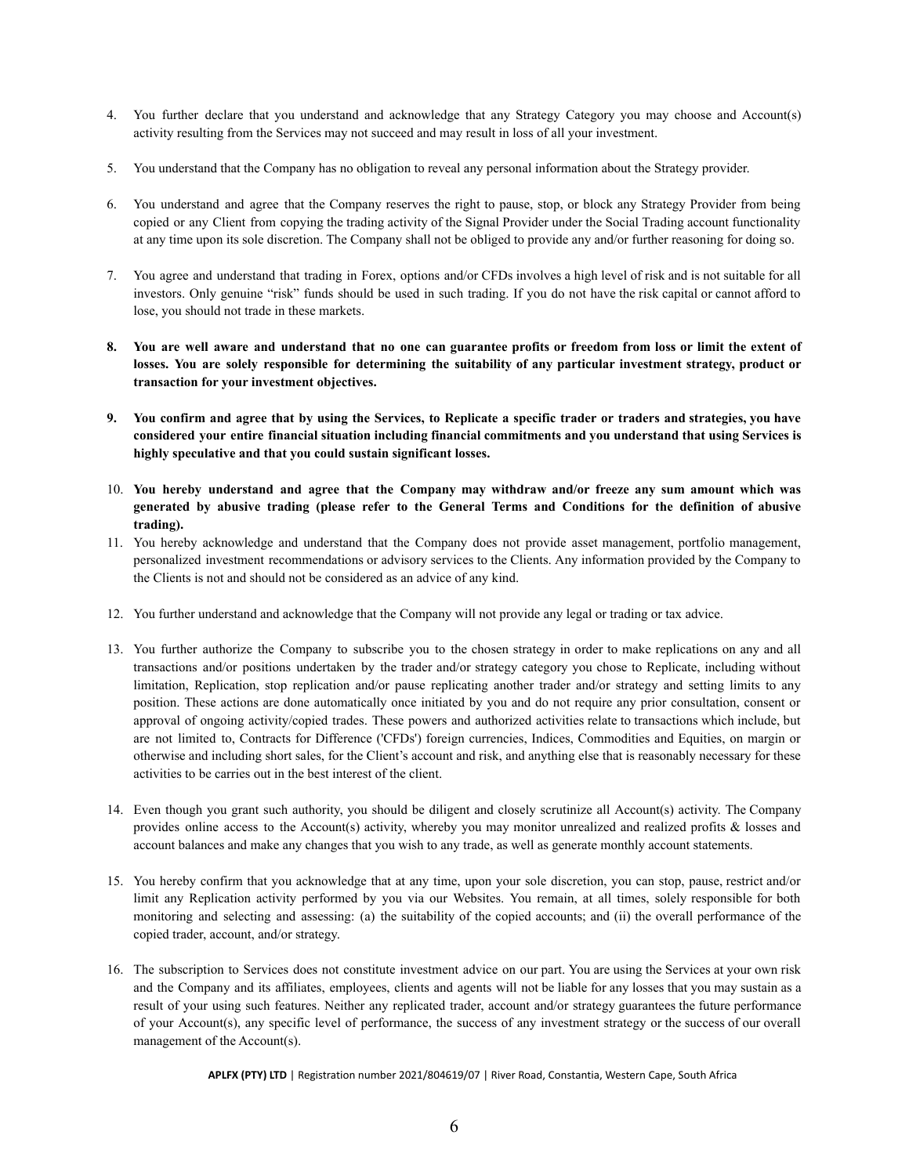- 4. You further declare that you understand and acknowledge that any Strategy Category you may choose and Account(s) activity resulting from the Services may not succeed and may result in loss of all your investment.
- 5. You understand that the Company has no obligation to reveal any personal information about the Strategy provider.
- 6. You understand and agree that the Company reserves the right to pause, stop, or block any Strategy Provider from being copied or any Client from copying the trading activity of the Signal Provider under the Social Trading account functionality at any time upon its sole discretion. The Company shall not be obliged to provide any and/or further reasoning for doing so.
- 7. You agree and understand that trading in Forex, options and/or CFDs involves a high level of risk and is not suitable for all investors. Only genuine "risk" funds should be used in such trading. If you do not have the risk capital or cannot afford to lose, you should not trade in these markets.
- 8. You are well aware and understand that no one can guarantee profits or freedom from loss or limit the extent of losses. You are solely responsible for determining the suitability of any particular investment strategy, product or **transaction for your investment objectives.**
- 9. You confirm and agree that by using the Services, to Replicate a specific trader or traders and strategies, you have **considered your entire financial situation including financial commitments and you understand that using Services is highly speculative and that you could sustain significant losses.**
- 10. **You hereby understand and agree that the Company may withdraw and/or freeze any sum amount which was** generated by abusive trading (please refer to the General Terms and Conditions for the definition of abusive **trading).**
- 11. You hereby acknowledge and understand that the Company does not provide asset management, portfolio management, personalized investment recommendations or advisory services to the Clients. Any information provided by the Company to the Clients is not and should not be considered as an advice of any kind.
- 12. You further understand and acknowledge that the Company will not provide any legal or trading or tax advice.
- 13. You further authorize the Company to subscribe you to the chosen strategy in order to make replications on any and all transactions and/or positions undertaken by the trader and/or strategy category you chose to Replicate, including without limitation, Replication, stop replication and/or pause replicating another trader and/or strategy and setting limits to any position. These actions are done automatically once initiated by you and do not require any prior consultation, consent or approval of ongoing activity/copied trades. These powers and authorized activities relate to transactions which include, but are not limited to, Contracts for Difference ('CFDs') foreign currencies, Indices, Commodities and Equities, on margin or otherwise and including short sales, for the Client's account and risk, and anything else that is reasonably necessary for these activities to be carries out in the best interest of the client.
- 14. Even though you grant such authority, you should be diligent and closely scrutinize all Account(s) activity. The Company provides online access to the Account(s) activity, whereby you may monitor unrealized and realized profits & losses and account balances and make any changes that you wish to any trade, as well as generate monthly account statements.
- 15. You hereby confirm that you acknowledge that at any time, upon your sole discretion, you can stop, pause, restrict and/or limit any Replication activity performed by you via our Websites. You remain, at all times, solely responsible for both monitoring and selecting and assessing: (a) the suitability of the copied accounts; and (ii) the overall performance of the copied trader, account, and/or strategy.
- 16. The subscription to Services does not constitute investment advice on our part. You are using the Services at your own risk and the Company and its affiliates, employees, clients and agents will not be liable for any losses that you may sustain as a result of your using such features. Neither any replicated trader, account and/or strategy guarantees the future performance of your Account(s), any specific level of performance, the success of any investment strategy or the success of our overall management of the Account(s).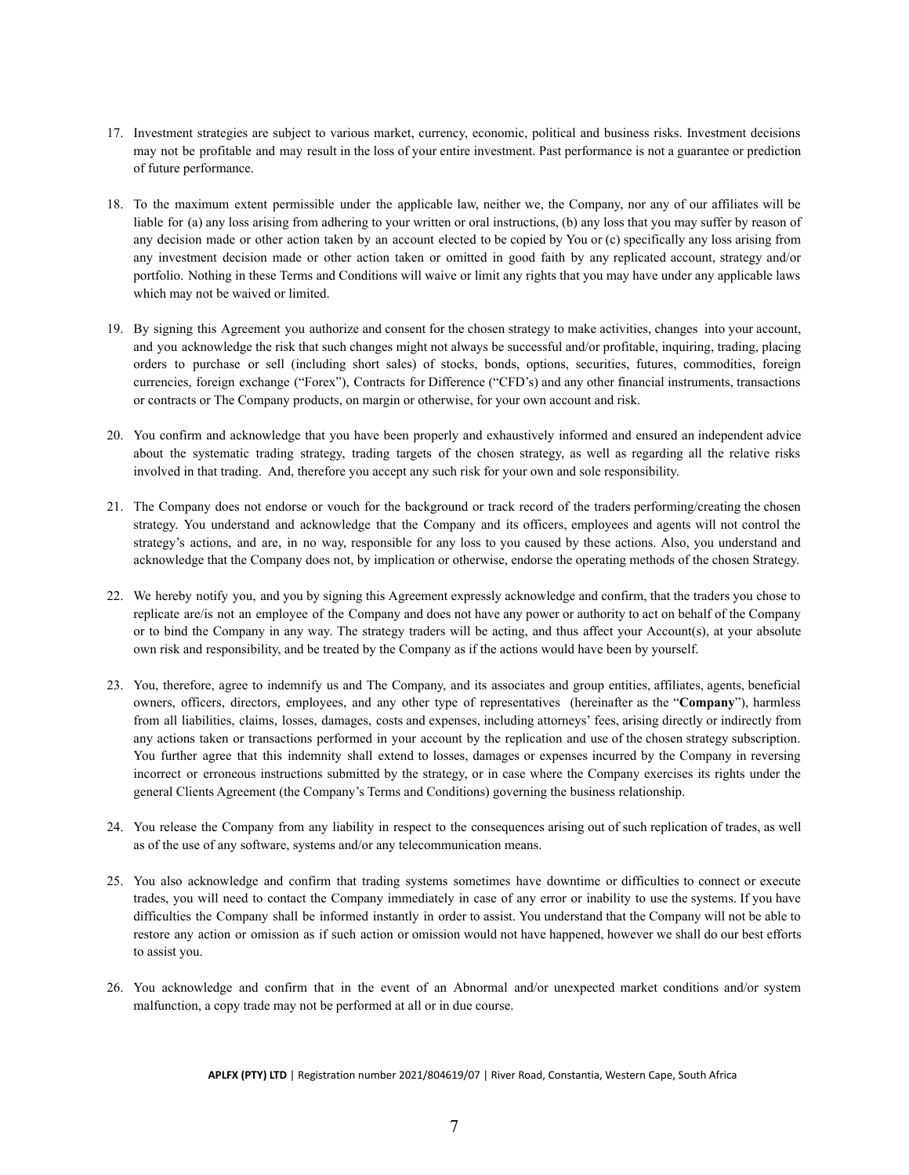- 17. Investment strategies are subject to various market, currency, economic, political and business risks. Investment decisions may not be profitable and may result in the loss of your entire investment. Past performance is not a guarantee or prediction of future performance.
- 18. To the maximum extent permissible under the applicable law, neither we, the Company, nor any of our affiliates will be liable for (a) any loss arising from adhering to your written or oral instructions, (b) any loss that you may suffer by reason of any decision made or other action taken by an account elected to be copied by You or (c) specifically any loss arising from any investment decision made or other action taken or omitted in good faith by any replicated account, strategy and/or portfolio. Nothing in these Terms and Conditions will waive or limit any rights that you may have under any applicable laws which may not be waived or limited.
- 19. By signing this Agreement you authorize and consent for the chosen strategy to make activities, changes into your account, and you acknowledge the risk that such changes might not always be successful and/or profitable, inquiring, trading, placing orders to purchase or sell (including short sales) of stocks, bonds, options, securities, futures, commodities, foreign currencies, foreign exchange ("Forex"), Contracts for Difference ("CFD's) and any other financial instruments, transactions or contracts or The Company products, on margin or otherwise, for your own account and risk.
- 20. You confirm and acknowledge that you have been properly and exhaustively informed and ensured an independent advice about the systematic trading strategy, trading targets of the chosen strategy, as well as regarding all the relative risks involved in that trading. And, therefore you accept any such risk for your own and sole responsibility.
- 21. The Company does not endorse or vouch for the background or track record of the traders performing/creating the chosen strategy. You understand and acknowledge that the Company and its officers, employees and agents will not control the strategy's actions, and are, in no way, responsible for any loss to you caused by these actions. Also, you understand and acknowledge that the Company does not, by implication or otherwise, endorse the operating methods of the chosen Strategy.
- 22. We hereby notify you, and you by signing this Agreement expressly acknowledge and confirm, that the traders you chose to replicate are/is not an employee of the Company and does not have any power or authority to act on behalf of the Company or to bind the Company in any way. The strategy traders will be acting, and thus affect your Account(s), at your absolute own risk and responsibility, and be treated by the Company as if the actions would have been by yourself.
- 23. You, therefore, agree to indemnify us and The Company, and its associates and group entities, affiliates, agents, beneficial owners, officers, directors, employees, and any other type of representatives (hereinafter as the "**Company**"), harmless from all liabilities, claims, losses, damages, costs and expenses, including attorneys' fees, arising directly or indirectly from any actions taken or transactions performed in your account by the replication and use of the chosen strategy subscription. You further agree that this indemnity shall extend to losses, damages or expenses incurred by the Company in reversing incorrect or erroneous instructions submitted by the strategy, or in case where the Company exercises its rights under the general Clients Agreement (the Company's Terms and Conditions) governing the business relationship.
- 24. You release the Company from any liability in respect to the consequences arising out of such replication of trades, as well as of the use of any software, systems and/or any telecommunication means.
- 25. You also acknowledge and confirm that trading systems sometimes have downtime or difficulties to connect or execute trades, you will need to contact the Company immediately in case of any error or inability to use the systems. If you have difficulties the Company shall be informed instantly in order to assist. You understand that the Company will not be able to restore any action or omission as if such action or omission would not have happened, however we shall do our best efforts to assist you.
- 26. You acknowledge and confirm that in the event of an Abnormal and/or unexpected market conditions and/or system malfunction, a copy trade may not be performed at all or in due course.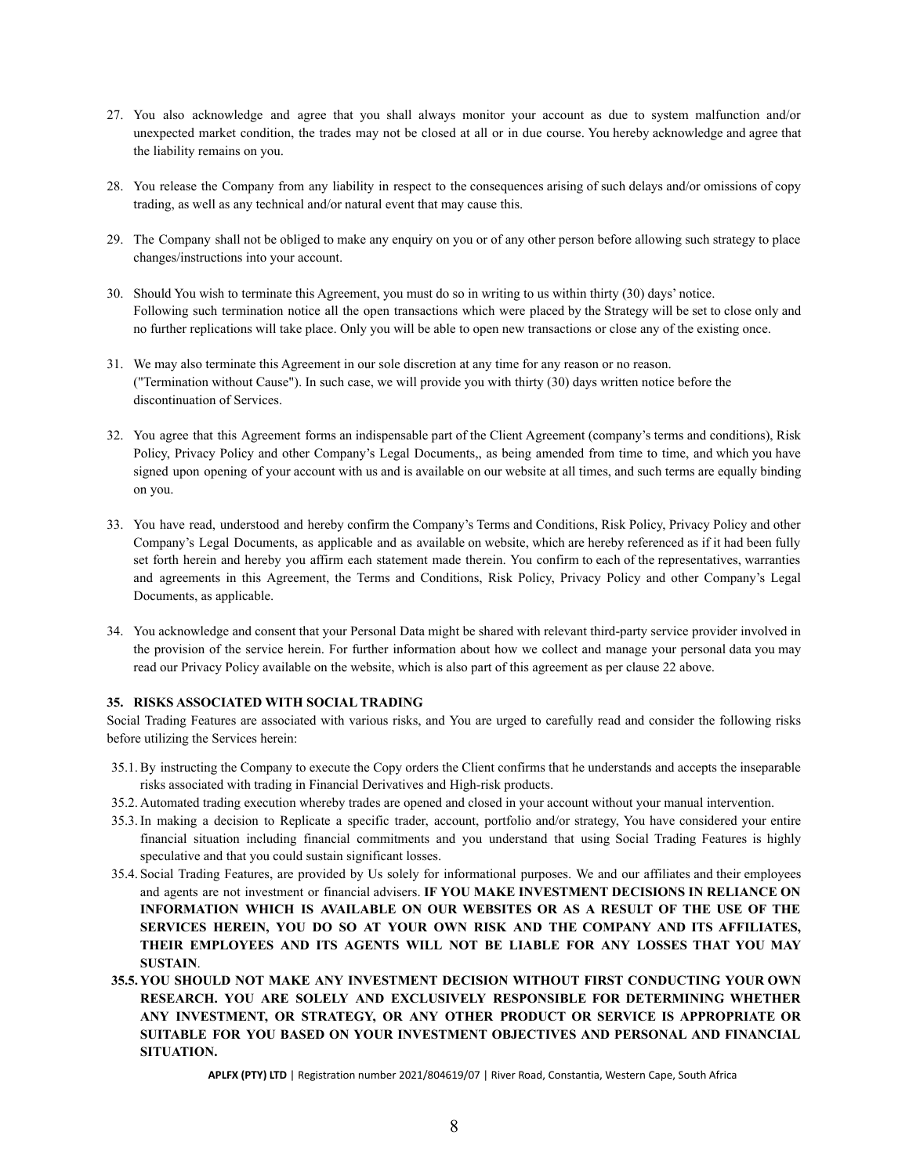- 27. You also acknowledge and agree that you shall always monitor your account as due to system malfunction and/or unexpected market condition, the trades may not be closed at all or in due course. You hereby acknowledge and agree that the liability remains on you.
- 28. You release the Company from any liability in respect to the consequences arising of such delays and/or omissions of copy trading, as well as any technical and/or natural event that may cause this.
- 29. The Company shall not be obliged to make any enquiry on you or of any other person before allowing such strategy to place changes/instructions into your account.
- 30. Should You wish to terminate this Agreement, you must do so in writing to us within thirty (30) days' notice. Following such termination notice all the open transactions which were placed by the Strategy will be set to close only and no further replications will take place. Only you will be able to open new transactions or close any of the existing once.
- 31. We may also terminate this Agreement in our sole discretion at any time for any reason or no reason. ("Termination without Cause"). In such case, we will provide you with thirty (30) days written notice before the discontinuation of Services.
- 32. You agree that this Agreement forms an indispensable part of the Client Agreement (company's terms and conditions), Risk Policy, Privacy Policy and other Company's Legal Documents,, as being amended from time to time, and which you have signed upon opening of your account with us and is available on our website at all times, and such terms are equally binding on you.
- 33. You have read, understood and hereby confirm the Company's Terms and Conditions, Risk Policy, Privacy Policy and other Company's Legal Documents, as applicable and as available on website, which are hereby referenced as if it had been fully set forth herein and hereby you affirm each statement made therein. You confirm to each of the representatives, warranties and agreements in this Agreement, the Terms and Conditions, Risk Policy, Privacy Policy and other Company's Legal Documents, as applicable.
- 34. You acknowledge and consent that your Personal Data might be shared with relevant third-party service provider involved in the provision of the service herein. For further information about how we collect and manage your personal data you may read our Privacy Policy available on the website, which is also part of this agreement as per clause 22 above.

# **35. RISKS ASSOCIATED WITH SOCIAL TRADING**

Social Trading Features are associated with various risks, and You are urged to carefully read and consider the following risks before utilizing the Services herein:

- 35.1. By instructing the Company to execute the Copy orders the Client confirms that he understands and accepts the inseparable risks associated with trading in Financial Derivatives and High-risk products.
- 35.2. Automated trading execution whereby trades are opened and closed in your account without your manual intervention.
- 35.3. In making a decision to Replicate a specific trader, account, portfolio and/or strategy, You have considered your entire financial situation including financial commitments and you understand that using Social Trading Features is highly speculative and that you could sustain significant losses.
- 35.4. Social Trading Features, are provided by Us solely for informational purposes. We and our affiliates and their employees and agents are not investment or financial advisers. **IF YOU MAKE INVESTMENT DECISIONS IN RELIANCE ON INFORMATION WHICH IS AVAILABLE ON OUR WEBSITES OR AS A RESULT OF THE USE OF THE SERVICES HEREIN, YOU DO SO AT YOUR OWN RISK AND THE COMPANY AND ITS AFFILIATES, THEIR EMPLOYEES AND ITS AGENTS WILL NOT BE LIABLE FOR ANY LOSSES THAT YOU MAY SUSTAIN**.
- **35.5. YOU SHOULD NOT MAKE ANY INVESTMENT DECISION WITHOUT FIRST CONDUCTING YOUR OWN RESEARCH. YOU ARE SOLELY AND EXCLUSIVELY RESPONSIBLE FOR DETERMINING WHETHER ANY INVESTMENT, OR STRATEGY, OR ANY OTHER PRODUCT OR SERVICE IS APPROPRIATE OR SUITABLE FOR YOU BASED ON YOUR INVESTMENT OBJECTIVES AND PERSONAL AND FINANCIAL SITUATION.**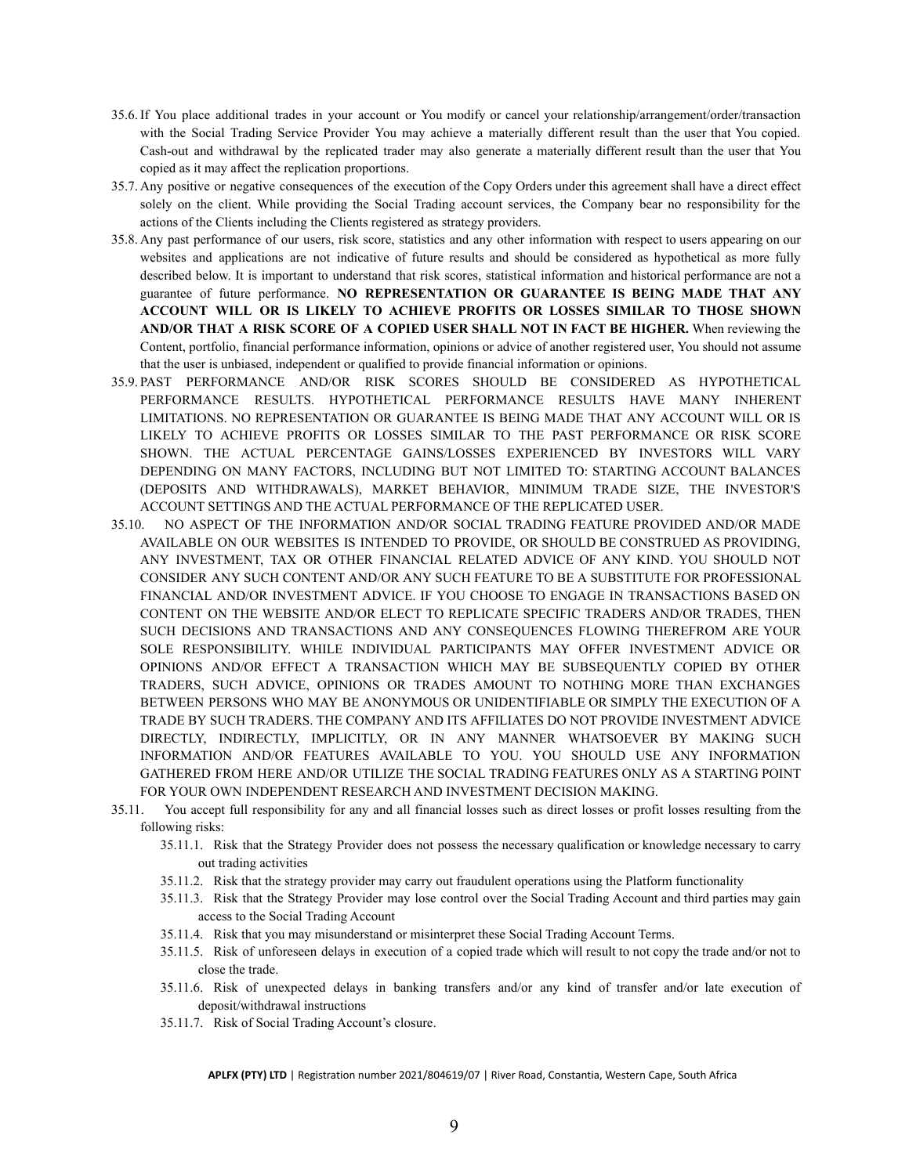- 35.6. If You place additional trades in your account or You modify or cancel your relationship/arrangement/order/transaction with the Social Trading Service Provider You may achieve a materially different result than the user that You copied. Cash-out and withdrawal by the replicated trader may also generate a materially different result than the user that You copied as it may affect the replication proportions.
- 35.7. Any positive or negative consequences of the execution of the Copy Orders under this agreement shall have a direct effect solely on the client. While providing the Social Trading account services, the Company bear no responsibility for the actions of the Clients including the Clients registered as strategy providers.
- 35.8. Any past performance of our users, risk score, statistics and any other information with respect to users appearing on our websites and applications are not indicative of future results and should be considered as hypothetical as more fully described below. It is important to understand that risk scores, statistical information and historical performance are not a guarantee of future performance. **NO REPRESENTATION OR GUARANTEE IS BEING MADE THAT ANY ACCOUNT WILL OR IS LIKELY TO ACHIEVE PROFITS OR LOSSES SIMILAR TO THOSE SHOWN AND/OR THAT A RISK SCORE OF A COPIED USER SHALL NOT IN FACT BE HIGHER.** When reviewing the Content, portfolio, financial performance information, opinions or advice of another registered user, You should not assume that the user is unbiased, independent or qualified to provide financial information or opinions.
- 35.9. PAST PERFORMANCE AND/OR RISK SCORES SHOULD BE CONSIDERED AS HYPOTHETICAL PERFORMANCE RESULTS. HYPOTHETICAL PERFORMANCE RESULTS HAVE MANY INHERENT LIMITATIONS. NO REPRESENTATION OR GUARANTEE IS BEING MADE THAT ANY ACCOUNT WILL OR IS LIKELY TO ACHIEVE PROFITS OR LOSSES SIMILAR TO THE PAST PERFORMANCE OR RISK SCORE SHOWN. THE ACTUAL PERCENTAGE GAINS/LOSSES EXPERIENCED BY INVESTORS WILL VARY DEPENDING ON MANY FACTORS, INCLUDING BUT NOT LIMITED TO: STARTING ACCOUNT BALANCES (DEPOSITS AND WITHDRAWALS), MARKET BEHAVIOR, MINIMUM TRADE SIZE, THE INVESTOR'S ACCOUNT SETTINGS AND THE ACTUAL PERFORMANCE OF THE REPLICATED USER.
- 35.10. NO ASPECT OF THE INFORMATION AND/OR SOCIAL TRADING FEATURE PROVIDED AND/OR MADE AVAILABLE ON OUR WEBSITES IS INTENDED TO PROVIDE, OR SHOULD BE CONSTRUED AS PROVIDING, ANY INVESTMENT, TAX OR OTHER FINANCIAL RELATED ADVICE OF ANY KIND. YOU SHOULD NOT CONSIDER ANY SUCH CONTENT AND/OR ANY SUCH FEATURE TO BE A SUBSTITUTE FOR PROFESSIONAL FINANCIAL AND/OR INVESTMENT ADVICE. IF YOU CHOOSE TO ENGAGE IN TRANSACTIONS BASED ON CONTENT ON THE WEBSITE AND/OR ELECT TO REPLICATE SPECIFIC TRADERS AND/OR TRADES, THEN SUCH DECISIONS AND TRANSACTIONS AND ANY CONSEQUENCES FLOWING THEREFROM ARE YOUR SOLE RESPONSIBILITY. WHILE INDIVIDUAL PARTICIPANTS MAY OFFER INVESTMENT ADVICE OR OPINIONS AND/OR EFFECT A TRANSACTION WHICH MAY BE SUBSEQUENTLY COPIED BY OTHER TRADERS, SUCH ADVICE, OPINIONS OR TRADES AMOUNT TO NOTHING MORE THAN EXCHANGES BETWEEN PERSONS WHO MAY BE ANONYMOUS OR UNIDENTIFIABLE OR SIMPLY THE EXECUTION OF A TRADE BY SUCH TRADERS. THE COMPANY AND ITS AFFILIATES DO NOT PROVIDE INVESTMENT ADVICE DIRECTLY, INDIRECTLY, IMPLICITLY, OR IN ANY MANNER WHATSOEVER BY MAKING SUCH INFORMATION AND/OR FEATURES AVAILABLE TO YOU. YOU SHOULD USE ANY INFORMATION GATHERED FROM HERE AND/OR UTILIZE THE SOCIAL TRADING FEATURES ONLY AS A STARTING POINT FOR YOUR OWN INDEPENDENT RESEARCH AND INVESTMENT DECISION MAKING.
- 35.11. You accept full responsibility for any and all financial losses such as direct losses or profit losses resulting from the following risks:
	- 35.11.1. Risk that the Strategy Provider does not possess the necessary qualification or knowledge necessary to carry out trading activities
	- 35.11.2. Risk that the strategy provider may carry out fraudulent operations using the Platform functionality
	- 35.11.3. Risk that the Strategy Provider may lose control over the Social Trading Account and third parties may gain access to the Social Trading Account
	- 35.11.4. Risk that you may misunderstand or misinterpret these Social Trading Account Terms.
	- 35.11.5. Risk of unforeseen delays in execution of a copied trade which will result to not copy the trade and/or not to close the trade.
	- 35.11.6. Risk of unexpected delays in banking transfers and/or any kind of transfer and/or late execution of deposit/withdrawal instructions
	- 35.11.7. Risk of Social Trading Account's closure.